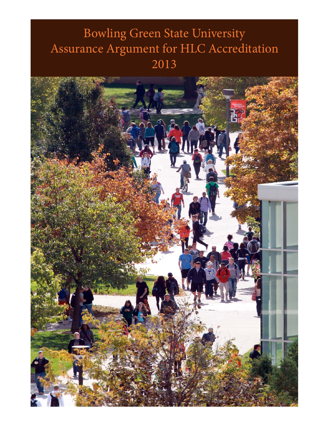# Bowling Green State University Assurance Argument for HLC Accreditation 2013

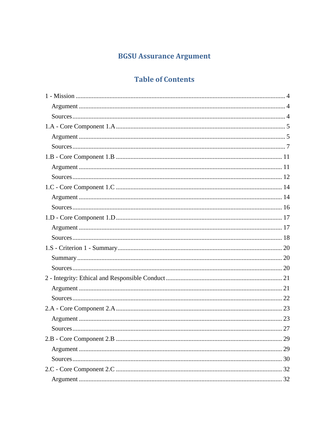## **BGSU Assurance Argument**

### **Table of Contents**

| 29 |
|----|
|    |
|    |
|    |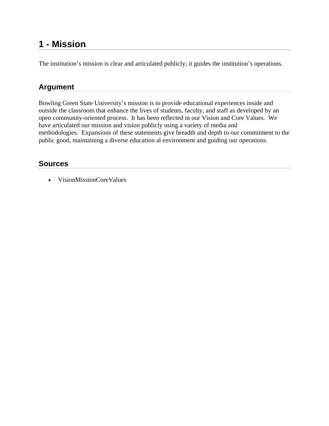### **1 - Mission**

The institution's mission is clear and articulated publicly; it guides the institution's operations.

### **Argument**

Bowling Green State University's mission is to provide educational experiences inside and outside the classroom that enhance the lives of students, faculty, and staff as developed by an open community-oriented process. It has been reflected in our Vision and Core Values. We have articulated our mission and vision publicly using a variety of media and methodologies. Expansions of these statements give breadth and depth to our commitment to the public good, maintaining a diverse education al environment and guiding our operations.

#### **Sources**

VisionMissionCoreValues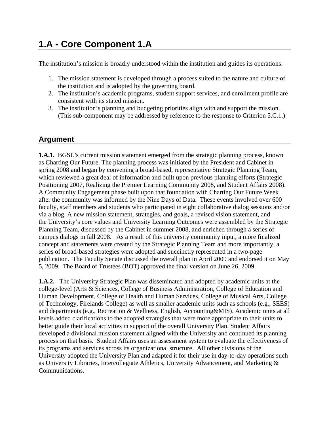## **1.A - Core Component 1.A**

The institution's mission is broadly understood within the institution and guides its operations.

- 1. The mission statement is developed through a process suited to the nature and culture of the institution and is adopted by the governing board.
- 2. The institution's academic programs, student support services, and enrollment profile are consistent with its stated mission.
- 3. The institution's planning and budgeting priorities align with and support the mission. (This sub-component may be addressed by reference to the response to Criterion 5.C.1.)

### **Argument**

**1.A.1.** BGSU's current mission statement emerged from the strategic planning process, known as Charting Our Future. The planning process was initiated by the President and Cabinet in spring 2008 and began by convening a broad-based, representative Strategic Planning Team, which reviewed a great deal of information and built upon previous planning efforts (Strategic Positioning 2007, Realizing the Premier Learning Community 2008, and Student Affairs 2008). A Community Engagement phase built upon that foundation with Charting Our Future Week after the community was informed by the Nine Days of Data. These events involved over 600 faculty, staff members and students who participated in eight collaborative dialog sessions and/or via a blog. A new mission statement, strategies, and goals, a revised vision statement, and the University's core values and University Learning Outcomes were assembled by the Strategic Planning Team, discussed by the Cabinet in summer 2008, and enriched through a series of campus dialogs in fall 2008. As a result of this university community input, a more finalized concept and statements were created by the Strategic Planning Team and more importantly, a series of broad-based strategies were adopted and succinctly represented in a two-page publication. The Faculty Senate discussed the overall plan in April 2009 and endorsed it on May 5, 2009. The Board of Trustees (BOT) approved the final version on June 26, 2009.

**1.A.2.** The University Strategic Plan was disseminated and adopted by academic units at the college-level (Arts & Sciences, College of Business Administration, College of Education and Human Development, College of Health and Human Services, College of Musical Arts, College of Technology, Firelands College) as well as smaller academic units such as schools (e.g., SEES) and departments (e.g., Recreation & Wellness, English, Accounting&MIS). Academic units at all levels added clarifications to the adopted strategies that were more appropriate to their units to better guide their local activities in support of the overall University Plan. Student Affairs developed a divisional mission statement aligned with the University and continued its planning process on that basis. Student Affairs uses an assessment system to evaluate the effectiveness of its programs and services across its organizational structure. All other divisions of the University adopted the University Plan and adapted it for their use in day-to-day operations such as University Libraries, Intercollegiate Athletics, University Advancement, and Marketing & Communications.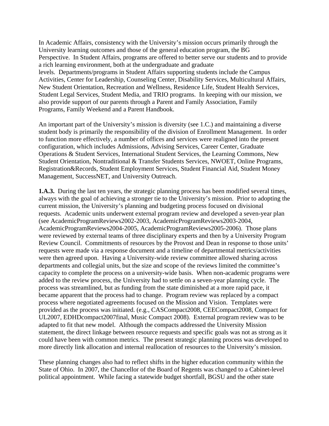In Academic Affairs, consistency with the University's mission occurs primarily through the University learning outcomes and those of the general education program, the BG Perspective. In Student Affairs, programs are offered to better serve our students and to provide a rich learning environment, both at the undergraduate and graduate levels. Departments/programs in Student Affairs supporting students include the Campus Activities, Center for Leadership, Counseling Center, Disability Services, Multicultural Affairs, New Student Orientation, Recreation and Wellness, Residence Life, Student Health Services, Student Legal Services, Student Media, and TRIO programs. In keeping with our mission, we also provide support of our parents through a Parent and Family Association, Family Programs, Family Weekend and a Parent Handbook.

An important part of the University's mission is diversity (see 1.C.) and maintaining a diverse student body is primarily the responsibility of the division of Enrollment Management. In order to function more effectively, a number of offices and services were realigned into the present configuration, which includes Admissions, Advising Services, Career Center, Graduate Operations & Student Services, International Student Services, the Learning Commons, New Student Orientation, Nontraditional & Transfer Students Services, NWOET, Online Programs, Registration&Records, Student Employment Services, Student Financial Aid, Student Money Management, SuccessNET, and University Outreach.

**1.A.3.** During the last ten years, the strategic planning process has been modified several times, always with the goal of achieving a stronger tie to the University's mission. Prior to adopting the current mission, the University's planning and budgeting process focused on divisional requests. Academic units underwent external program review and developed a seven-year plan (see AcademicProgramReviews2002-2003, AcademicProgramReviews2003-2004, AcademicProgramReviews2004-2005, AcademicProgramReviews2005-2006). Those plans were reviewed by external teams of three disciplinary experts and then by a University Program Review Council. Commitments of resources by the Provost and Dean in response to those units' requests were made via a response document and a timeline of departmental metrics/activities were then agreed upon. Having a University-wide review committee allowed sharing across departments and collegial units, but the size and scope of the reviews limited the committee's capacity to complete the process on a university-wide basis. When non-academic programs were added to the review process, the University had to settle on a seven-year planning cycle. The process was streamlined, but as funding from the state diminished at a more rapid pace, it became apparent that the process had to change. Program review was replaced by a compact process where negotiated agreements focused on the Mission and Vision. Templates were provided as the process was initiated. (e.g., CASCompact2008, CEECompact2008, Compact for UL2007, EDHDcompact2007final, Music Compact 2008). External program review was to be adapted to fit that new model. Although the compacts addressed the University Mission statement, the direct linkage between resource requests and specific goals was not as strong as it could have been with common metrics. The present strategic planning process was developed to more directly link allocation and internal reallocation of resources to the University's mission.

These planning changes also had to reflect shifts in the higher education community within the State of Ohio. In 2007, the Chancellor of the Board of Regents was changed to a Cabinet-level political appointment. While facing a statewide budget shortfall, BGSU and the other state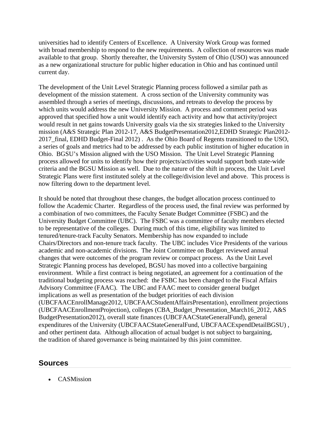universities had to identify Centers of Excellence. A University Work Group was formed with broad membership to respond to the new requirements. A collection of resources was made available to that group. Shortly thereafter, the University System of Ohio (USO) was announced as a new organizational structure for public higher education in Ohio and has continued until current day.

The development of the Unit Level Strategic Planning process followed a similar path as development of the mission statement. A cross section of the University community was assembled through a series of meetings, discussions, and retreats to develop the process by which units would address the new University Mission. A process and comment period was approved that specified how a unit would identify each activity and how that activity/project would result in net gains towards University goals via the six strategies linked to the University mission (A&S Strategic Plan 2012-17, A&S BudgetPresentation2012,EDHD Strategic Plan2012- 2017\_final, EDHD Budget-Final 2012) . As the Ohio Board of Regents transitioned to the USO, a series of goals and metrics had to be addressed by each public institution of higher education in Ohio. BGSU's Mission aligned with the USO Mission. The Unit Level Strategic Planning process allowed for units to identify how their projects/activities would support both state-wide criteria and the BGSU Mission as well. Due to the nature of the shift in process, the Unit Level Strategic Plans were first instituted solely at the college/division level and above. This process is now filtering down to the department level.

It should be noted that throughout these changes, the budget allocation process continued to follow the Academic Charter. Regardless of the process used, the final review was performed by a combination of two committees, the Faculty Senate Budget Committee (FSBC) and the University Budget Committee (UBC). The FSBC was a committee of faculty members elected to be representative of the colleges. During much of this time, eligibility was limited to tenured/tenure-track Faculty Senators. Membership has now expanded to include Chairs/Directors and non-tenure track faculty. The UBC includes Vice Presidents of the various academic and non-academic divisions. The Joint Committee on Budget reviewed annual changes that were outcomes of the program review or compact process. As the Unit Level Strategic Planning process has developed, BGSU has moved into a collective bargaining environment. While a first contract is being negotiated, an agreement for a continuation of the traditional budgeting process was reached: the FSBC has been changed to the Fiscal Affairs Advisory Committee (FAAC). The UBC and FAAC meet to consider general budget implications as well as presentation of the budget priorities of each division (UBCFAACEnrollManage2012, UBCFAACStudentAffairsPresentation), enrollment projections (UBCFAACEnrollmentProjection), colleges (CBA\_Budget\_Presentation\_March16\_2012, A&S BudgetPresentation2012), overall state finances (UBCFAACStateGeneralFund), general expenditures of the University (UBCFAACStateGeneralFund, UBCFAACExpendDetailBGSU) , and other pertinent data. Although allocation of actual budget is not subject to bargaining, the tradition of shared governance is being maintained by this joint committee.

#### **Sources**

CASMission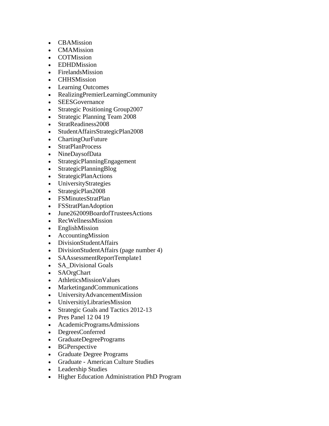- **CBAMission**
- CMAMission
- **COTMission**
- EDHDMission
- FirelandsMission
- CHHSMission
- Learning Outcomes
- RealizingPremierLearningCommunity
- SEESGovernance
- Strategic Positioning Group2007
- Strategic Planning Team 2008
- StratReadiness2008
- StudentAffairsStrategicPlan2008
- ChartingOurFuture
- StratPlanProcess
- NineDaysofData
- StrategicPlanningEngagement
- StrategicPlanningBlog
- StrategicPlanActions
- UniversityStrategies
- StrategicPlan2008
- FSMinutesStratPlan
- FSStratPlanAdoption
- June262009BoardofTrusteesActions
- RecWellnessMission
- EnglishMission
- AccountingMission
- DivisionStudentAffairs
- DivisionStudentAffairs (page number 4)
- SAAssessmentReportTemplate1
- SA\_Divisional Goals
- SAOrgChart
- AthleticsMissionValues
- MarketingandCommunications
- UniversityAdvancementMission
- UniversitiyLibrariesMission
- Strategic Goals and Tactics 2012-13
- Pres Panel 12 04 19
- AcademicProgramsAdmissions
- DegreesConferred
- GraduateDegreePrograms
- BGPerspective
- Graduate Degree Programs
- Graduate American Culture Studies
- Leadership Studies
- Higher Education Administration PhD Program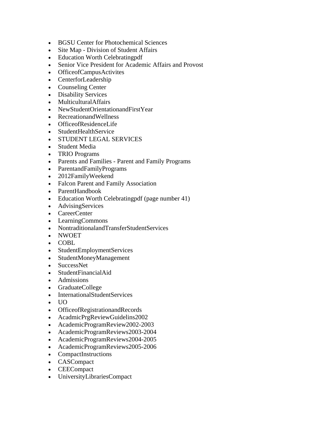- BGSU Center for Photochemical Sciences
- Site Map Division of Student Affairs
- Education Worth Celebrating pdf
- Senior Vice President for Academic Affairs and Provost
- OfficeofCampusActivites
- CenterforLeadership
- Counseling Center
- Disability Services
- MulticulturalAffairs
- NewStudentOrientationandFirstYear
- RecreationandWellness
- OfficeofResidenceLife
- StudentHealthService
- STUDENT LEGAL SERVICES
- Student Media
- TRIO Programs
- Parents and Families Parent and Family Programs
- ParentandFamilyPrograms
- 2012FamilyWeekend
- Falcon Parent and Family Association
- ParentHandbook
- Education Worth Celebrating pdf (page number 41)
- AdvisingServices
- CareerCenter
- LearningCommons
- NontraditionalandTransferStudentServices
- NWOET
- COBL
- StudentEmploymentServices
- StudentMoneyManagement
- SuccessNet
- StudentFinancialAid
- Admissions
- GraduateCollege
- InternationalStudentServices
- UO
- OfficeofRegistrationandRecords
- AcadmicPrgReviewGuidelins2002
- AcademicProgramReview2002-2003
- AcademicProgramReviews2003-2004
- AcademicProgramReviews2004-2005
- AcademicProgramReviews2005-2006
- CompactInstructions
- CASCompact
- CEECompact
- UniversityLibrariesCompact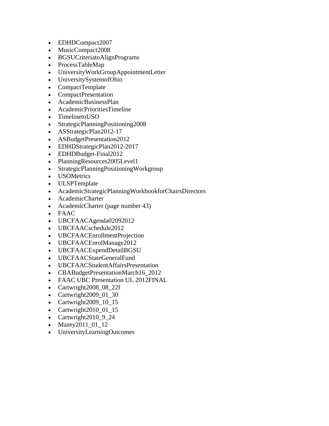- EDHDCompact2007
- MusicCompact2008
- BGSUCriteriatoAlignPrograms
- ProcessTableMap
- UniversityWorkGroupAppointmentLetter
- UniversitySystemofOhio
- CompactTemplate
- CompactPresentation
- AcademicBusinessPlan
- AcademicPrioritiesTimeline
- TimelinetoUSO
- StrategicPlanningPositioning2008
- ASStrategicPlan2012-17
- ASBudgetPresentation2012
- EDHDStrategicPlan2012-2017
- EDHDBudget-Final2012
- PlanningResources2005Level1
- StrategicPlanningPositioningWorkgroup
- **USOMetrics**
- ULSPTemplate
- AcademicStrategicPlanningWorkbookforChairsDirectors
- AcademicCharter
- AcademicCharter (page number 43)
- FAAC
- UBCFAACAgenda02092012
- UBCFAACschedule2012
- UBCFAACEnrollmentProjection
- UBCFAACEnrolManage2012
- UBCFAACExpendDetailBGSU
- UBCFAACStateGeneralFund
- UBCFAACStudentAffairsPresentation
- CBABudgetPresentationMarch16\_2012
- FAAC UBC Presentation UL 2012FINAL
- Cartwright2008 08 22f
- Cartwright2009\_01\_30
- Cartwright2009\_10\_15
- Cartwright2010\_01\_15
- Cartwright $2010\_9\_24$
- Mazey2011\_01\_12
- UniversityLearningOutcomes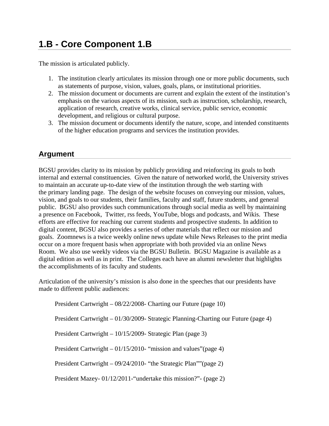### **1.B - Core Component 1.B**

The mission is articulated publicly.

- 1. The institution clearly articulates its mission through one or more public documents, such as statements of purpose, vision, values, goals, plans, or institutional priorities.
- 2. The mission document or documents are current and explain the extent of the institution's emphasis on the various aspects of its mission, such as instruction, scholarship, research, application of research, creative works, clinical service, public service, economic development, and religious or cultural purpose.
- 3. The mission document or documents identify the nature, scope, and intended constituents of the higher education programs and services the institution provides.

#### **Argument**

BGSU provides clarity to its mission by publicly providing and reinforcing its goals to both internal and external constituencies. Given the nature of networked world, the University strives to maintain an accurate up-to-date view of the institution through the web starting with the primary landing page. The design of the website focuses on conveying our mission, values, vision, and goals to our students, their families, faculty and staff, future students, and general public. BGSU also provides such communications through social media as well by maintaining a presence on Facebook, Twitter, rss feeds, YouTube, blogs and podcasts, and Wikis. These efforts are effective for reaching our current students and prospective students. In addition to digital content, BGSU also provides a series of other materials that reflect our mission and goals. Zoomnews is a twice weekly online news update while News Releases to the print media occur on a more frequent basis when appropriate with both provided via an online News Room. We also use weekly videos via the BGSU Bulletin. BGSU Magazine is available as a digital edition as well as in print. The Colleges each have an alumni newsletter that highlights the accomplishments of its faculty and students.

Articulation of the university's mission is also done in the speeches that our presidents have made to different public audiences:

 President Cartwright – 08/22/2008- Charting our Future (page 10) President Cartwright – 01/30/2009- Strategic Planning-Charting our Future (page 4) President Cartwright – 10/15/2009- Strategic Plan (page 3) President Cartwright – 01/15/2010- "mission and values"(page 4) President Cartwright – 09/24/2010- "the Strategic Plan""(page 2) President Mazey- 01/12/2011-"undertake this mission?"- (page 2)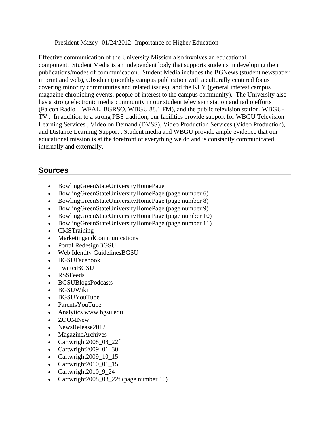President Mazey- 01/24/2012- Importance of Higher Education

Effective communication of the University Mission also involves an educational component. Student Media is an independent body that supports students in developing their publications/modes of communication. Student Media includes the BGNews (student newspaper in print and web), Obsidian (monthly campus publication with a culturally centered focus covering minority communities and related issues), and the KEY (general interest campus magazine chronicling events, people of interest to the campus community). The University also has a strong electronic media community in our student television station and radio efforts (Falcon Radio – WFAL, BGRSO, WBGU 88.1 FM), and the public television station, WBGU-TV . In addition to a strong PBS tradition, our facilities provide support for WBGU Television Learning Services , Video on Demand (DVSS), Video Production Services (Video Production), and Distance Learning Support . Student media and WBGU provide ample evidence that our educational mission is at the forefront of everything we do and is constantly communicated internally and externally.

- BowlingGreenStateUniversityHomePage
- BowlingGreenStateUniversityHomePage (page number 6)
- BowlingGreenStateUniversityHomePage (page number 8)
- BowlingGreenStateUniversityHomePage (page number 9)
- BowlingGreenStateUniversityHomePage (page number 10)
- BowlingGreenStateUniversityHomePage (page number 11)
- CMSTraining
- MarketingandCommunications
- Portal RedesignBGSU
- Web Identity GuidelinesBGSU
- BGSUFacebook
- TwitterBGSU
- RSSFeeds
- BGSUBlogsPodcasts
- BGSUWiki
- BGSUYouTube
- ParentsYouTube
- Analytics www bgsu edu
- ZOOMNew
- NewsRelease2012
- MagazineArchives
- Cartwright2008 08 22f
- Cartwright2009\_01\_30
- Cartwright $2009\_10\_15$
- Cartwright2010\_01\_15
- Cartwright2010 9 24
- Cartwright2008 08 22f (page number 10)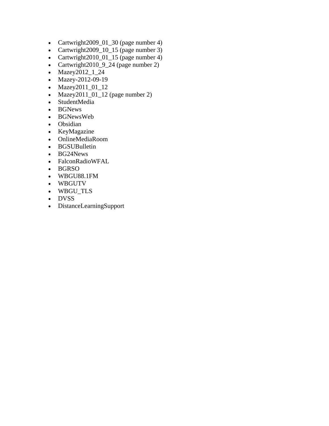- Cartwright2009\_01\_30 (page number 4)
- Cartwright2009\_10\_15 (page number 3)
- Cartwright2010\_01\_15 (page number 4)
- Cartwright2010\_9\_24 (page number 2)
- Mazey2012\_1\_24
- Mazey-2012-09-19
- Mazey2011\_01\_12
- $\bullet$  Mazey2011\_01\_12 (page number 2)
- StudentMedia
- BGNews
- BGNewsWeb
- Obsidian
- KeyMagazine
- OnlineMediaRoom
- BGSUBulletin
- BG24News
- FalconRadioWFAL
- BGRSO
- WBGU88.1FM
- WBGUTV
- WBGU\_TLS
- DVSS
- DistanceLearningSupport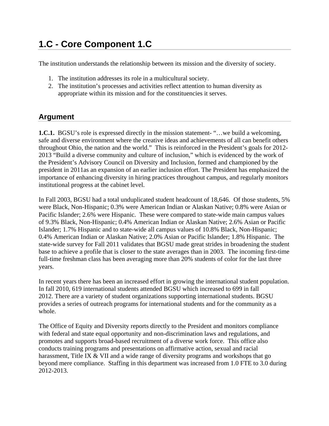## **1.C - Core Component 1.C**

The institution understands the relationship between its mission and the diversity of society.

- 1. The institution addresses its role in a multicultural society.
- 2. The institution's processes and activities reflect attention to human diversity as appropriate within its mission and for the constituencies it serves.

#### **Argument**

**1.C.1.** BGSU's role is expressed directly in the mission statement- "... we build a welcoming, safe and diverse environment where the creative ideas and achievements of all can benefit others throughout Ohio, the nation and the world." This is reinforced in the President's goals for 2012- 2013 "Build a diverse community and culture of inclusion," which is evidenced by the work of the President's Advisory Council on Diversity and Inclusion, formed and championed by the president in 2011as an expansion of an earlier inclusion effort. The President has emphasized the importance of enhancing diversity in hiring practices throughout campus, and regularly monitors institutional progress at the cabinet level.

In Fall 2003, BGSU had a total unduplicated student headcount of 18,646. Of those students, 5% were Black, Non-Hispanic; 0.3% were American Indian or Alaskan Native; 0.8% were Asian or Pacific Islander; 2.6% were Hispanic. These were compared to state-wide main campus values of 9.3% Black, Non-Hispanic; 0.4% American Indian or Alaskan Native; 2.6% Asian or Pacific Islander; 1.7% Hispanic and to state-wide all campus values of 10.8% Black, Non-Hispanic; 0.4% American Indian or Alaskan Native; 2.0% Asian or Pacific Islander; 1.8% Hispanic. The state-wide survey for Fall 2011 validates that BGSU made great strides in broadening the student base to achieve a profile that is closer to the state averages than in 2003. The incoming first-time full-time freshman class has been averaging more than 20% students of color for the last three years.

In recent years there has been an increased effort in growing the international student population. In fall 2010, 619 international students attended BGSU which increased to 699 in fall 2012. There are a variety of student organizations supporting international students. BGSU provides a series of outreach programs for international students and for the community as a whole.

The Office of Equity and Diversity reports directly to the President and monitors compliance with federal and state equal opportunity and non-discrimination laws and regulations, and promotes and supports broad-based recruitment of a diverse work force. This office also conducts training programs and presentations on affirmative action, sexual and racial harassment, Title IX & VII and a wide range of diversity programs and workshops that go beyond mere compliance. Staffing in this department was increased from 1.0 FTE to 3.0 during 2012-2013.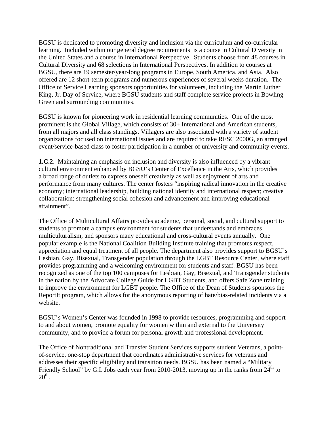BGSU is dedicated to promoting diversity and inclusion via the curriculum and co-curricular learning. Included within our general degree requirements is a course in Cultural Diversity in the United States and a course in International Perspective. Students choose from 48 courses in Cultural Diversity and 68 selections in International Perspectives. In addition to courses at BGSU, there are 19 semester/year-long programs in Europe, South America, and Asia. Also offered are 12 short-term programs and numerous experiences of several weeks duration. The Office of Service Learning sponsors opportunities for volunteers, including the Martin Luther King, Jr. Day of Service, where BGSU students and staff complete service projects in Bowling Green and surrounding communities.

BGSU is known for pioneering work in residential learning communities. One of the most prominent is the Global Village, which consists of 30+ International and American students, from all majors and all class standings. Villagers are also associated with a variety of student organizations focused on international issues and are required to take RESC 2000G, an arranged event/service-based class to foster participation in a number of university and community events.

**1.C.2**. Maintaining an emphasis on inclusion and diversity is also influenced by a vibrant cultural environment enhanced by BGSU's Center of Excellence in the Arts, which provides a broad range of outlets to express oneself creatively as well as enjoyment of arts and performance from many cultures. The center fosters "inspiring radical innovation in the creative economy; international leadership, building national identity and international respect; creative collaboration; strengthening social cohesion and advancement and improving educational attainment".

The Office of Multicultural Affairs provides academic, personal, social, and cultural support to students to promote a campus environment for students that understands and embraces multiculturalism, and sponsors many educational and cross-cultural events annually. One popular example is the National Coalition Building Institute training that promotes respect, appreciation and equal treatment of all people. The department also provides support to BGSU's Lesbian, Gay, Bisexual, Transgender population through the LGBT Resource Center, where staff provides programming and a welcoming environment for students and staff. BGSU has been recognized as one of the top 100 campuses for Lesbian, Gay, Bisexual, and Transgender students in the nation by the Advocate College Guide for LGBT Students, and offers Safe Zone training to improve the environment for LGBT people. The Office of the Dean of Students sponsors the ReportIt program, which allows for the anonymous reporting of hate/bias-related incidents via a website.

BGSU's Women's Center was founded in 1998 to provide resources, programming and support to and about women, promote equality for women within and external to the University community, and to provide a forum for personal growth and professional development.

The Office of Nontraditional and Transfer Student Services supports student Veterans, a pointof-service, one-stop department that coordinates administrative services for veterans and addresses their specific eligibility and transition needs. BGSU has been named a "Military Friendly School" by G.I. Jobs each year from 2010-2013, moving up in the ranks from  $24<sup>th</sup>$  to  $20<sup>th</sup>$ .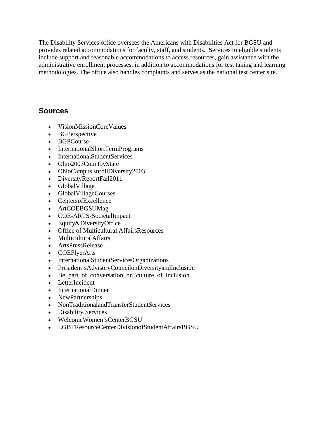The Disability Services office oversees the Americans with Disabilities Act for BGSU and provides related accommodations for faculty, staff, and students. Services to eligible students include support and reasonable accommodations to access resources, gain assistance with the administrative enrollment processes, in addition to accommodations for test taking and learning methodologies. The office also handles complaints and serves as the national test center site.

- VisionMissionCoreValues
- BGPerspective
- BGPCourse
- InternationalShortTermPrograms
- InternationalStudentServices
- Ohio2003CountbyState
- OhioCampusEnrollDiversity2003
- DiversityReportFall2011
- GlobalVillage
- GlobalVillageCourses
- CentersofExcellence
- ArtCOEBGSUMag
- COE-ARTS-SocietalImpact
- Equity&DiversityOffice
- Office of Multicultural AffairsResources
- MulticulturalAffairs
- ArtsPressRelease
- COEFlyerArts
- InternationalStudentServicesOrganizations
- President'sAdvisoryCouncilonDiversityandInclusion
- Be\_part\_of\_conversation\_on\_culture\_of\_inclusion
- LetterIncident
- InternationalDinner
- NewPartnerships
- NonTraditionalandTransferStudentServices
- Disability Services
- WelcomeWomen'sCenterBGSU
- LGBTResourceCenterDivisionofStudentAffairsBGSU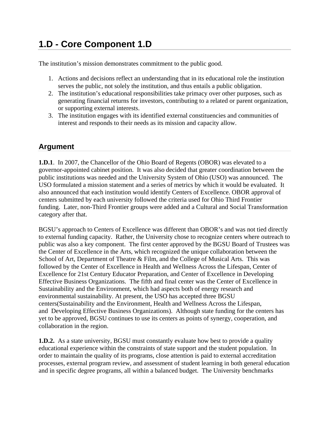## **1.D - Core Component 1.D**

The institution's mission demonstrates commitment to the public good.

- 1. Actions and decisions reflect an understanding that in its educational role the institution serves the public, not solely the institution, and thus entails a public obligation.
- 2. The institution's educational responsibilities take primacy over other purposes, such as generating financial returns for investors, contributing to a related or parent organization, or supporting external interests.
- 3. The institution engages with its identified external constituencies and communities of interest and responds to their needs as its mission and capacity allow.

### **Argument**

**1.D.1**. In 2007, the Chancellor of the Ohio Board of Regents (OBOR) was elevated to a governor-appointed cabinet position. It was also decided that greater coordination between the public institutions was needed and the University System of Ohio (USO) was announced. The USO formulated a mission statement and a series of metrics by which it would be evaluated. It also announced that each institution would identify Centers of Excellence. OBOR approval of centers submitted by each university followed the criteria used for Ohio Third Frontier funding. Later, non-Third Frontier groups were added and a Cultural and Social Transformation category after that.

BGSU's approach to Centers of Excellence was different than OBOR's and was not tied directly to external funding capacity. Rather, the University chose to recognize centers where outreach to public was also a key component. The first center approved by the BGSU Board of Trustees was the Center of Excellence in the Arts, which recognized the unique collaboration between the School of Art, Department of Theatre & Film, and the College of Musical Arts. This was followed by the Center of Excellence in Health and Wellness Across the Lifespan, Center of Excellence for 21st Century Educator Preparation, and Center of Excellence in Developing Effective Business Organizations. The fifth and final center was the Center of Excellence in Sustainability and the Environment, which had aspects both of energy research and environmental sustainability. At present, the USO has accepted three BGSU centers(Sustainability and the Environment, Health and Wellness Across the Lifespan, and Developing Effective Business Organizations). Although state funding for the centers has yet to be approved, BGSU continues to use its centers as points of synergy, cooperation, and collaboration in the region.

**1.D.2.** As a state university, BGSU must constantly evaluate how best to provide a quality educational experience within the constraints of state support and the student population. In order to maintain the quality of its programs, close attention is paid to external accreditation processes, external program review, and assessment of student learning in both general education and in specific degree programs, all within a balanced budget. The University benchmarks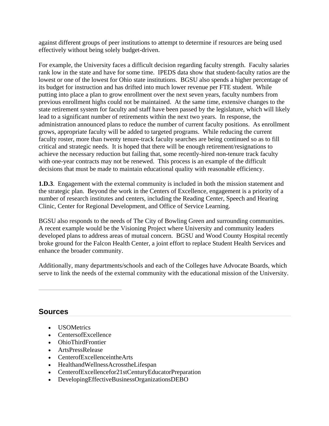against different groups of peer institutions to attempt to determine if resources are being used effectively without being solely budget-driven.

For example, the University faces a difficult decision regarding faculty strength. Faculty salaries rank low in the state and have for some time. IPEDS data show that student-faculty ratios are the lowest or one of the lowest for Ohio state institutions. BGSU also spends a higher percentage of its budget for instruction and has drifted into much lower revenue per FTE student. While putting into place a plan to grow enrollment over the next seven years, faculty numbers from previous enrollment highs could not be maintained. At the same time, extensive changes to the state retirement system for faculty and staff have been passed by the legislature, which will likely lead to a significant number of retirements within the next two years. In response, the administration announced plans to reduce the number of current faculty positions. As enrollment grows, appropriate faculty will be added to targeted programs. While reducing the current faculty roster, more than twenty tenure-track faculty searches are being continued so as to fill critical and strategic needs. It is hoped that there will be enough retirement/resignations to achieve the necessary reduction but failing that, some recently-hired non-tenure track faculty with one-year contracts may not be renewed. This process is an example of the difficult decisions that must be made to maintain educational quality with reasonable efficiency.

**1.D.3**. Engagement with the external community is included in both the mission statement and the strategic plan. Beyond the work in the Centers of Excellence, engagement is a priority of a number of research institutes and centers, including the Reading Center, Speech and Hearing Clinic, Center for Regional Development, and Office of Service Learning.

BGSU also responds to the needs of The City of Bowling Green and surrounding communities. A recent example would be the Visioning Project where University and community leaders developed plans to address areas of mutual concern. BGSU and Wood County Hospital recently broke ground for the Falcon Health Center, a joint effort to replace Student Health Services and enhance the broader community.

Additionally, many departments/schools and each of the Colleges have Advocate Boards, which serve to link the needs of the external community with the educational mission of the University.

- **USOMetrics**
- CentersofExcellence
- OhioThirdFrontier
- ArtsPressRelease
- CenterofExcellenceintheArts
- HealthandWellnessAcrosstheLifespan
- CenterofExcellencefor21stCenturyEducatorPreparation
- DevelopingEffectiveBusinessOrganizationsDEBO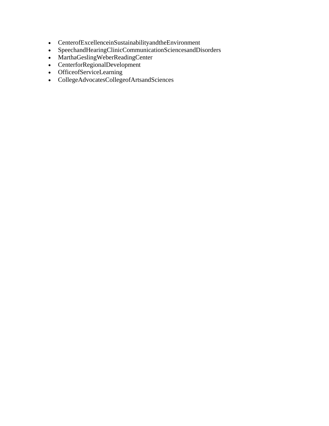- CenterofExcellenceinSustainabilityandtheEnvironment
- SpeechandHearingClinicCommunicationSciencesandDisorders
- MarthaGeslingWeberReadingCenter
- CenterforRegionalDevelopment
- OfficeofServiceLearning
- CollegeAdvocatesCollegeofArtsandSciences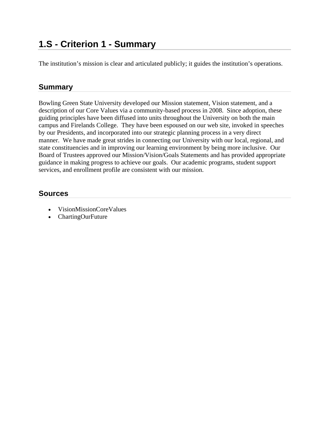### **1.S - Criterion 1 - Summary**

The institution's mission is clear and articulated publicly; it guides the institution's operations.

#### **Summary**

Bowling Green State University developed our Mission statement, Vision statement, and a description of our Core Values via a community-based process in 2008. Since adoption, these guiding principles have been diffused into units throughout the University on both the main campus and Firelands College. They have been espoused on our web site, invoked in speeches by our Presidents, and incorporated into our strategic planning process in a very direct manner. We have made great strides in connecting our University with our local, regional, and state constituencies and in improving our learning environment by being more inclusive. Our Board of Trustees approved our Mission/Vision/Goals Statements and has provided appropriate guidance in making progress to achieve our goals. Our academic programs, student support services, and enrollment profile are consistent with our mission.

- VisionMissionCoreValues
- ChartingOurFuture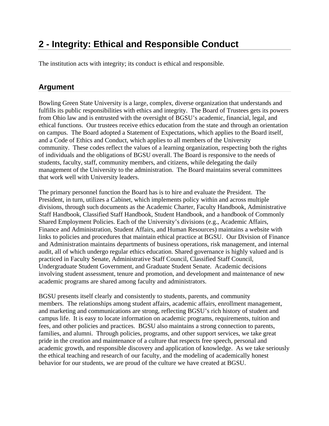## **2 - Integrity: Ethical and Responsible Conduct**

The institution acts with integrity; its conduct is ethical and responsible.

### **Argument**

Bowling Green State University is a large, complex, diverse organization that understands and fulfills its public responsibilities with ethics and integrity. The Board of Trustees gets its powers from Ohio law and is entrusted with the oversight of BGSU's academic, financial, legal, and ethical functions. Our trustees receive ethics education from the state and through an orientation on campus. The Board adopted a Statement of Expectations, which applies to the Board itself, and a Code of Ethics and Conduct, which applies to all members of the University community. These codes reflect the values of a learning organization, respecting both the rights of individuals and the obligations of BGSU overall. The Board is responsive to the needs of students, faculty, staff, community members, and citizens, while delegating the daily management of the University to the administration. The Board maintains several committees that work well with University leaders.

The primary personnel function the Board has is to hire and evaluate the President. The President, in turn, utilizes a Cabinet, which implements policy within and across multiple divisions, through such documents as the Academic Charter, Faculty Handbook, Administrative Staff Handbook, Classified Staff Handbook, Student Handbook, and a handbook of Commonly Shared Employment Policies. Each of the University's divisions (e.g., Academic Affairs, Finance and Administration, Student Affairs, and Human Resources) maintains a website with links to policies and procedures that maintain ethical practice at BGSU. Our Division of Finance and Administration maintains departments of business operations, risk management, and internal audit, all of which undergo regular ethics education. Shared governance is highly valued and is practiced in Faculty Senate, Administrative Staff Council, Classified Staff Council, Undergraduate Student Government, and Graduate Student Senate. Academic decisions involving student assessment, tenure and promotion, and development and maintenance of new academic programs are shared among faculty and administrators.

BGSU presents itself clearly and consistently to students, parents, and community members. The relationships among student affairs, academic affairs, enrollment management, and marketing and communications are strong, reflecting BGSU's rich history of student and campus life. It is easy to locate information on academic programs, requirements, tuition and fees, and other policies and practices. BGSU also maintains a strong connection to parents, families, and alumni. Through policies, programs, and other support services, we take great pride in the creation and maintenance of a culture that respects free speech, personal and academic growth, and responsible discovery and application of knowledge. As we take seriously the ethical teaching and research of our faculty, and the modeling of academically honest behavior for our students, we are proud of the culture we have created at BGSU.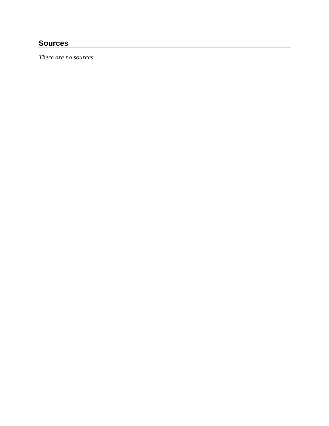#### **Sources**

*There are no sources.*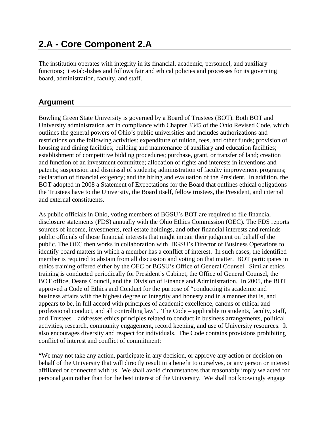### **2.A - Core Component 2.A**

The institution operates with integrity in its financial, academic, personnel, and auxiliary functions; it estab-lishes and follows fair and ethical policies and processes for its governing board, administration, faculty, and staff.

#### **Argument**

Bowling Green State University is governed by a Board of Trustees (BOT). Both BOT and University administration act in compliance with Chapter 3345 of the Ohio Revised Code, which outlines the general powers of Ohio's public universities and includes authorizations and restrictions on the following activities: expenditure of tuition, fees, and other funds; provision of housing and dining facilities; building and maintenance of auxiliary and education facilities; establishment of competitive bidding procedures; purchase, grant, or transfer of land; creation and function of an investment committee; allocation of rights and interests in inventions and patents; suspension and dismissal of students; administration of faculty improvement programs; declaration of financial exigency; and the hiring and evaluation of the President. In addition, the BOT adopted in 2008 a Statement of Expectations for the Board that outlines ethical obligations the Trustees have to the University, the Board itself, fellow trustees, the President, and internal and external constituents.

As public officials in Ohio, voting members of BGSU's BOT are required to file financial disclosure statements (FDS) annually with the Ohio Ethics Commission (OEC). The FDS reports sources of income, investments, real estate holdings, and other financial interests and reminds public officials of those financial interests that might impair their judgment on behalf of the public. The OEC then works in collaboration with BGSU's Director of Business Operations to identify board matters in which a member has a conflict of interest. In such cases, the identified member is required to abstain from all discussion and voting on that matter. BOT participates in ethics training offered either by the OEC or BGSU's Office of General Counsel. Similar ethics training is conducted periodically for President's Cabinet, the Office of General Counsel, the BOT office, Deans Council, and the Division of Finance and Administration. In 2005, the BOT approved a Code of Ethics and Conduct for the purpose of "conducting its academic and business affairs with the highest degree of integrity and honesty and in a manner that is, and appears to be, in full accord with principles of academic excellence, canons of ethical and professional conduct, and all controlling law". The Code – applicable to students, faculty, staff, and Trustees – addresses ethics principles related to conduct in business arrangements, political activities, research, community engagement, record keeping, and use of University resources. It also encourages diversity and respect for individuals. The Code contains provisions prohibiting conflict of interest and conflict of commitment:

"We may not take any action, participate in any decision, or approve any action or decision on behalf of the University that will directly result in a benefit to ourselves, or any person or interest affiliated or connected with us. We shall avoid circumstances that reasonably imply we acted for personal gain rather than for the best interest of the University. We shall not knowingly engage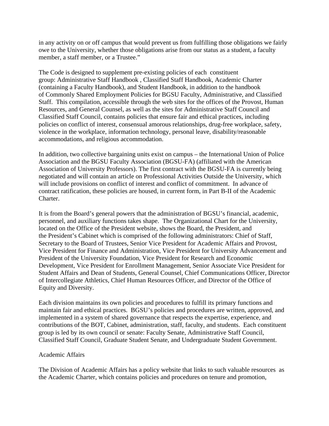in any activity on or off campus that would prevent us from fulfilling those obligations we fairly owe to the University, whether those obligations arise from our status as a student, a faculty member, a staff member, or a Trustee."

The Code is designed to supplement pre-existing policies of each constituent group: Administrative Staff Handbook , Classified Staff Handbook, Academic Charter (containing a Faculty Handbook), and Student Handbook, in addition to the handbook of Commonly Shared Employment Policies for BGSU Faculty, Administrative, and Classified Staff. This compilation, accessible through the web sites for the offices of the Provost, Human Resources, and General Counsel, as well as the sites for Administrative Staff Council and Classified Staff Council, contains policies that ensure fair and ethical practices, including policies on conflict of interest, consensual amorous relationships, drug-free workplace, safety, violence in the workplace, information technology, personal leave, disability/reasonable accommodations, and religious accommodation.

In addition, two collective bargaining units exist on campus – the International Union of Police Association and the BGSU Faculty Association (BGSU-FA) (affiliated with the American Association of University Professors). The first contract with the BGSU-FA is currently being negotiated and will contain an article on Professional Activities Outside the University, which will include provisions on conflict of interest and conflict of commitment. In advance of contract ratification, these policies are housed, in current form, in Part B-II of the Academic Charter.

It is from the Board's general powers that the administration of BGSU's financial, academic, personnel, and auxiliary functions takes shape. The Organizational Chart for the University, located on the Office of the President website, shows the Board, the President, and the President's Cabinet which is comprised of the following administrators: Chief of Staff, Secretary to the Board of Trustees, Senior Vice President for Academic Affairs and Provost, Vice President for Finance and Administration, Vice President for University Advancement and President of the University Foundation, Vice President for Research and Economic Development, Vice President for Enrollment Management, Senior Associate Vice President for Student Affairs and Dean of Students, General Counsel, Chief Communications Officer, Director of Intercollegiate Athletics, Chief Human Resources Officer, and Director of the Office of Equity and Diversity.

Each division maintains its own policies and procedures to fulfill its primary functions and maintain fair and ethical practices. BGSU's policies and procedures are written, approved, and implemented in a system of shared governance that respects the expertise, experience, and contributions of the BOT, Cabinet, administration, staff, faculty, and students. Each constituent group is led by its own council or senate: Faculty Senate, Administrative Staff Council, Classified Staff Council, Graduate Student Senate, and Undergraduate Student Government.

#### Academic Affairs

The Division of Academic Affairs has a policy website that links to such valuable resources as the Academic Charter, which contains policies and procedures on tenure and promotion,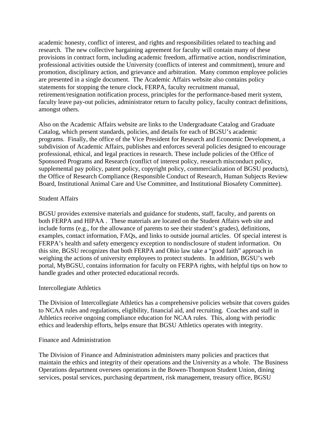academic honesty, conflict of interest, and rights and responsibilities related to teaching and research. The new collective bargaining agreement for faculty will contain many of these provisions in contract form, including academic freedom, affirmative action, nondiscrimination, professional activities outside the University (conflicts of interest and commitment), tenure and promotion, disciplinary action, and grievance and arbitration. Many common employee policies are presented in a single document. The Academic Affairs website also contains policy statements for stopping the tenure clock, FERPA, faculty recruitment manual, retirement/resignation notification process, principles for the performance-based merit system, faculty leave pay-out policies, administrator return to faculty policy, faculty contract definitions, amongst others.

Also on the Academic Affairs website are links to the Undergraduate Catalog and Graduate Catalog, which present standards, policies, and details for each of BGSU's academic programs. Finally, the office of the Vice President for Research and Economic Development, a subdivision of Academic Affairs, publishes and enforces several policies designed to encourage professional, ethical, and legal practices in research. These include policies of the Office of Sponsored Programs and Research (conflict of interest policy, research misconduct policy, supplemental pay policy, patent policy, copyright policy, commercialization of BGSU products), the Office of Research Compliance (Responsible Conduct of Research, Human Subjects Review Board, Institutional Animal Care and Use Committee, and Institutional Biosafety Committee).

#### Student Affairs

BGSU provides extensive materials and guidance for students, staff, faculty, and parents on both FERPA and HIPAA . These materials are located on the Student Affairs web site and include forms (e.g., for the allowance of parents to see their student's grades), definitions, examples, contact information, FAQs, and links to outside journal articles. Of special interest is FERPA's health and safety emergency exception to nondisclosure of student information. On this site, BGSU recognizes that both FERPA and Ohio law take a "good faith" approach in weighing the actions of university employees to protect students. In addition, BGSU's web portal, MyBGSU, contains information for faculty on FERPA rights, with helpful tips on how to handle grades and other protected educational records.

#### Intercollegiate Athletics

The Division of Intercollegiate Athletics has a comprehensive policies website that covers guides to NCAA rules and regulations, eligibility, financial aid, and recruiting. Coaches and staff in Athletics receive ongoing compliance education for NCAA rules. This, along with periodic ethics and leadership efforts, helps ensure that BGSU Athletics operates with integrity.

#### Finance and Administration

The Division of Finance and Administration administers many policies and practices that maintain the ethics and integrity of their operations and the University as a whole. The Business Operations department oversees operations in the Bowen-Thompson Student Union, dining services, postal services, purchasing department, risk management, treasury office, BGSU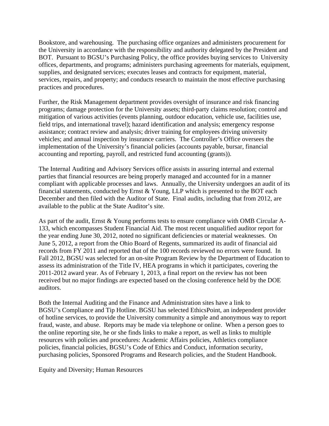Bookstore, and warehousing. The purchasing office organizes and administers procurement for the University in accordance with the responsibility and authority delegated by the President and BOT. Pursuant to BGSU's Purchasing Policy, the office provides buying services to University offices, departments, and programs; administers purchasing agreements for materials, equipment, supplies, and designated services; executes leases and contracts for equipment, material, services, repairs, and property; and conducts research to maintain the most effective purchasing practices and procedures.

Further, the Risk Management department provides oversight of insurance and risk financing programs; damage protection for the University assets; third-party claims resolution; control and mitigation of various activities (events planning, outdoor education, vehicle use, facilities use, field trips, and international travel); hazard identification and analysis; emergency response assistance; contract review and analysis; driver training for employees driving university vehicles; and annual inspection by insurance carriers. The Controller's Office oversees the implementation of the University's financial policies (accounts payable, bursar, financial accounting and reporting, payroll, and restricted fund accounting (grants)).

The Internal Auditing and Advisory Services office assists in assuring internal and external parties that financial resources are being properly managed and accounted for in a manner compliant with applicable processes and laws. Annually, the University undergoes an audit of its financial statements, conducted by Ernst & Young, LLP which is presented to the BOT each December and then filed with the Auditor of State. Final audits, including that from 2012, are available to the public at the State Auditor's site.

As part of the audit, Ernst & Young performs tests to ensure compliance with OMB Circular A-133, which encompasses Student Financial Aid. The most recent unqualified auditor report for the year ending June 30, 2012, noted no significant deficiencies or material weaknesses. On June 5, 2012, a report from the Ohio Board of Regents, summarized its audit of financial aid records from FY 2011 and reported that of the 100 records reviewed no errors were found. In Fall 2012, BGSU was selected for an on-site Program Review by the Department of Education to assess its administration of the Title IV, HEA programs in which it participates, covering the 2011-2012 award year. As of February 1, 2013, a final report on the review has not been received but no major findings are expected based on the closing conference held by the DOE auditors.

Both the Internal Auditing and the Finance and Administration sites have a link to BGSU's Compliance and Tip Hotline. BGSU has selected EthicsPoint, an independent provider of hotline services, to provide the University community a simple and anonymous way to report fraud, waste, and abuse. Reports may be made via telephone or online. When a person goes to the online reporting site, he or she finds links to make a report, as well as links to multiple resources with policies and procedures: Academic Affairs policies, Athletics compliance policies, financial policies, BGSU's Code of Ethics and Conduct, information security, purchasing policies, Sponsored Programs and Research policies, and the Student Handbook.

Equity and Diversity; Human Resources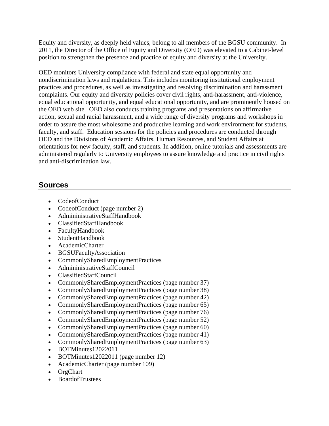Equity and diversity, as deeply held values, belong to all members of the BGSU community. In 2011, the Director of the Office of Equity and Diversity (OED) was elevated to a Cabinet-level position to strengthen the presence and practice of equity and diversity at the University.

OED monitors University compliance with federal and state equal opportunity and nondiscrimination laws and regulations. This includes monitoring institutional employment practices and procedures, as well as investigating and resolving discrimination and harassment complaints. Our equity and diversity policies cover civil rights, anti-harassment, anti-violence, equal educational opportunity, and equal educational opportunity, and are prominently housed on the OED web site. OED also conducts training programs and presentations on affirmative action, sexual and racial harassment, and a wide range of diversity programs and workshops in order to assure the most wholesome and productive learning and work environment for students, faculty, and staff. Education sessions for the policies and procedures are conducted through OED and the Divisions of Academic Affairs, Human Resources, and Student Affairs at orientations for new faculty, staff, and students. In addition, online tutorials and assessments are administered regularly to University employees to assure knowledge and practice in civil rights and anti-discrimination law.

- CodeofConduct
- CodeofConduct (page number 2)
- AdmininistrativeStaffHandbook
- ClassifiedStaffHandbook
- FacultyHandbook
- StudentHandbook
- AcademicCharter
- BGSUFacultyAssociation
- CommonlySharedEmploymentPractices
- AdmininistrativeStaffCouncil
- ClassifiedStaffCouncil
- CommonlySharedEmploymentPractices (page number 37)
- CommonlySharedEmploymentPractices (page number 38)
- CommonlySharedEmploymentPractices (page number 42)
- CommonlySharedEmploymentPractices (page number 65)
- CommonlySharedEmploymentPractices (page number 76)
- CommonlySharedEmploymentPractices (page number 52)
- CommonlySharedEmploymentPractices (page number 60)
- CommonlySharedEmploymentPractices (page number 41)
- CommonlySharedEmploymentPractices (page number 63)
- BOTMinutes12022011
- BOTMinutes12022011 (page number 12)
- AcademicCharter (page number 109)
- OrgChart
- BoardofTrustees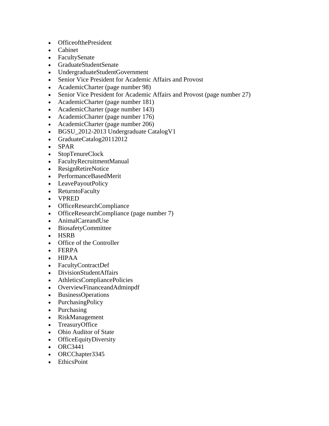- OfficeofthePresident
- Cabinet
- FacultySenate
- GraduateStudentSenate
- UndergraduateStudentGovernment
- Senior Vice President for Academic Affairs and Provost
- AcademicCharter (page number 98)
- Senior Vice President for Academic Affairs and Provost (page number 27)
- AcademicCharter (page number 181)
- AcademicCharter (page number 143)
- AcademicCharter (page number 176)
- AcademicCharter (page number 206)
- BGSU\_2012-2013 Undergraduate CatalogV1
- GraduateCatalog20112012
- SPAR
- StopTenureClock
- FacultyRecruitmentManual
- ResignRetireNotice
- PerformanceBasedMerit
- LeavePayoutPolicy
- ReturntoFaculty
- VPRED
- OfficeResearchCompliance
- OfficeResearchCompliance (page number 7)
- AnimalCareandUse
- BiosafetyCommittee
- HSRB
- Office of the Controller
- FERPA
- HIPAA
- FacultyContractDef
- DivisionStudentAffairs
- AthleticsCompliancePolicies
- OverviewFinanceandAdminpdf
- BusinessOperations
- PurchasingPolicy
- Purchasing
- RiskManagement
- TreasuryOffice
- Ohio Auditor of State
- OfficeEquityDiversity
- $\bullet$  ORC3441
- ORCChapter3345
- EthicsPoint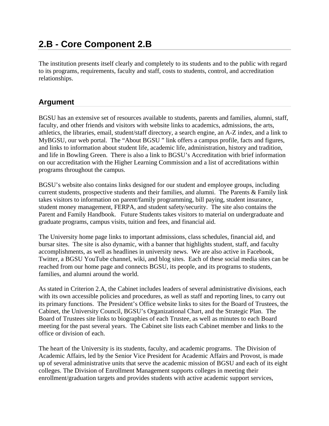### **2.B - Core Component 2.B**

The institution presents itself clearly and completely to its students and to the public with regard to its programs, requirements, faculty and staff, costs to students, control, and accreditation relationships.

### **Argument**

BGSU has an extensive set of resources available to students, parents and families, alumni, staff, faculty, and other friends and visitors with website links to academics, admissions, the arts, athletics, the libraries, email, student/staff directory, a search engine, an A-Z index, and a link to MyBGSU, our web portal. The "About BGSU " link offers a campus profile, facts and figures, and links to information about student life, academic life, administration, history and tradition, and life in Bowling Green. There is also a link to BGSU's Accreditation with brief information on our accreditation with the Higher Learning Commission and a list of accreditations within programs throughout the campus.

BGSU's website also contains links designed for our student and employee groups, including current students, prospective students and their families, and alumni. The Parents & Family link takes visitors to information on parent/family programming, bill paying, student insurance, student money management, FERPA, and student safety/security. The site also contains the Parent and Family Handbook. Future Students takes visitors to material on undergraduate and graduate programs, campus visits, tuition and fees, and financial aid.

The University home page links to important admissions, class schedules, financial aid, and bursar sites. The site is also dynamic, with a banner that highlights student, staff, and faculty accomplishments, as well as headlines in university news. We are also active in Facebook, Twitter, a BGSU YouTube channel, wiki, and blog sites. Each of these social media sites can be reached from our home page and connects BGSU, its people, and its programs to students, families, and alumni around the world.

As stated in Criterion 2.A, the Cabinet includes leaders of several administrative divisions, each with its own accessible policies and procedures, as well as staff and reporting lines, to carry out its primary functions. The President's Office website links to sites for the Board of Trustees, the Cabinet, the University Council, BGSU's Organizational Chart, and the Strategic Plan. The Board of Trustees site links to biographies of each Trustee, as well as minutes to each Board meeting for the past several years. The Cabinet site lists each Cabinet member and links to the office or division of each.

The heart of the University is its students, faculty, and academic programs. The Division of Academic Affairs, led by the Senior Vice President for Academic Affairs and Provost, is made up of several administrative units that serve the academic mission of BGSU and each of its eight colleges. The Division of Enrollment Management supports colleges in meeting their enrollment/graduation targets and provides students with active academic support services,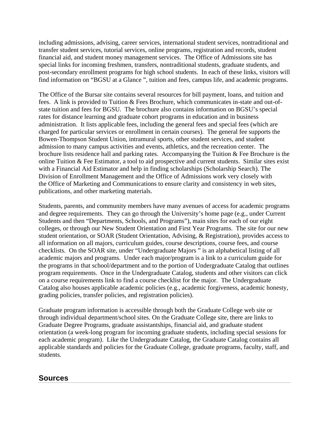including admissions, advising, career services, international student services, nontraditional and transfer student services, tutorial services, online programs, registration and records, student financial aid, and student money management services. The Office of Admissions site has special links for incoming freshmen, transfers, nontraditional students, graduate students, and post-secondary enrollment programs for high school students. In each of these links, visitors will find information on "BGSU at a Glance ", tuition and fees, campus life, and academic programs.

The Office of the Bursar site contains several resources for bill payment, loans, and tuition and fees. A link is provided to Tuition & Fees Brochure, which communicates in-state and out-ofstate tuition and fees for BGSU. The brochure also contains information on BGSU's special rates for distance learning and graduate cohort programs in education and in business administration. It lists applicable fees, including the general fees and special fees (which are charged for particular services or enrollment in certain courses). The general fee supports the Bowen-Thompson Student Union, intramural sports, other student services, and student admission to many campus activities and events, athletics, and the recreation center. The brochure lists residence hall and parking rates. Accompanying the Tuition & Fee Brochure is the online Tuition & Fee Estimator, a tool to aid prospective and current students. Similar sites exist with a Financial Aid Estimator and help in finding scholarships (Scholarship Search). The Division of Enrollment Management and the Office of Admissions work very closely with the Office of Marketing and Communications to ensure clarity and consistency in web sites, publications, and other marketing materials.

Students, parents, and community members have many avenues of access for academic programs and degree requirements. They can go through the University's home page (e.g., under Current Students and then "Departments, Schools, and Programs"), main sites for each of our eight colleges, or through our New Student Orientation and First Year Programs. The site for our new student orientation, or SOAR (Student Orientation, Advising, & Registration), provides access to all information on all majors, curriculum guides, course descriptions, course fees, and course checklists. On the SOAR site, under "Undergraduate Majors " is an alphabetical listing of all academic majors and programs. Under each major/program is a link to a curriculum guide for the programs in that school/department and to the portion of Undergraduate Catalog that outlines program requirements. Once in the Undergraduate Catalog, students and other visitors can click on a course requirements link to find a course checklist for the major. The Undergraduate Catalog also houses applicable academic policies (e.g., academic forgiveness, academic honesty, grading policies, transfer policies, and registration policies).

Graduate program information is accessible through both the Graduate College web site or through individual department/school sites. On the Graduate College site, there are links to Graduate Degree Programs, graduate assistantships, financial aid, and graduate student orientation (a week-long program for incoming graduate students, including special sessions for each academic program). Like the Undergraduate Catalog, the Graduate Catalog contains all applicable standards and policies for the Graduate College, graduate programs, faculty, staff, and students.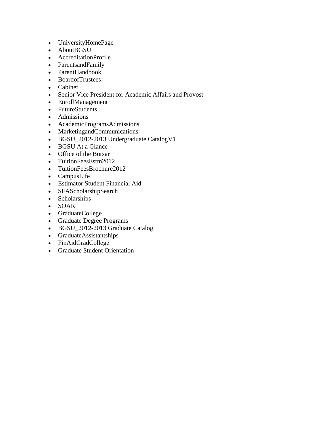- UniversityHomePage
- AboutBGSU
- AccreditationProfile
- ParentsandFamily
- ParentHandbook
- BoardofTrustees
- Cabinet
- Senior Vice President for Academic Affairs and Provost
- EnrollManagement
- FutureStudents
- Admissions
- AcademicProgramsAdmissions
- MarketingandCommunications
- BGSU\_2012-2013 Undergraduate CatalogV1
- BGSU At a Glance
- Office of the Bursar
- TuitionFeesEstm2012
- TuitionFeesBrochure2012
- CampusLife
- Estimator Student Financial Aid
- SFAScholarshipSearch
- Scholarships
- SOAR
- GraduateCollege
- Graduate Degree Programs
- BGSU\_2012-2013 Graduate Catalog
- GraduateAssistantships
- FinAidGradCollege
- Graduate Student Orientation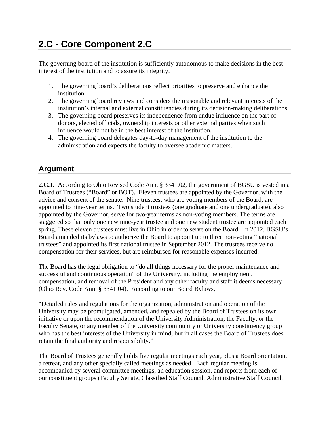## **2.C - Core Component 2.C**

The governing board of the institution is sufficiently autonomous to make decisions in the best interest of the institution and to assure its integrity.

- 1. The governing board's deliberations reflect priorities to preserve and enhance the institution.
- 2. The governing board reviews and considers the reasonable and relevant interests of the institution's internal and external constituencies during its decision-making deliberations.
- 3. The governing board preserves its independence from undue influence on the part of donors, elected officials, ownership interests or other external parties when such influence would not be in the best interest of the institution.
- 4. The governing board delegates day-to-day management of the institution to the administration and expects the faculty to oversee academic matters.

### **Argument**

**2.C.1.** According to Ohio Revised Code Ann. § 3341.02, the government of BGSU is vested in a Board of Trustees ("Board" or BOT). Eleven trustees are appointed by the Governor, with the advice and consent of the senate. Nine trustees, who are voting members of the Board, are appointed to nine-year terms. Two student trustees (one graduate and one undergraduate), also appointed by the Governor, serve for two-year terms as non-voting members. The terms are staggered so that only one new nine-year trustee and one new student trustee are appointed each spring. These eleven trustees must live in Ohio in order to serve on the Board. In 2012, BGSU's Board amended its bylaws to authorize the Board to appoint up to three non-voting "national trustees" and appointed its first national trustee in September 2012. The trustees receive no compensation for their services, but are reimbursed for reasonable expenses incurred.

The Board has the legal obligation to "do all things necessary for the proper maintenance and successful and continuous operation" of the University, including the employment, compensation, and removal of the President and any other faculty and staff it deems necessary (Ohio Rev. Code Ann. § 3341.04). According to our Board Bylaws,

"Detailed rules and regulations for the organization, administration and operation of the University may be promulgated, amended, and repealed by the Board of Trustees on its own initiative or upon the recommendation of the University Administration, the Faculty, or the Faculty Senate, or any member of the University community or University constituency group who has the best interests of the University in mind, but in all cases the Board of Trustees does retain the final authority and responsibility."

The Board of Trustees generally holds five regular meetings each year, plus a Board orientation, a retreat, and any other specially called meetings as needed. Each regular meeting is accompanied by several committee meetings, an education session, and reports from each of our constituent groups (Faculty Senate, Classified Staff Council, Administrative Staff Council,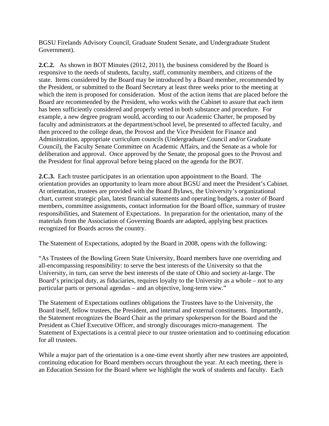BGSU Firelands Advisory Council, Graduate Student Senate, and Undergraduate Student Government).

**2.C.2.** As shown in BOT Minutes (2012, 2011), the business considered by the Board is responsive to the needs of students, faculty, staff, community members, and citizens of the state. Items considered by the Board may be introduced by a Board member, recommended by the President, or submitted to the Board Secretary at least three weeks prior to the meeting at which the item is proposed for consideration. Most of the action items that are placed before the Board are recommended by the President, who works with the Cabinet to assure that each item has been sufficiently considered and properly vetted in both substance and procedure. For example, a new degree program would, according to our Academic Charter, be proposed by faculty and administrators at the department/school level, be presented to affected faculty, and then proceed to the college dean, the Provost and the Vice President for Finance and Administration, appropriate curriculum councils (Undergraduate Council and/or Graduate Council), the Faculty Senate Committee on Academic Affairs, and the Senate as a whole for deliberation and approval. Once approved by the Senate, the proposal goes to the Provost and the President for final approval before being placed on the agenda for the BOT.

**2.C.3.** Each trustee participates in an orientation upon appointment to the Board. The orientation provides an opportunity to learn more about BGSU and meet the President's Cabinet. At orientation, trustees are provided with the Board Bylaws, the University's organizational chart, current strategic plan, latest financial statements and operating budgets, a roster of Board members, committee assignments, contact information for the Board office, summary of trustee responsibilities, and Statement of Expectations. In preparation for the orientation, many of the materials from the Association of Governing Boards are adapted, applying best practices recognized for Boards across the country.

The Statement of Expectations, adopted by the Board in 2008, opens with the following:

"As Trustees of the Bowling Green State University, Board members have one overriding and all-encompassing responsibility: to serve the best interests of the University so that the University, in turn, can serve the best interests of the state of Ohio and society at-large. The Board's principal duty, as fiduciaries, requires loyalty to the University as a whole – not to any particular parts or personal agendas – and an objective, long-term view."

The Statement of Expectations outlines obligations the Trustees have to the University, the Board itself, fellow trustees, the President, and internal and external constituents. Importantly, the Statement recognizes the Board Chair as the primary spokesperson for the Board and the President as Chief Executive Officer, and strongly discourages micro-management. The Statement of Expectations is a central piece to our trustee orientation and to continuing education for all trustees.

While a major part of the orientation is a one-time event shortly after new trustees are appointed, continuing education for Board members occurs throughout the year. At each meeting, there is an Education Session for the Board where we highlight the work of students and faculty. Each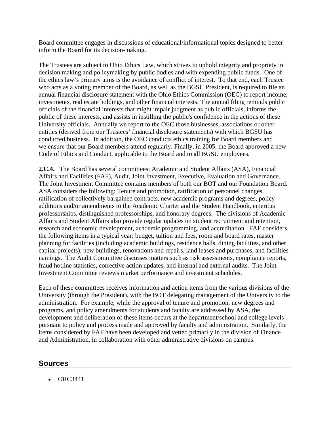Board committee engages in discussions of educational/informational topics designed to better inform the Board for its decision-making.

The Trustees are subject to Ohio Ethics Law, which strives to uphold integrity and propriety in decision making and policymaking by public bodies and with expending public funds. One of the ethics law's primary aims is the avoidance of conflict of interest. To that end, each Trustee who acts as a voting member of the Board, as well as the BGSU President, is required to file an annual financial disclosure statement with the Ohio Ethics Commission (OEC) to report income, investments, real estate holdings, and other financial interests. The annual filing reminds public officials of the financial interests that might impair judgment as public officials, informs the public of these interests, and assists in instilling the public's confidence in the actions of these University officials. Annually we report to the OEC those businesses, associations or other entities (derived from our Trustees' financial disclosure statements) with which BGSU has conducted business. In addition, the OEC conducts ethics training for Board members and we ensure that our Board members attend regularly. Finally, in 2005, the Board approved a new Code of Ethics and Conduct, applicable to the Board and to all BGSU employees.

**2.C.4.** The Board has several committees: Academic and Student Affairs (ASA), Financial Affairs and Facilities (FAF), Audit, Joint Investment, Executive, Evaluation and Governance. The Joint Investment Committee contains members of both our BOT and our Foundation Board. ASA considers the following: Tenure and promotion, ratification of personnel changes, ratification of collectively bargained contracts, new academic programs and degrees, policy additions and/or amendments to the Academic Charter and the Student Handbook, emeritus professorships, distinguished professorships, and honorary degrees. The divisions of Academic Affairs and Student Affairs also provide regular updates on student recruitment and retention, research and economic development, academic programming, and accreditation. FAF considers the following items in a typical year: budget, tuition and fees, room and board rates, master planning for facilities (including academic buildings, residence halls, dining facilities, and other capital projects), new buildings, renovations and repairs, land leases and purchases, and facilities namings. The Audit Committee discusses matters such as risk assessments, compliance reports, fraud hotline statistics, corrective action updates, and internal and external audits. The Joint Investment Committee reviews market performance and investment schedules.

Each of these committees receives information and action items from the various divisions of the University (through the President), with the BOT delegating management of the University to the administration. For example, while the approval of tenure and promotion, new degrees and programs, and policy amendments for students and faculty are addressed by ASA, the development and deliberation of these items occurs at the department/school and college levels pursuant to policy and process made and approved by faculty and administration. Similarly, the items considered by FAF have been developed and vetted primarily in the division of Finance and Administration, in collaboration with other administrative divisions on campus.

#### **Sources**

 $ORC3441$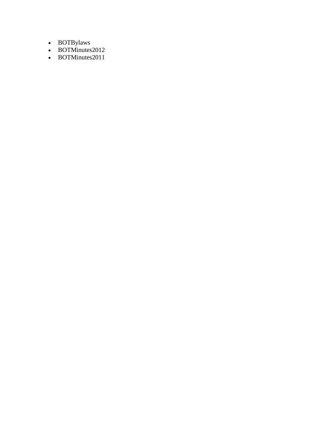- BOTBylaws
- BOTMinutes2012
- BOTMinutes2011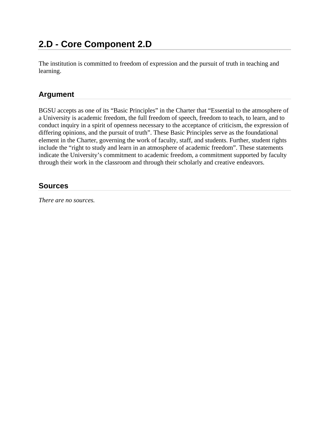# **2.D - Core Component 2.D**

The institution is committed to freedom of expression and the pursuit of truth in teaching and learning.

### **Argument**

BGSU accepts as one of its "Basic Principles" in the Charter that "Essential to the atmosphere of a University is academic freedom, the full freedom of speech, freedom to teach, to learn, and to conduct inquiry in a spirit of openness necessary to the acceptance of criticism, the expression of differing opinions, and the pursuit of truth". These Basic Principles serve as the foundational element in the Charter, governing the work of faculty, staff, and students. Further, student rights include the "right to study and learn in an atmosphere of academic freedom". These statements indicate the University's commitment to academic freedom, a commitment supported by faculty through their work in the classroom and through their scholarly and creative endeavors.

### **Sources**

*There are no sources.*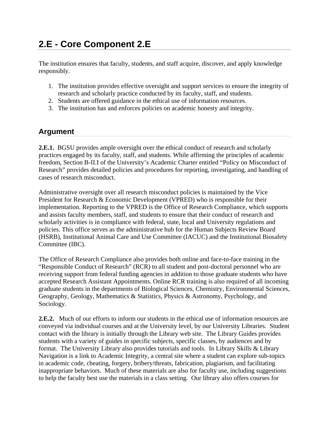# **2.E - Core Component 2.E**

The institution ensures that faculty, students, and staff acquire, discover, and apply knowledge responsibly.

- 1. The institution provides effective oversight and support services to ensure the integrity of research and scholarly practice conducted by its faculty, staff, and students.
- 2. Students are offered guidance in the ethical use of information resources.
- 3. The institution has and enforces policies on academic honesty and integrity.

#### **Argument**

**2.E.1.** BGSU provides ample oversight over the ethical conduct of research and scholarly practices engaged by its faculty, staff, and students. While affirming the principles of academic freedom, Section B-II.I of the University's Academic Charter entitled "Policy on Misconduct of Research" provides detailed policies and procedures for reporting, investigating, and handling of cases of research misconduct.

Administrative oversight over all research misconduct policies is maintained by the Vice President for Research & Economic Development (VPRED) who is responsible for their implementation. Reporting to the VPRED is the Office of Research Compliance, which supports and assists faculty members, staff, and students to ensure that their conduct of research and scholarly activities is in compliance with federal, state, local and University regulations and policies. This office serves as the administrative hub for the Human Subjects Review Board (HSRB), Institutional Animal Care and Use Committee (IACUC) and the Institutional Biosafety Committee (IBC).

The Office of Research Compliance also provides both online and face-to-face training in the "Responsible Conduct of Research" (RCR) to all student and post-doctoral personnel who are receiving support from federal funding agencies in addition to those graduate students who have accepted Research Assistant Appointments. Online RCR training is also required of all incoming graduate students in the departments of Biological Sciences, Chemistry, Environmental Sciences, Geography, Geology, Mathematics & Statistics, Physics & Astronomy, Psychology, and Sociology.

**2.E.2.** Much of our efforts to inform our students in the ethical use of information resources are conveyed via individual courses and at the University level, by our University Libraries. Student contact with the library is initially through the Library web site. The Library Guides provides students with a variety of guides in specific subjects, specific classes, by audiences and by format. The University Library also provides tutorials and tools. In Library Skills & Library Navigation is a link to Academic Integrity, a central site where a student can explore sub-topics in academic code, cheating, forgery, bribery/threats, fabrication, plagiarism, and facilitating inappropriate behaviors. Much of these materials are also for faculty use, including suggestions to help the faculty best use the materials in a class setting. Our library also offers courses for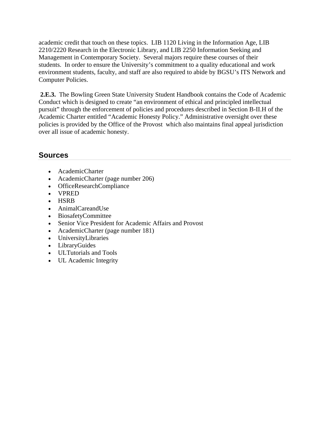academic credit that touch on these topics. LIB 1120 Living in the Information Age, LIB 2210/2220 Research in the Electronic Library, and LIB 2250 Information Seeking and Management in Contemporary Society. Several majors require these courses of their students. In order to ensure the University's commitment to a quality educational and work environment students, faculty, and staff are also required to abide by BGSU's ITS Network and Computer Policies.

 **2.E.3.** The Bowling Green State University Student Handbook contains the Code of Academic Conduct which is designed to create "an environment of ethical and principled intellectual pursuit" through the enforcement of policies and procedures described in Section B-II.H of the Academic Charter entitled "Academic Honesty Policy." Administrative oversight over these policies is provided by the Office of the Provost which also maintains final appeal jurisdiction over all issue of academic honesty.

- AcademicCharter
- AcademicCharter (page number 206)
- OfficeResearchCompliance
- VPRED
- HSRB
- AnimalCareandUse
- BiosafetyCommittee
- Senior Vice President for Academic Affairs and Provost
- AcademicCharter (page number 181)
- UniversityLibraries
- LibraryGuides
- ULTutorials and Tools
- UL Academic Integrity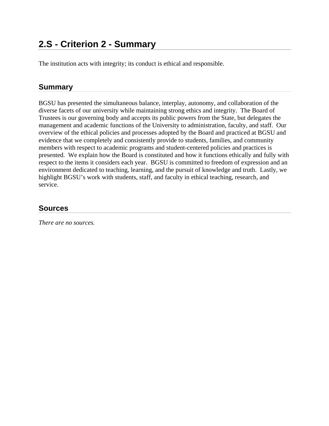The institution acts with integrity; its conduct is ethical and responsible.

### **Summary**

BGSU has presented the simultaneous balance, interplay, autonomy, and collaboration of the diverse facets of our university while maintaining strong ethics and integrity. The Board of Trustees is our governing body and accepts its public powers from the State, but delegates the management and academic functions of the University to administration, faculty, and staff. Our overview of the ethical policies and processes adopted by the Board and practiced at BGSU and evidence that we completely and consistently provide to students, families, and community members with respect to academic programs and student-centered policies and practices is presented. We explain how the Board is constituted and how it functions ethically and fully with respect to the items it considers each year. BGSU is committed to freedom of expression and an environment dedicated to teaching, learning, and the pursuit of knowledge and truth. Lastly, we highlight BGSU's work with students, staff, and faculty in ethical teaching, research, and service.

### **Sources**

*There are no sources.*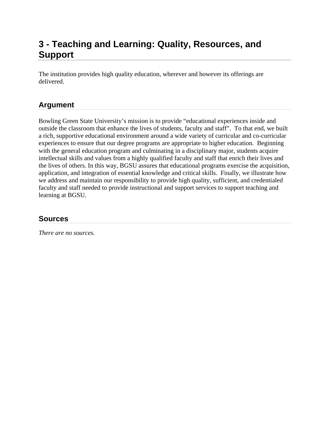### **3 - Teaching and Learning: Quality, Resources, and Support**

The institution provides high quality education, wherever and however its offerings are delivered.

### **Argument**

Bowling Green State University's mission is to provide "educational experiences inside and outside the classroom that enhance the lives of students, faculty and staff". To that end, we built a rich, supportive educational environment around a wide variety of curricular and co-curricular experiences to ensure that our degree programs are appropriate to higher education. Beginning with the general education program and culminating in a disciplinary major, students acquire intellectual skills and values from a highly qualified faculty and staff that enrich their lives and the lives of others. In this way, BGSU assures that educational programs exercise the acquisition, application, and integration of essential knowledge and critical skills. Finally, we illustrate how we address and maintain our responsibility to provide high quality, sufficient, and credentialed faculty and staff needed to provide instructional and support services to support teaching and learning at BGSU.

#### **Sources**

*There are no sources.*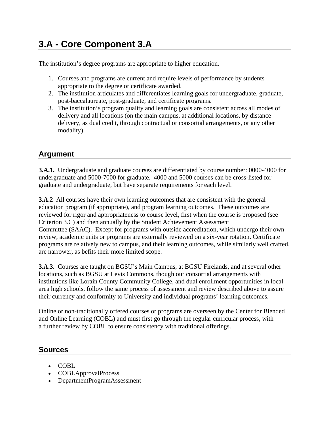# **3.A - Core Component 3.A**

The institution's degree programs are appropriate to higher education.

- 1. Courses and programs are current and require levels of performance by students appropriate to the degree or certificate awarded.
- 2. The institution articulates and differentiates learning goals for undergraduate, graduate, post-baccalaureate, post-graduate, and certificate programs.
- 3. The institution's program quality and learning goals are consistent across all modes of delivery and all locations (on the main campus, at additional locations, by distance delivery, as dual credit, through contractual or consortial arrangements, or any other modality).

### **Argument**

**3.A.1.** Undergraduate and graduate courses are differentiated by course number: 0000-4000 for undergraduate and 5000-7000 for graduate. 4000 and 5000 courses can be cross-listed for graduate and undergraduate, but have separate requirements for each level.

**3.A.2** All courses have their own learning outcomes that are consistent with the general education program (if appropriate), and program learning outcomes. These outcomes are reviewed for rigor and appropriateness to course level, first when the course is proposed (see Criterion 3.C) and then annually by the Student Achievement Assessment Committee (SAAC). Except for programs with outside accreditation, which undergo their own review, academic units or programs are externally reviewed on a six-year rotation. Certificate programs are relatively new to campus, and their learning outcomes, while similarly well crafted, are narrower, as befits their more limited scope.

**3.A.3.** Courses are taught on BGSU's Main Campus, at BGSU Firelands, and at several other locations, such as BGSU at Levis Commons, though our consortial arrangements with institutions like Lorain County Community College, and dual enrollment opportunities in local area high schools, follow the same process of assessment and review described above to assure their currency and conformity to University and individual programs' learning outcomes.

Online or non-traditionally offered courses or programs are overseen by the Center for Blended and Online Learning (COBL) and must first go through the regular curricular process, with a further review by COBL to ensure consistency with traditional offerings.

- COBL
- COBLApprovalProcess
- DepartmentProgramAssessment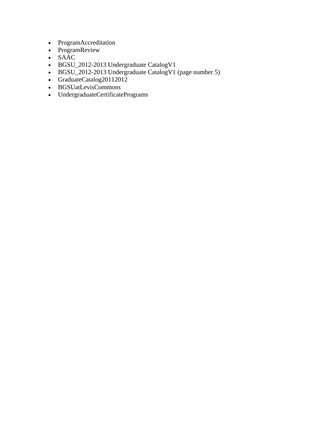- ProgramAccreditation
- ProgramReview
- SAAC
- BGSU\_2012-2013 Undergraduate CatalogV1
- BGSU\_2012-2013 Undergraduate CatalogV1 (page number 5)
- GraduateCatalog20112012
- BGSUatLevisCommons
- UndergraduateCertificatePrograms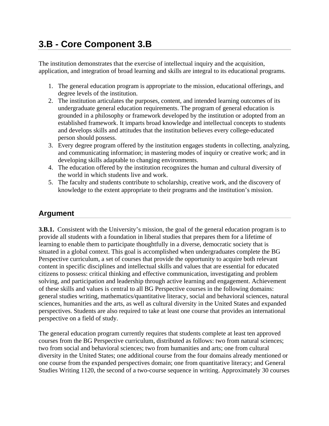# **3.B - Core Component 3.B**

The institution demonstrates that the exercise of intellectual inquiry and the acquisition, application, and integration of broad learning and skills are integral to its educational programs.

- 1. The general education program is appropriate to the mission, educational offerings, and degree levels of the institution.
- 2. The institution articulates the purposes, content, and intended learning outcomes of its undergraduate general education requirements. The program of general education is grounded in a philosophy or framework developed by the institution or adopted from an established framework. It imparts broad knowledge and intellectual concepts to students and develops skills and attitudes that the institution believes every college-educated person should possess.
- 3. Every degree program offered by the institution engages students in collecting, analyzing, and communicating information; in mastering modes of inquiry or creative work; and in developing skills adaptable to changing environments.
- 4. The education offered by the institution recognizes the human and cultural diversity of the world in which students live and work.
- 5. The faculty and students contribute to scholarship, creative work, and the discovery of knowledge to the extent appropriate to their programs and the institution's mission.

### **Argument**

**3.B.1.** Consistent with the University's mission, the goal of the general education program is to provide all students with a foundation in liberal studies that prepares them for a lifetime of learning to enable them to participate thoughtfully in a diverse, democratic society that is situated in a global context. This goal is accomplished when undergraduates complete the BG Perspective curriculum, a set of courses that provide the opportunity to acquire both relevant content in specific disciplines and intellectual skills and values that are essential for educated citizens to possess: critical thinking and effective communication, investigating and problem solving, and participation and leadership through active learning and engagement. Achievement of these skills and values is central to all BG Perspective courses in the following domains: general studies writing, mathematics/quantitative literacy, social and behavioral sciences, natural sciences, humanities and the arts, as well as cultural diversity in the United States and expanded perspectives. Students are also required to take at least one course that provides an international perspective on a field of study.

The general education program currently requires that students complete at least ten approved courses from the BG Perspective curriculum, distributed as follows: two from natural sciences; two from social and behavioral sciences; two from humanities and arts; one from cultural diversity in the United States; one additional course from the four domains already mentioned or one course from the expanded perspectives domain; one from quantitative literacy; and General Studies Writing 1120, the second of a two-course sequence in writing. Approximately 30 courses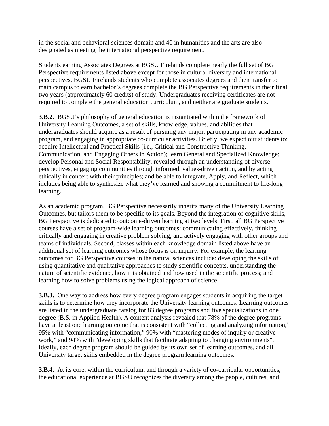in the social and behavioral sciences domain and 40 in humanities and the arts are also designated as meeting the international perspective requirement.

Students earning Associates Degrees at BGSU Firelands complete nearly the full set of BG Perspective requirements listed above except for those in cultural diversity and international perspectives. BGSU Firelands students who complete associates degrees and then transfer to main campus to earn bachelor's degrees complete the BG Perspective requirements in their final two years (approximately 60 credits) of study. Undergraduates receiving certificates are not required to complete the general education curriculum, and neither are graduate students.

**3.B.2.** BGSU's philosophy of general education is instantiated within the framework of University Learning Outcomes, a set of skills, knowledge, values, and abilities that undergraduates should acquire as a result of pursuing any major, participating in any academic program, and engaging in appropriate co-curricular activities. Briefly, we expect our students to: acquire Intellectual and Practical Skills (i.e., Critical and Constructive Thinking, Communication, and Engaging Others in Action); learn General and Specialized Knowledge; develop Personal and Social Responsibility, revealed through an understanding of diverse perspectives, engaging communities through informed, values-driven action, and by acting ethically in concert with their principles; and be able to Integrate, Apply, and Reflect, which includes being able to synthesize what they've learned and showing a commitment to life-long learning.

As an academic program, BG Perspective necessarily inherits many of the University Learning Outcomes, but tailors them to be specific to its goals. Beyond the integration of cognitive skills, BG Perspective is dedicated to outcome-driven learning at two levels. First, all BG Perspective courses have a set of program-wide learning outcomes: communicating effectively, thinking critically and engaging in creative problem solving, and actively engaging with other groups and teams of individuals. Second, classes within each knowledge domain listed above have an additional set of learning outcomes whose focus is on inquiry. For example, the learning outcomes for BG Perspective courses in the natural sciences include: developing the skills of using quantitative and qualitative approaches to study scientific concepts, understanding the nature of scientific evidence, how it is obtained and how used in the scientific process; and learning how to solve problems using the logical approach of science.

**3.B.3.** One way to address how every degree program engages students in acquiring the target skills is to determine how they incorporate the University learning outcomes. Learning outcomes are listed in the undergraduate catalog for 83 degree programs and five specializations in one degree (B.S. in Applied Health). A content analysis revealed that 78% of the degree programs have at least one learning outcome that is consistent with "collecting and analyzing information," 95% with "communicating information," 90% with "mastering modes of inquiry or creative work," and 94% with "developing skills that facilitate adapting to changing environments". Ideally, each degree program should be guided by its own set of learning outcomes, and all University target skills embedded in the degree program learning outcomes.

**3.B.4.** At its core, within the curriculum, and through a variety of co-curricular opportunities, the educational experience at BGSU recognizes the diversity among the people, cultures, and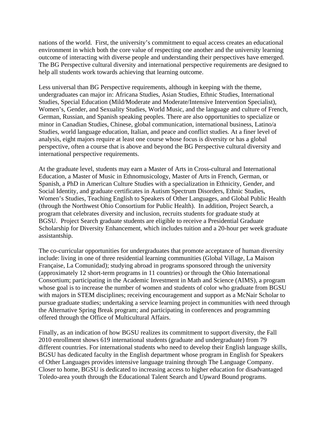nations of the world. First, the university's commitment to equal access creates an educational environment in which both the core value of respecting one another and the university learning outcome of interacting with diverse people and understanding their perspectives have emerged. The BG Perspective cultural diversity and international perspective requirements are designed to help all students work towards achieving that learning outcome.

Less universal than BG Perspective requirements, although in keeping with the theme, undergraduates can major in: Africana Studies, Asian Studies, Ethnic Studies, International Studies, Special Education (Mild/Moderate and Moderate/Intensive Intervention Specialist), Women's, Gender, and Sexuality Studies, World Music, and the language and culture of French, German, Russian, and Spanish speaking peoples. There are also opportunities to specialize or minor in Canadian Studies, Chinese, global communication, international business, Latino/a Studies, world language education, Italian, and peace and conflict studies. At a finer level of analysis, eight majors require at least one course whose focus is diversity or has a global perspective, often a course that is above and beyond the BG Perspective cultural diversity and international perspective requirements.

At the graduate level, students may earn a Master of Arts in Cross-cultural and International Education, a Master of Music in Ethnomusicology, Master of Arts in French, German, or Spanish, a PhD in American Culture Studies with a specialization in Ethnicity, Gender, and Social Identity, and graduate certificates in Autism Spectrum Disorders, Ethnic Studies, Women's Studies, Teaching English to Speakers of Other Languages, and Global Public Health (through the Northwest Ohio Consortium for Public Health). In addition, Project Search, a program that celebrates diversity and inclusion, recruits students for graduate study at BGSU. Project Search graduate students are eligible to receive a Presidential Graduate Scholarship for Diversity Enhancement, which includes tuition and a 20-hour per week graduate assistantship.

The co-curricular opportunities for undergraduates that promote acceptance of human diversity include: living in one of three residential learning communities (Global Village, La Maison Française, La Comunidad); studying abroad in programs sponsored through the university (approximately 12 short-term programs in 11 countries) or through the Ohio International Consortium; participating in the Academic Investment in Math and Science (AIMS), a program whose goal is to increase the number of women and students of color who graduate from BGSU with majors in STEM disciplines; receiving encouragement and support as a McNair Scholar to pursue graduate studies; undertaking a service learning project in communities with need through the Alternative Spring Break program; and participating in conferences and programming offered through the Office of Multicultural Affairs.

Finally, as an indication of how BGSU realizes its commitment to support diversity, the Fall 2010 enrollment shows 619 international students (graduate and undergraduate) from 79 different countries. For international students who need to develop their English language skills, BGSU has dedicated faculty in the English department whose program in English for Speakers of Other Languages provides intensive language training through The Language Company. Closer to home, BGSU is dedicated to increasing access to higher education for disadvantaged Toledo-area youth through the Educational Talent Search and Upward Bound programs.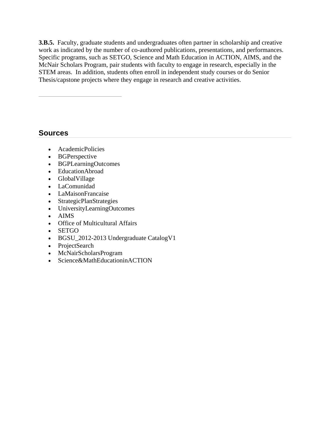**3.B.5.** Faculty, graduate students and undergraduates often partner in scholarship and creative work as indicated by the number of co-authored publications, presentations, and performances. Specific programs, such as SETGO, Science and Math Education in ACTION, AIMS, and the McNair Scholars Program, pair students with faculty to engage in research, especially in the STEM areas. In addition, students often enroll in independent study courses or do Senior Thesis/capstone projects where they engage in research and creative activities.

- AcademicPolicies
- BGPerspective
- BGPLearningOutcomes
- EducationAbroad
- GlobalVillage
- LaComunidad
- LaMaisonFrancaise
- StrategicPlanStrategies
- UniversityLearningOutcomes
- AIMS
- Office of Multicultural Affairs
- SETGO
- BGSU\_2012-2013 Undergraduate CatalogV1
- ProjectSearch
- McNairScholarsProgram
- Science&MathEducationinACTION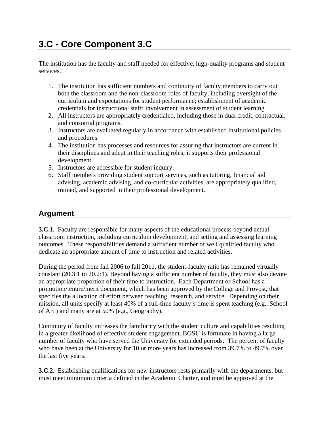# **3.C - Core Component 3.C**

The institution has the faculty and staff needed for effective, high-quality programs and student services.

- 1. The institution has sufficient numbers and continuity of faculty members to carry out both the classroom and the non-classroom roles of faculty, including oversight of the curriculum and expectations for student performance; establishment of academic credentials for instructional staff; involvement in assessment of student learning.
- 2. All instructors are appropriately credentialed, including those in dual credit, contractual, and consortial programs.
- 3. Instructors are evaluated regularly in accordance with established institutional policies and procedures.
- 4. The institution has processes and resources for assuring that instructors are current in their disciplines and adept in their teaching roles; it supports their professional development.
- 5. Instructors are accessible for student inquiry.
- 6. Staff members providing student support services, such as tutoring, financial aid advising, academic advising, and co-curricular activities, are appropriately qualified, trained, and supported in their professional development.

### **Argument**

**3.C.1.** Faculty are responsible for many aspects of the educational process beyond actual classroom instruction, including curriculum development, and setting and assessing learning outcomes. These responsibilities demand a sufficient number of well qualified faculty who dedicate an appropriate amount of time to instruction and related activities.

During the period from fall 2006 to fall 2011, the student-faculty ratio has remained virtually constant (20.3:1 to 20.2:1). Beyond having a sufficient number of faculty, they must also devote an appropriate proportion of their time to instruction. Each Department or School has a promotion/tenure/merit document, which has been approved by the College and Provost, that specifies the allocation of effort between teaching, research, and service. Depending on their mission, all units specify at least 40% of a full-time faculty's time is spent teaching (e.g., School of Art ) and many are at 50% (e.g., Geography).

Continuity of faculty increases the familiarity with the student culture and capabilities resulting in a greater likelihood of effective student engagement. BGSU is fortunate in having a large number of faculty who have served the University for extended periods. The percent of faculty who have been at the University for 10 or more years has increased from 39.7% to 49.7% over the last five years.

**3.C.2.** Establishing qualifications for new instructors rests primarily with the departments, but must meet minimum criteria defined in the Academic Charter, and must be approved at the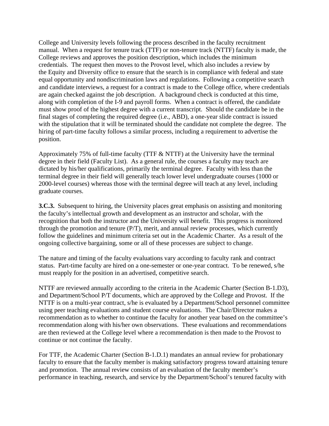College and University levels following the process described in the faculty recruitment manual. When a request for tenure track (TTF) or non-tenure track (NTTF) faculty is made, the College reviews and approves the position description, which includes the minimum credentials. The request then moves to the Provost level, which also includes a review by the Equity and Diversity office to ensure that the search is in compliance with federal and state equal opportunity and nondiscrimination laws and regulations. Following a competitive search and candidate interviews, a request for a contract is made to the College office, where credentials are again checked against the job description. A background check is conducted at this time, along with completion of the I-9 and payroll forms. When a contract is offered, the candidate must show proof of the highest degree with a current transcript. Should the candidate be in the final stages of completing the required degree (i.e., ABD), a one-year slide contract is issued with the stipulation that it will be terminated should the candidate not complete the degree. The hiring of part-time faculty follows a similar process, including a requirement to advertise the position.

Approximately 75% of full-time faculty (TTF & NTTF) at the University have the terminal degree in their field (Faculty List). As a general rule, the courses a faculty may teach are dictated by his/her qualifications, primarily the terminal degree. Faculty with less than the terminal degree in their field will generally teach lower level undergraduate courses (1000 or 2000-level courses) whereas those with the terminal degree will teach at any level, including graduate courses.

**3.C.3.** Subsequent to hiring, the University places great emphasis on assisting and monitoring the faculty's intellectual growth and development as an instructor and scholar, with the recognition that both the instructor and the University will benefit. This progress is monitored through the promotion and tenure (P/T), merit, and annual review processes, which currently follow the guidelines and minimum criteria set out in the Academic Charter. As a result of the ongoing collective bargaining, some or all of these processes are subject to change.

The nature and timing of the faculty evaluations vary according to faculty rank and contract status. Part-time faculty are hired on a one-semester or one-year contract. To be renewed, s/he must reapply for the position in an advertised, competitive search.

NTTF are reviewed annually according to the criteria in the Academic Charter (Section B-1.D3), and Department/School P/T documents, which are approved by the College and Provost. If the NTTF is on a multi-year contract, s/he is evaluated by a Department/School personnel committee using peer teaching evaluations and student course evaluations. The Chair/Director makes a recommendation as to whether to continue the faculty for another year based on the committee's recommendation along with his/her own observations. These evaluations and recommendations are then reviewed at the College level where a recommendation is then made to the Provost to continue or not continue the faculty.

For TTF, the Academic Charter (Section B-1.D.1) mandates an annual review for probationary faculty to ensure that the faculty member is making satisfactory progress toward attaining tenure and promotion. The annual review consists of an evaluation of the faculty member's performance in teaching, research, and service by the Department/School's tenured faculty with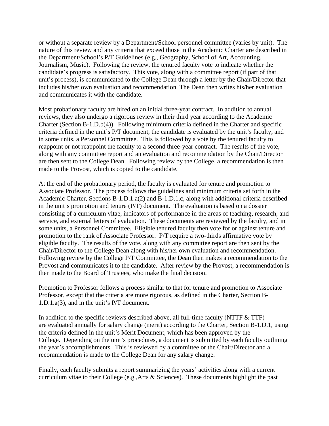or without a separate review by a Department/School personnel committee (varies by unit). The nature of this review and any criteria that exceed those in the Academic Charter are described in the Department/School's P/T Guidelines (e.g., Geography, School of Art, Accounting, Journalism, Music). Following the review, the tenured faculty vote to indicate whether the candidate's progress is satisfactory. This vote, along with a committee report (if part of that unit's process), is communicated to the College Dean through a letter by the Chair/Director that includes his/her own evaluation and recommendation. The Dean then writes his/her evaluation and communicates it with the candidate.

Most probationary faculty are hired on an initial three-year contract. In addition to annual reviews, they also undergo a rigorous review in their third year according to the Academic Charter (Section B-1.D.b(4)). Following minimum criteria defined in the Charter and specific criteria defined in the unit's P/T document, the candidate is evaluated by the unit's faculty, and in some units, a Personnel Committee. This is followed by a vote by the tenured faculty to reappoint or not reappoint the faculty to a second three-year contract. The results of the vote, along with any committee report and an evaluation and recommendation by the Chair/Director are then sent to the College Dean. Following review by the College, a recommendation is then made to the Provost, which is copied to the candidate.

At the end of the probationary period, the faculty is evaluated for tenure and promotion to Associate Professor. The process follows the guidelines and minimum criteria set forth in the Academic Charter, Sections B-1.D.1.a(2) and B-1.D.1.c, along with additional criteria described in the unit's promotion and tenure (P/T) document. The evaluation is based on a dossier consisting of a curriculum vitae, indicators of performance in the areas of teaching, research, and service, and external letters of evaluation. These documents are reviewed by the faculty, and in some units, a Personnel Committee. Eligible tenured faculty then vote for or against tenure and promotion to the rank of Associate Professor. P/T require a two-thirds affirmative vote by eligible faculty. The results of the vote, along with any committee report are then sent by the Chair/Director to the College Dean along with his/her own evaluation and recommendation. Following review by the College P/T Committee, the Dean then makes a recommendation to the Provost and communicates it to the candidate. After review by the Provost, a recommendation is then made to the Board of Trustees, who make the final decision.

Promotion to Professor follows a process similar to that for tenure and promotion to Associate Professor, except that the criteria are more rigorous, as defined in the Charter, Section B-1.D.1.a(3), and in the unit's P/T document.

In addition to the specific reviews described above, all full-time faculty (NTTF  $&$  TTF) are evaluated annually for salary change (merit) according to the Charter, Section B-1.D.1, using the criteria defined in the unit's Merit Document, which has been approved by the College. Depending on the unit's procedures, a document is submitted by each faculty outlining the year's accomplishments. This is reviewed by a committee or the Chair/Director and a recommendation is made to the College Dean for any salary change.

Finally, each faculty submits a report summarizing the years' activities along with a current curriculum vitae to their College (e.g.,Arts & Sciences). These documents highlight the past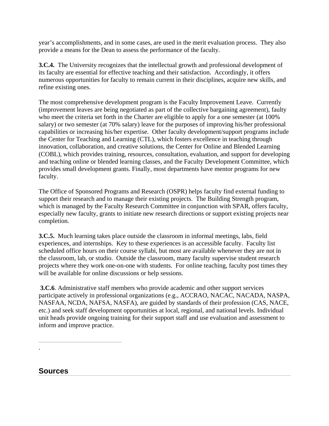year's accomplishments, and in some cases, are used in the merit evaluation process. They also provide a means for the Dean to assess the performance of the faculty.

**3.C.4.** The University recognizes that the intellectual growth and professional development of its faculty are essential for effective teaching and their satisfaction. Accordingly, it offers numerous opportunities for faculty to remain current in their disciplines, acquire new skills, and refine existing ones.

The most comprehensive development program is the Faculty Improvement Leave. Currently (improvement leaves are being negotiated as part of the collective bargaining agreement), faulty who meet the criteria set forth in the Charter are eligible to apply for a one semester (at 100% salary) or two semester (at 70% salary) leave for the purposes of improving his/her professional capabilities or increasing his/her expertise. Other faculty development/support programs include the Center for Teaching and Learning (CTL), which fosters excellence in teaching through innovation, collaboration, and creative solutions, the Center for Online and Blended Learning (COBL), which provides training, resources, consultation, evaluation, and support for developing and teaching online or blended learning classes, and the Faculty Development Committee, which provides small development grants. Finally, most departments have mentor programs for new faculty.

The Office of Sponsored Programs and Research (OSPR) helps faculty find external funding to support their research and to manage their existing projects. The Building Strength program, which is managed by the Faculty Research Committee in conjunction with SPAR, offers faculty, especially new faculty, grants to initiate new research directions or support existing projects near completion.

**3.C.5.** Much learning takes place outside the classroom in informal meetings, labs, field experiences, and internships. Key to these experiences is an accessible faculty. Faculty list scheduled office hours on their course syllabi, but most are available whenever they are not in the classroom, lab, or studio. Outside the classroom, many faculty supervise student research projects where they work one-on-one with students. For online teaching, faculty post times they will be available for online discussions or help sessions.

**3.C.6**. Administrative staff members who provide academic and other support services participate actively in professional organizations (e.g., ACCRAO, NACAC, NACADA, NASPA, NASFAA, NCDA, NAFSA, NASFA), are guided by standards of their profession (CAS, NACE, etc.) and seek staff development opportunities at local, regional, and national levels. Individual unit heads provide ongoing training for their support staff and use evaluation and assessment to inform and improve practice.

**Sources** 

.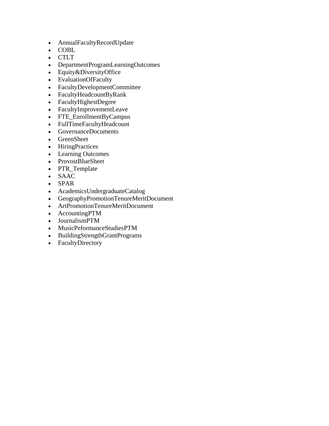- AnnualFacultyRecordUpdate
- COBL
- CTLT
- DepartmentProgramLearningOutcomes
- Equity&DiversityOffice
- EvaluationOfFaculty
- FacultyDevelopmentCommittee
- FacultyHeadcountByRank
- FacultyHighestDegree
- FacultyImprovementLeave
- FTE\_EnrollmentByCampus
- FullTimeFacultyHeadcount
- GovernanceDocuments
- GreenSheet
- HiringPractices
- Learning Outcomes
- ProvostBlueSheet
- PTR\_Template
- SAAC
- SPAR
- AcademicsUndergraduateCatalog
- GeographyPromotionTenureMeritDocument
- ArtPromotionTenureMeritDocument
- AccountingPTM
- JournalismPTM
- MusicPeformanceStudiesPTM
- BuildingStrengthGrantPrograms
- FacultyDirectory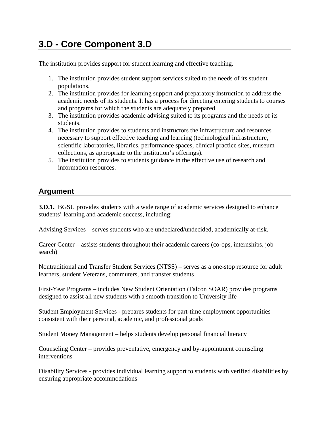# **3.D - Core Component 3.D**

The institution provides support for student learning and effective teaching.

- 1. The institution provides student support services suited to the needs of its student populations.
- 2. The institution provides for learning support and preparatory instruction to address the academic needs of its students. It has a process for directing entering students to courses and programs for which the students are adequately prepared.
- 3. The institution provides academic advising suited to its programs and the needs of its students.
- 4. The institution provides to students and instructors the infrastructure and resources necessary to support effective teaching and learning (technological infrastructure, scientific laboratories, libraries, performance spaces, clinical practice sites, museum collections, as appropriate to the institution's offerings).
- 5. The institution provides to students guidance in the effective use of research and information resources.

### **Argument**

**3.D.1.** BGSU provides students with a wide range of academic services designed to enhance students' learning and academic success, including:

Advising Services – serves students who are undeclared/undecided, academically at-risk.

Career Center – assists students throughout their academic careers (co-ops, internships, job search)

Nontraditional and Transfer Student Services (NTSS) – serves as a one-stop resource for adult learners, student Veterans, commuters, and transfer students

First-Year Programs – includes New Student Orientation (Falcon SOAR) provides programs designed to assist all new students with a smooth transition to University life

Student Employment Services - prepares students for part-time employment opportunities consistent with their personal, academic, and professional goals

Student Money Management – helps students develop personal financial literacy

Counseling Center – provides preventative, emergency and by-appointment counseling interventions

Disability Services - provides individual learning support to students with verified disabilities by ensuring appropriate accommodations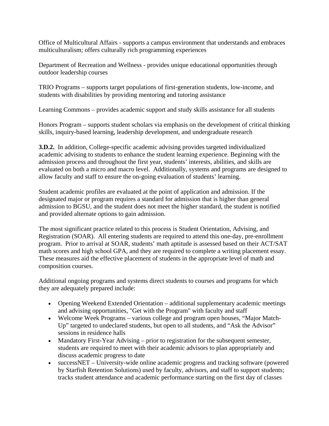Office of Multicultural Affairs - supports a campus environment that understands and embraces multiculturalism; offers culturally rich programming experiences

Department of Recreation and Wellness - provides unique educational opportunities through outdoor leadership courses

TRIO Programs – supports target populations of first-generation students, low-income, and students with disabilities by providing mentoring and tutoring assistance

Learning Commons – provides academic support and study skills assistance for all students

Honors Program – supports student scholars via emphasis on the development of critical thinking skills, inquiry-based learning, leadership development, and undergraduate research

**3.D.2.** In addition, College-specific academic advising provides targeted individualized academic advising to students to enhance the student learning experience. Beginning with the admission process and throughout the first year, students' interests, abilities, and skills are evaluated on both a micro and macro level. Additionally, systems and programs are designed to allow faculty and staff to ensure the on-going evaluation of students' learning.

Student academic profiles are evaluated at the point of application and admission. If the designated major or program requires a standard for admission that is higher than general admission to BGSU, and the student does not meet the higher standard, the student is notified and provided alternate options to gain admission.

The most significant practice related to this process is Student Orientation, Advising, and Registration (SOAR). All entering students are required to attend this one-day, pre-enrollment program. Prior to arrival at SOAR, students' math aptitude is assessed based on their ACT/SAT math scores and high school GPA, and they are required to complete a writing placement essay. These measures aid the effective placement of students in the appropriate level of math and composition courses.

Additional ongoing programs and systems direct students to courses and programs for which they are adequately prepared include:

- Opening Weekend Extended Orientation additional supplementary academic meetings and advising opportunities, "Get with the Program" with faculty and staff
- Welcome Week Programs various college and program open houses, "Major Match-Up" targeted to undeclared students, but open to all students, and "Ask the Advisor" sessions in residence halls
- Mandatory First-Year Advising prior to registration for the subsequent semester, students are required to meet with their academic advisors to plan appropriately and discuss academic progress to date
- successNET University-wide online academic progress and tracking software (powered by Starfish Retention Solutions) used by faculty, advisors, and staff to support students; tracks student attendance and academic performance starting on the first day of classes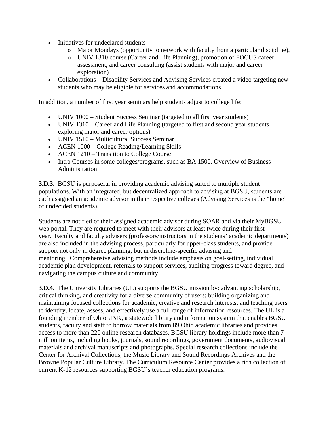- Initiatives for undeclared students
	- o Major Mondays (opportunity to network with faculty from a particular discipline),
	- o UNIV 1310 course (Career and Life Planning), promotion of FOCUS career assessment, and career consulting (assist students with major and career exploration)
- Collaborations Disability Services and Advising Services created a video targeting new students who may be eligible for services and accommodations

In addition, a number of first year seminars help students adjust to college life:

- UNIV 1000 Student Success Seminar (targeted to all first year students)
- UNIV 1310 Career and Life Planning (targeted to first and second year students exploring major and career options)
- UNIV 1510 Multicultural Success Seminar
- ACEN 1000 College Reading/Learning Skills
- ACEN 1210 Transition to College Course
- Intro Courses in some colleges/programs, such as BA 1500, Overview of Business Administration

**3.D.3.** BGSU is purposeful in providing academic advising suited to multiple student populations. With an integrated, but decentralized approach to advising at BGSU, students are each assigned an academic advisor in their respective colleges (Advising Services is the "home" of undecided students).

Students are notified of their assigned academic advisor during SOAR and via their MyBGSU web portal. They are required to meet with their advisors at least twice during their first year. Faculty and faculty advisers (professors/instructors in the students' academic departments) are also included in the advising process, particularly for upper-class students, and provide support not only in degree planning, but in discipline-specific advising and mentoring. Comprehensive advising methods include emphasis on goal-setting, individual academic plan development, referrals to support services, auditing progress toward degree, and navigating the campus culture and community.

**3.D.4.** The University Libraries (UL) supports the BGSU mission by: advancing scholarship, critical thinking, and creativity for a diverse community of users; building organizing and maintaining focused collections for academic, creative and research interests; and teaching users to identify, locate, assess, and effectively use a full range of information resources. The UL is a founding member of OhioLINK, a statewide library and information system that enables BGSU students, faculty and staff to borrow materials from 89 Ohio academic libraries and provides access to more than 220 online research databases. BGSU library holdings include more than 7 million items, including books, journals, sound recordings, government documents, audiovisual materials and archival manuscripts and photographs. Special research collections include the Center for Archival Collections, the Music Library and Sound Recordings Archives and the Browne Popular Culture Library. The Curriculum Resource Center provides a rich collection of current K-12 resources supporting BGSU's teacher education programs.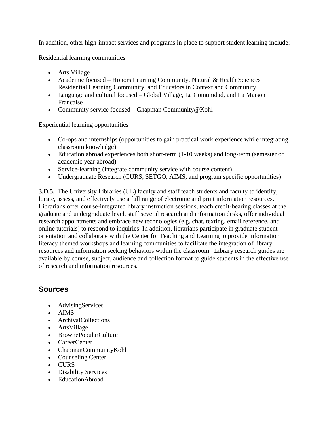In addition, other high-impact services and programs in place to support student learning include:

Residential learning communities

- Arts Village
- Academic focused Honors Learning Community, Natural & Health Sciences Residential Learning Community, and Educators in Context and Community
- Language and cultural focused Global Village, La Comunidad, and La Maison Francaise
- Community service focused Chapman Community@Kohl

Experiential learning opportunities

- Co-ops and internships (opportunities to gain practical work experience while integrating classroom knowledge)
- Education abroad experiences both short-term (1-10 weeks) and long-term (semester or academic year abroad)
- Service-learning (integrate community service with course content)
- Undergraduate Research (CURS, SETGO, AIMS, and program specific opportunities)

**3.D.5.** The University Libraries (UL) faculty and staff teach students and faculty to identify, locate, assess, and effectively use a full range of electronic and print information resources. Librarians offer course-integrated library instruction sessions, teach credit-bearing classes at the graduate and undergraduate level, staff several research and information desks, offer individual research appointments and embrace new technologies (e.g. chat, texting, email reference, and online tutorials) to respond to inquiries. In addition, librarians participate in graduate student orientation and collaborate with the Center for Teaching and Learning to provide information literacy themed workshops and learning communities to facilitate the integration of library resources and information seeking behaviors within the classroom. Library research guides are available by course, subject, audience and collection format to guide students in the effective use of research and information resources.

- AdvisingServices
- AIMS
- ArchivalCollections
- ArtsVillage
- BrownePopularCulture
- CareerCenter
- ChapmanCommunityKohl
- Counseling Center
- CURS
- Disability Services
- EducationAbroad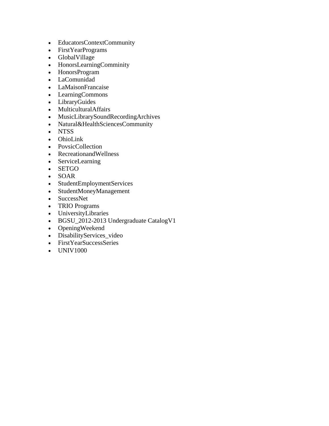- EducatorsContextCommunity
- FirstYearPrograms
- GlobalVillage
- HonorsLearningComminity
- HonorsProgram
- LaComunidad
- LaMaisonFrancaise
- LearningCommons
- LibraryGuides
- MulticulturalAffairs
- MusicLibrarySoundRecordingArchives
- Natural&HealthSciencesCommunity
- NTSS
- OhioLink
- PovsicCollection
- RecreationandWellness
- ServiceLearning
- SETGO
- SOAR
- StudentEmploymentServices
- StudentMoneyManagement
- SuccessNet
- TRIO Programs
- UniversityLibraries
- BGSU\_2012-2013 Undergraduate CatalogV1
- OpeningWeekend
- DisabilityServices\_video
- FirstYearSuccessSeries
- UNIV1000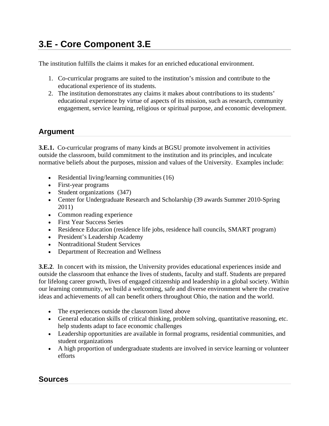# **3.E - Core Component 3.E**

The institution fulfills the claims it makes for an enriched educational environment.

- 1. Co-curricular programs are suited to the institution's mission and contribute to the educational experience of its students.
- 2. The institution demonstrates any claims it makes about contributions to its students' educational experience by virtue of aspects of its mission, such as research, community engagement, service learning, religious or spiritual purpose, and economic development.

### **Argument**

**3.E.1.** Co-curricular programs of many kinds at BGSU promote involvement in activities outside the classroom, build commitment to the institution and its principles, and inculcate normative beliefs about the purposes, mission and values of the University. Examples include:

- Residential living/learning communities (16)
- First-year programs
- Student organizations (347)
- Center for Undergraduate Research and Scholarship (39 awards Summer 2010-Spring 2011)
- Common reading experience
- First Year Success Series
- Residence Education (residence life jobs, residence hall councils, SMART program)
- President's Leadership Academy
- Nontraditional Student Services
- Department of Recreation and Wellness

**3.E.2**. In concert with its mission, the University provides educational experiences inside and outside the classroom that enhance the lives of students, faculty and staff. Students are prepared for lifelong career growth, lives of engaged citizenship and leadership in a global society. Within our learning community, we build a welcoming, safe and diverse environment where the creative ideas and achievements of all can benefit others throughout Ohio, the nation and the world.

- The experiences outside the classroom listed above
- General education skills of critical thinking, problem solving, quantitative reasoning, etc. help students adapt to face economic challenges
- Leadership opportunities are available in formal programs, residential communities, and student organizations
- A high proportion of undergraduate students are involved in service learning or volunteer efforts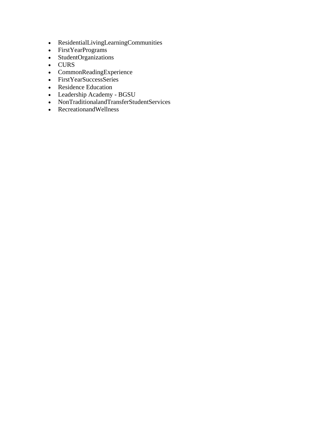- ResidentialLivingLearningCommunities
- FirstYearPrograms
- StudentOrganizations
- CURS
- CommonReadingExperience
- FirstYearSuccessSeries
- Residence Education
- Leadership Academy BGSU
- NonTraditionalandTransferStudentServices
- RecreationandWellness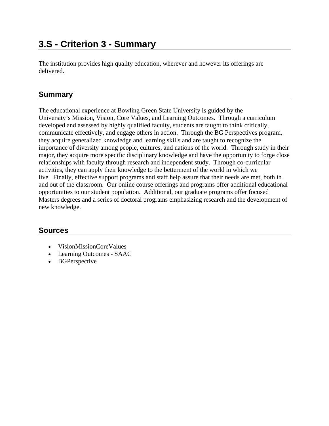### **3.S - Criterion 3 - Summary**

The institution provides high quality education, wherever and however its offerings are delivered.

#### **Summary**

The educational experience at Bowling Green State University is guided by the University's Mission, Vision, Core Values, and Learning Outcomes. Through a curriculum developed and assessed by highly qualified faculty, students are taught to think critically, communicate effectively, and engage others in action. Through the BG Perspectives program, they acquire generalized knowledge and learning skills and are taught to recognize the importance of diversity among people, cultures, and nations of the world. Through study in their major, they acquire more specific disciplinary knowledge and have the opportunity to forge close relationships with faculty through research and independent study. Through co-curricular activities, they can apply their knowledge to the betterment of the world in which we live. Finally, effective support programs and staff help assure that their needs are met, both in and out of the classroom. Our online course offerings and programs offer additional educational opportunities to our student population. Additional, our graduate programs offer focused Masters degrees and a series of doctoral programs emphasizing research and the development of new knowledge.

- VisionMissionCoreValues
- Learning Outcomes SAAC
- BGPerspective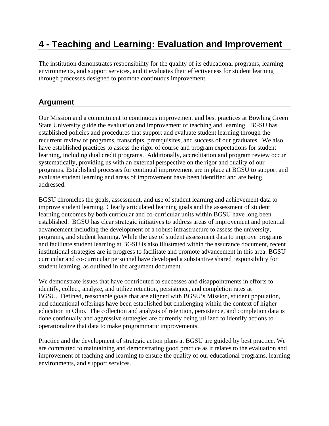### **4 - Teaching and Learning: Evaluation and Improvement**

The institution demonstrates responsibility for the quality of its educational programs, learning environments, and support services, and it evaluates their effectiveness for student learning through processes designed to promote continuous improvement.

### **Argument**

Our Mission and a commitment to continuous improvement and best practices at Bowling Green State University guide the evaluation and improvement of teaching and learning. BGSU has established policies and procedures that support and evaluate student learning through the recurrent review of programs, transcripts, prerequisites, and success of our graduates. We also have established practices to assess the rigor of course and program expectations for student learning, including dual credit programs. Additionally, accreditation and program review occur systematically, providing us with an external perspective on the rigor and quality of our programs. Established processes for continual improvement are in place at BGSU to support and evaluate student learning and areas of improvement have been identified and are being addressed.

BGSU chronicles the goals, assessment, and use of student learning and achievement data to improve student learning. Clearly articulated learning goals and the assessment of student learning outcomes by both curricular and co-curricular units within BGSU have long been established. BGSU has clear strategic initiatives to address areas of improvement and potential advancement including the development of a robust infrastructure to assess the university, programs, and student learning. While the use of student assessment data to improve programs and facilitate student learning at BGSU is also illustrated within the assurance document, recent institutional strategies are in progress to facilitate and promote advancement in this area. BGSU curricular and co-curricular personnel have developed a substantive shared responsibility for student learning, as outlined in the argument document.

We demonstrate issues that have contributed to successes and disappointments in efforts to identify, collect, analyze, and utilize retention, persistence, and completion rates at BGSU. Defined, reasonable goals that are aligned with BGSU's Mission, student population, and educational offerings have been established but challenging within the context of higher education in Ohio. The collection and analysis of retention, persistence, and completion data is done continually and aggressive strategies are currently being utilized to identify actions to operationalize that data to make programmatic improvements.

Practice and the development of strategic action plans at BGSU are guided by best practice. We are committed to maintaining and demonstrating good practice as it relates to the evaluation and improvement of teaching and learning to ensure the quality of our educational programs, learning environments, and support services.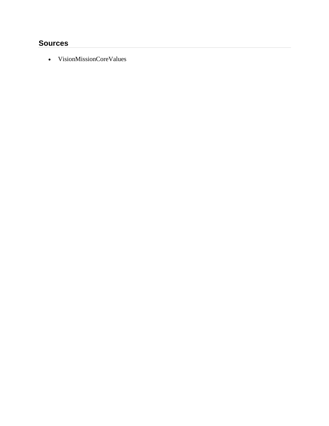### **Sources**

VisionMissionCoreValues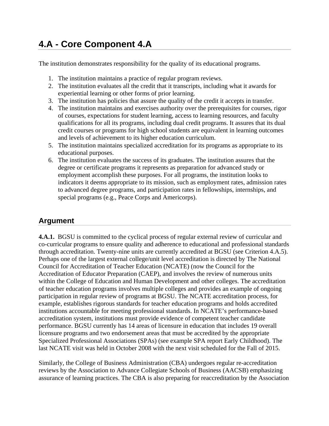# **4.A - Core Component 4.A**

The institution demonstrates responsibility for the quality of its educational programs.

- 1. The institution maintains a practice of regular program reviews.
- 2. The institution evaluates all the credit that it transcripts, including what it awards for experiential learning or other forms of prior learning.
- 3. The institution has policies that assure the quality of the credit it accepts in transfer.
- 4. The institution maintains and exercises authority over the prerequisites for courses, rigor of courses, expectations for student learning, access to learning resources, and faculty qualifications for all its programs, including dual credit programs. It assures that its dual credit courses or programs for high school students are equivalent in learning outcomes and levels of achievement to its higher education curriculum.
- 5. The institution maintains specialized accreditation for its programs as appropriate to its educational purposes.
- 6. The institution evaluates the success of its graduates. The institution assures that the degree or certificate programs it represents as preparation for advanced study or employment accomplish these purposes. For all programs, the institution looks to indicators it deems appropriate to its mission, such as employment rates, admission rates to advanced degree programs, and participation rates in fellowships, internships, and special programs (e.g., Peace Corps and Americorps).

### **Argument**

**4.A.1.** BGSU is committed to the cyclical process of regular external review of curricular and co-curricular programs to ensure quality and adherence to educational and professional standards through accreditation. Twenty-nine units are currently accredited at BGSU (see Criterion 4.A.5). Perhaps one of the largest external college/unit level accreditation is directed by The National Council for Accreditation of Teacher Education (NCATE) (now the Council for the Accreditation of Educator Preparation (CAEP), and involves the review of numerous units within the College of Education and Human Development and other colleges. The accreditation of teacher education programs involves multiple colleges and provides an example of ongoing participation in regular review of programs at BGSU. The NCATE accreditation process, for example, establishes rigorous standards for teacher education programs and holds accredited institutions accountable for meeting professional standards. In NCATE's performance-based accreditation system, institutions must provide evidence of competent teacher candidate performance. BGSU currently has 14 areas of licensure in education that includes 19 overall licensure programs and two endorsement areas that must be accredited by the appropriate Specialized Professional Associations (SPAs) (see example SPA report Early Childhood). The last NCATE visit was held in October 2008 with the next visit scheduled for the Fall of 2015.

Similarly, the College of Business Administration (CBA) undergoes regular re-accreditation reviews by the Association to Advance Collegiate Schools of Business (AACSB) emphasizing assurance of learning practices. The CBA is also preparing for reaccreditation by the Association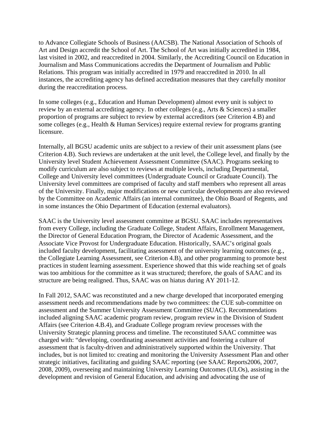to Advance Collegiate Schools of Business (AACSB). The National Association of Schools of Art and Design accredit the School of Art. The School of Art was initially accredited in 1984, last visited in 2002, and reaccredited in 2004. Similarly, the Accrediting Council on Education in Journalism and Mass Communications accredits the Department of Journalism and Public Relations. This program was initially accredited in 1979 and reaccredited in 2010. In all instances, the accrediting agency has defined accreditation measures that they carefully monitor during the reaccreditation process.

In some colleges (e.g., Education and Human Development) almost every unit is subject to review by an external accrediting agency. In other colleges (e.g., Arts & Sciences) a smaller proportion of programs are subject to review by external accreditors (see Criterion 4.B) and some colleges (e.g., Health & Human Services) require external review for programs granting licensure.

Internally, all BGSU academic units are subject to a review of their unit assessment plans (see Criterion 4.B). Such reviews are undertaken at the unit level, the College level, and finally by the University level Student Achievement Assessment Committee (SAAC). Programs seeking to modify curriculum are also subject to reviews at multiple levels, including Departmental, College and University level committees (Undergraduate Council or Graduate Council). The University level committees are comprised of faculty and staff members who represent all areas of the University. Finally, major modifications or new curricular developments are also reviewed by the Committee on Academic Affairs (an internal committee), the Ohio Board of Regents, and in some instances the Ohio Department of Education (external evaluators).

SAAC is the University level assessment committee at BGSU. SAAC includes representatives from every College, including the Graduate College, Student Affairs, Enrollment Management, the Director of General Education Program, the Director of Academic Assessment, and the Associate Vice Provost for Undergraduate Education. Historically, SAAC's original goals included faculty development, facilitating assessment of the university learning outcomes (e.g., the Collegiate Learning Assessment, see Criterion 4.B), and other programming to promote best practices in student learning assessment. Experience showed that this wide reaching set of goals was too ambitious for the committee as it was structured; therefore, the goals of SAAC and its structure are being realigned. Thus, SAAC was on hiatus during AY 2011-12.

In Fall 2012, SAAC was reconstituted and a new charge developed that incorporated emerging assessment needs and recommendations made by two committees: the CUE sub-committee on assessment and the Summer University Assessment Committee (SUAC). Recommendations included aligning SAAC academic program review, program review in the Division of Student Affairs (see Criterion 4.B.4), and Graduate College program review processes with the University Strategic planning process and timeline. The reconstituted SAAC committee was charged with: "developing, coordinating assessment activities and fostering a culture of assessment that is faculty-driven and administratively supported within the University. That includes, but is not limited to: creating and monitoring the University Assessment Plan and other strategic initiatives, facilitating and guiding SAAC reporting (see SAAC Reports2006, 2007, 2008, 2009), overseeing and maintaining University Learning Outcomes (ULOs), assisting in the development and revision of General Education, and advising and advocating the use of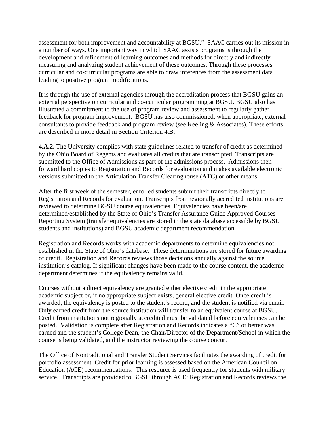assessment for both improvement and accountability at BGSU." SAAC carries out its mission in a number of ways. One important way in which SAAC assists programs is through the development and refinement of learning outcomes and methods for directly and indirectly measuring and analyzing student achievement of these outcomes. Through these processes curricular and co-curricular programs are able to draw inferences from the assessment data leading to positive program modifications.

It is through the use of external agencies through the accreditation process that BGSU gains an external perspective on curricular and co-curricular programming at BGSU. BGSU also has illustrated a commitment to the use of program review and assessment to regularly gather feedback for program improvement. BGSU has also commissioned, when appropriate, external consultants to provide feedback and program review (see Keeling & Associates). These efforts are described in more detail in Section Criterion 4.B.

**4.A.2.** The University complies with state guidelines related to transfer of credit as determined by the Ohio Board of Regents and evaluates all credits that are transcripted. Transcripts are submitted to the Office of Admissions as part of the admissions process. Admissions then forward hard copies to Registration and Records for evaluation and makes available electronic versions submitted to the Articulation Transfer Clearinghouse (ATC) or other means.

After the first week of the semester, enrolled students submit their transcripts directly to Registration and Records for evaluation. Transcripts from regionally accredited institutions are reviewed to determine BGSU course equivalencies. Equivalencies have been/are determined/established by the State of Ohio's Transfer Assurance Guide Approved Courses Reporting System (transfer equivalencies are stored in the state database accessible by BGSU students and institutions) and BGSU academic department recommendation.

Registration and Records works with academic departments to determine equivalencies not established in the State of Ohio's database. These determinations are stored for future awarding of credit. Registration and Records reviews those decisions annually against the source institution's catalog. If significant changes have been made to the course content, the academic department determines if the equivalency remains valid.

Courses without a direct equivalency are granted either elective credit in the appropriate academic subject or, if no appropriate subject exists, general elective credit. Once credit is awarded, the equivalency is posted to the student's record, and the student is notified via email. Only earned credit from the source institution will transfer to an equivalent course at BGSU. Credit from institutions not regionally accredited must be validated before equivalencies can be posted. Validation is complete after Registration and Records indicates a "C" or better was earned and the student's College Dean, the Chair/Director of the Department/School in which the course is being validated, and the instructor reviewing the course concur.

The Office of Nontraditional and Transfer Student Services facilitates the awarding of credit for portfolio assessment. Credit for prior learning is assessed based on the American Council on Education (ACE) recommendations. This resource is used frequently for students with military service. Transcripts are provided to BGSU through ACE; Registration and Records reviews the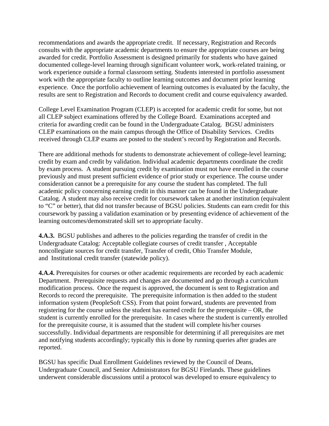recommendations and awards the appropriate credit. If necessary, Registration and Records consults with the appropriate academic departments to ensure the appropriate courses are being awarded for credit. Portfolio Assessment is designed primarily for students who have gained documented college-level learning through significant volunteer work, work-related training, or work experience outside a formal classroom setting. Students interested in portfolio assessment work with the appropriate faculty to outline learning outcomes and document prior learning experience. Once the portfolio achievement of learning outcomes is evaluated by the faculty, the results are sent to Registration and Records to document credit and course equivalency awarded.

College Level Examination Program (CLEP) is accepted for academic credit for some, but not all CLEP subject examinations offered by the College Board. Examinations accepted and criteria for awarding credit can be found in the Undergraduate Catalog. BGSU administers CLEP examinations on the main campus through the Office of Disability Services. Credits received through CLEP exams are posted to the student's record by Registration and Records.

There are additional methods for students to demonstrate achievement of college-level learning; credit by exam and credit by validation. Individual academic departments coordinate the credit by exam process. A student pursuing credit by examination must not have enrolled in the course previously and must present sufficient evidence of prior study or experience. The course under consideration cannot be a prerequisite for any course the student has completed. The full academic policy concerning earning credit in this manner can be found in the Undergraduate Catalog. A student may also receive credit for coursework taken at another institution (equivalent to "C" or better), that did not transfer because of BGSU policies. Students can earn credit for this coursework by passing a validation examination or by presenting evidence of achievement of the learning outcomes/demonstrated skill set to appropriate faculty.

**4.A.3.** BGSU publishes and adheres to the policies regarding the transfer of credit in the Undergraduate Catalog: Acceptable collegiate courses of credit transfer , Acceptable noncollegiate sources for credit transfer, Transfer of credit, Ohio Transfer Module, and Institutional credit transfer (statewide policy).

**4.A.4.** Prerequisites for courses or other academic requirements are recorded by each academic Department. Prerequisite requests and changes are documented and go through a curriculum modification process. Once the request is approved, the document is sent to Registration and Records to record the prerequisite. The prerequisite information is then added to the student information system (PeopleSoft CSS). From that point forward, students are prevented from registering for the course unless the student has earned credit for the prerequisite – OR, the student is currently enrolled for the prerequisite. In cases where the student is currently enrolled for the prerequisite course, it is assumed that the student will complete his/her courses successfully. Individual departments are responsible for determining if all prerequisites are met and notifying students accordingly; typically this is done by running queries after grades are reported.

BGSU has specific Dual Enrollment Guidelines reviewed by the Council of Deans, Undergraduate Council, and Senior Administrators for BGSU Firelands. These guidelines underwent considerable discussions until a protocol was developed to ensure equivalency to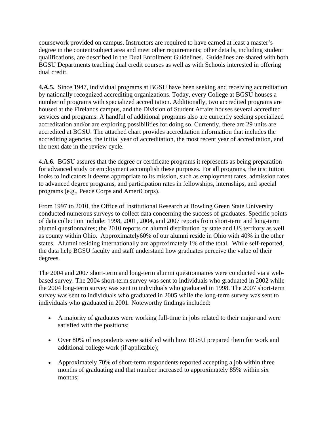coursework provided on campus. Instructors are required to have earned at least a master's degree in the content/subject area and meet other requirements; other details, including student qualifications, are described in the Dual Enrollment Guidelines. Guidelines are shared with both BGSU Departments teaching dual credit courses as well as with Schools interested in offering dual credit.

**4.A.5.** Since 1947, individual programs at BGSU have been seeking and receiving accreditation by nationally recognized accrediting organizations. Today, every College at BGSU houses a number of programs with specialized accreditation. Additionally, two accredited programs are housed at the Firelands campus, and the Division of Student Affairs houses several accredited services and programs. A handful of additional programs also are currently seeking specialized accreditation and/or are exploring possibilities for doing so. Currently, there are 29 units are accredited at BGSU. The attached chart provides accreditation information that includes the accrediting agencies, the initial year of accreditation, the most recent year of accreditation, and the next date in the review cycle.

4.**A.6.** BGSU assures that the degree or certificate programs it represents as being preparation for advanced study or employment accomplish these purposes. For all programs, the institution looks to indicators it deems appropriate to its mission, such as employment rates, admission rates to advanced degree programs, and participation rates in fellowships, internships, and special programs (e.g., Peace Corps and AmeriCorps).

From 1997 to 2010, the Office of Institutional Research at Bowling Green State University conducted numerous surveys to collect data concerning the success of graduates. Specific points of data collection include: 1998, 2001, 2004, and 2007 reports from short-term and long-term alumni questionnaires; the 2010 reports on alumni distribution by state and US territory as well as county within Ohio. Approximately60% of our alumni reside in Ohio with 40% in the other states. Alumni residing internationally are approximately 1% of the total. While self-reported, the data help BGSU faculty and staff understand how graduates perceive the value of their degrees.

The 2004 and 2007 short-term and long-term alumni questionnaires were conducted via a webbased survey. The 2004 short-term survey was sent to individuals who graduated in 2002 while the 2004 long-term survey was sent to individuals who graduated in 1998. The 2007 short-term survey was sent to individuals who graduated in 2005 while the long-term survey was sent to individuals who graduated in 2001. Noteworthy findings included:

- A majority of graduates were working full-time in jobs related to their major and were satisfied with the positions;
- Over 80% of respondents were satisfied with how BGSU prepared them for work and additional college work (if applicable);
- Approximately 70% of short-term respondents reported accepting a job within three months of graduating and that number increased to approximately 85% within six months;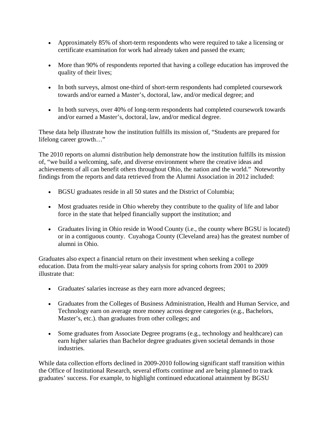- Approximately 85% of short-term respondents who were required to take a licensing or certificate examination for work had already taken and passed the exam;
- More than 90% of respondents reported that having a college education has improved the quality of their lives;
- In both surveys, almost one-third of short-term respondents had completed coursework towards and/or earned a Master's, doctoral, law, and/or medical degree; and
- In both surveys, over 40% of long-term respondents had completed coursework towards and/or earned a Master's, doctoral, law, and/or medical degree.

These data help illustrate how the institution fulfills its mission of, "Students are prepared for lifelong career growth…"

The 2010 reports on alumni distribution help demonstrate how the institution fulfills its mission of, "we build a welcoming, safe, and diverse environment where the creative ideas and achievements of all can benefit others throughout Ohio, the nation and the world." Noteworthy findings from the reports and data retrieved from the Alumni Association in 2012 included:

- BGSU graduates reside in all 50 states and the District of Columbia;
- Most graduates reside in Ohio whereby they contribute to the quality of life and labor force in the state that helped financially support the institution; and
- Graduates living in Ohio reside in Wood County (i.e., the county where BGSU is located) or in a contiguous county. Cuyahoga County (Cleveland area) has the greatest number of alumni in Ohio.

Graduates also expect a financial return on their investment when seeking a college education. Data from the multi-year salary analysis for spring cohorts from 2001 to 2009 illustrate that:

- Graduates' salaries increase as they earn more advanced degrees;
- Graduates from the Colleges of Business Administration, Health and Human Service, and Technology earn on average more money across degree categories (e.g., Bachelors, Master's, etc.). than graduates from other colleges; and
- Some graduates from Associate Degree programs (e.g., technology and healthcare) can earn higher salaries than Bachelor degree graduates given societal demands in those industries.

While data collection efforts declined in 2009-2010 following significant staff transition within the Office of Institutional Research, several efforts continue and are being planned to track graduates' success. For example, to highlight continued educational attainment by BGSU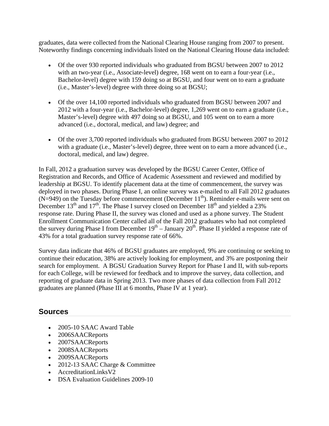graduates, data were collected from the National Clearing House ranging from 2007 to present. Noteworthy findings concerning individuals listed on the National Clearing House data included:

- Of the over 930 reported individuals who graduated from BGSU between 2007 to 2012 with an two-year (i.e., Associate-level) degree, 168 went on to earn a four-year (i.e., Bachelor-level) degree with 159 doing so at BGSU, and four went on to earn a graduate (i.e., Master's-level) degree with three doing so at BGSU;
- Of the over 14,100 reported individuals who graduated from BGSU between 2007 and 2012 with a four-year (i.e., Bachelor-level) degree, 1,269 went on to earn a graduate (i.e., Master's-level) degree with 497 doing so at BGSU, and 105 went on to earn a more advanced (i.e., doctoral, medical, and law) degree; and
- Of the over 3,700 reported individuals who graduated from BGSU between 2007 to 2012 with a graduate (i.e., Master's-level) degree, three went on to earn a more advanced (i.e., doctoral, medical, and law) degree.

In Fall, 2012 a graduation survey was developed by the BGSU Career Center, Office of Registration and Records, and Office of Academic Assessment and reviewed and modified by leadership at BGSU. To identify placement data at the time of commencement, the survey was deployed in two phases. During Phase I, an online survey was e-mailed to all Fall 2012 graduates  $(N=949)$  on the Tuesday before commencement (December 11<sup>th</sup>). Reminder e-mails were sent on December  $13<sup>th</sup>$  and  $17<sup>th</sup>$ . The Phase I survey closed on December  $18<sup>th</sup>$  and yielded a 23% response rate. During Phase II, the survey was cloned and used as a phone survey. The Student Enrollment Communication Center called all of the Fall 2012 graduates who had not completed the survey during Phase I from December  $19<sup>th</sup> - January 20<sup>th</sup>$ . Phase II yielded a response rate of 43% for a total graduation survey response rate of 66%.

Survey data indicate that 46% of BGSU graduates are employed, 9% are continuing or seeking to continue their education, 38% are actively looking for employment, and 3% are postponing their search for employment. A BGSU Graduation Survey Report for Phase I and II, with sub-reports for each College, will be reviewed for feedback and to improve the survey, data collection, and reporting of graduate data in Spring 2013. Two more phases of data collection from Fall 2012 graduates are planned (Phase III at 6 months, Phase IV at 1 year).

- 2005-10 SAAC Award Table
- 2006SAACReports
- 2007SAACReports
- 2008SAACReports
- 2009SAACReports
- 2012-13 SAAC Charge & Committee
- AccreditationLinksV2
- DSA Evaluation Guidelines 2009-10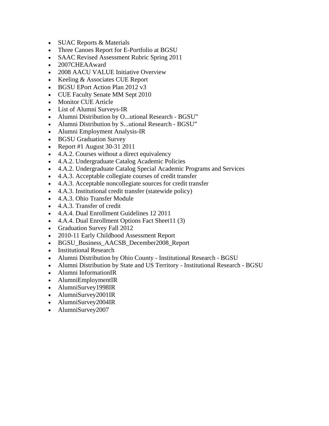- SUAC Reports & Materials
- Three Canoes Report for E-Portfolio at BGSU
- SAAC Revised Assessment Rubric Spring 2011
- 2007CHEAAward
- 2008 AACU VALUE Initiative Overview
- Keeling & Associates CUE Report
- BGSU EPort Action Plan 2012 v3
- CUE Faculty Senate MM Sept 2010
- Monitor CUE Article
- List of Alumni Surveys-IR
- Alumni Distribution by O...utional Research BGSU"
- Alumni Distribution by S...utional Research BGSU"
- Alumni Employment Analysis-IR
- BGSU Graduation Survey
- Report #1 August  $30-31$  2011
- 4.A.2. Courses without a direct equivalency
- 4.A.2. Undergraduate Catalog Academic Policies
- 4.A.2. Undergraduate Catalog Special Academic Programs and Services
- 4.A.3. Acceptable collegiate courses of credit transfer
- 4.A.3. Acceptable noncollegiate sources for credit transfer
- 4.A.3. Institutional credit transfer (statewide policy)
- 4.A.3. Ohio Transfer Module
- 4.A.3. Transfer of credit
- 4.A.4. Dual Enrollment Guidelines 12 2011
- 4.A.4. Dual Enrollment Options Fact Sheet11 (3)
- Graduation Survey Fall 2012
- 2010-11 Early Childhood Assessment Report
- BGSU\_Business\_AACSB\_December2008\_Report
- Institutional Research
- Alumni Distribution by Ohio County Institutional Research BGSU
- Alumni Distribution by State and US Territory Institutional Research BGSU
- Alumni InformationIR
- AlumniEmploymentIR
- AlumniSurvey1998IR
- AlumniSurvey2001IR
- AlumniSurvey2004IR
- AlumniSurvey2007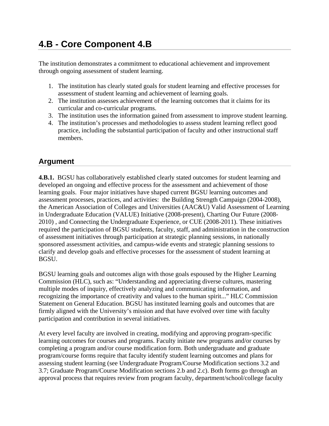# **4.B - Core Component 4.B**

The institution demonstrates a commitment to educational achievement and improvement through ongoing assessment of student learning.

- 1. The institution has clearly stated goals for student learning and effective processes for assessment of student learning and achievement of learning goals.
- 2. The institution assesses achievement of the learning outcomes that it claims for its curricular and co-curricular programs.
- 3. The institution uses the information gained from assessment to improve student learning.
- 4. The institution's processes and methodologies to assess student learning reflect good practice, including the substantial participation of faculty and other instructional staff members.

### **Argument**

**4.B.1.** BGSU has collaboratively established clearly stated outcomes for student learning and developed an ongoing and effective process for the assessment and achievement of those learning goals. Four major initiatives have shaped current BGSU learning outcomes and assessment processes, practices, and activities: the Building Strength Campaign (2004-2008), the American Association of Colleges and Universities (AAC&U) Valid Assessment of Learning in Undergraduate Education (VALUE) Initiative (2008-present), Charting Our Future (2008- 2010) , and Connecting the Undergraduate Experience, or CUE (2008-2011). These initiatives required the participation of BGSU students, faculty, staff, and administration in the construction of assessment initiatives through participation at strategic planning sessions, in nationally sponsored assessment activities, and campus-wide events and strategic planning sessions to clarify and develop goals and effective processes for the assessment of student learning at BGSU.

BGSU learning goals and outcomes align with those goals espoused by the Higher Learning Commission (HLC), such as: "Understanding and appreciating diverse cultures, mastering multiple modes of inquiry, effectively analyzing and communicating information, and recognizing the importance of creativity and values to the human spirit..." HLC Commission Statement on General Education. BGSU has instituted learning goals and outcomes that are firmly aligned with the University's mission and that have evolved over time with faculty participation and contribution in several initiatives.

At every level faculty are involved in creating, modifying and approving program-specific learning outcomes for courses and programs. Faculty initiate new programs and/or courses by completing a program and/or course modification form. Both undergraduate and graduate program/course forms require that faculty identify student learning outcomes and plans for assessing student learning (see Undergraduate Program/Course Modification sections 3.2 and 3.7; Graduate Program/Course Modification sections 2.b and 2.c). Both forms go through an approval process that requires review from program faculty, department/school/college faculty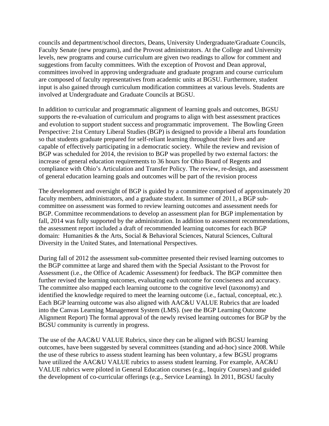councils and department/school directors, Deans, University Undergraduate/Graduate Councils, Faculty Senate (new programs), and the Provost administrators. At the College and University levels, new programs and course curriculum are given two readings to allow for comment and suggestions from faculty committees. With the exception of Provost and Dean approval, committees involved in approving undergraduate and graduate program and course curriculum are composed of faculty representatives from academic units at BGSU. Furthermore, student input is also gained through curriculum modification committees at various levels. Students are involved at Undergraduate and Graduate Councils at BGSU.

In addition to curricular and programmatic alignment of learning goals and outcomes, BGSU supports the re-evaluation of curriculum and programs to align with best assessment practices and evolution to support student success and programmatic improvement. The Bowling Green Perspective: 21st Century Liberal Studies (BGP) is designed to provide a liberal arts foundation so that students graduate prepared for self-reliant learning throughout their lives and are capable of effectively participating in a democratic society. While the review and revision of BGP was scheduled for 2014, the revision to BGP was propelled by two external factors: the increase of general education requirements to 36 hours for Ohio Board of Regents and compliance with Ohio's Articulation and Transfer Policy. The review, re-design, and assessment of general education learning goals and outcomes will be part of the revision process

The development and oversight of BGP is guided by a committee comprised of approximately 20 faculty members, administrators, and a graduate student. In summer of 2011, a BGP subcommittee on assessment was formed to review learning outcomes and assessment needs for BGP. Committee recommendations to develop an assessment plan for BGP implementation by fall, 2014 was fully supported by the administration. In addition to assessment recommendations, the assessment report included a draft of recommended learning outcomes for each BGP domain: Humanities & the Arts, Social & Behavioral Sciences, Natural Sciences, Cultural Diversity in the United States, and International Perspectives.

During fall of 2012 the assessment sub-committee presented their revised learning outcomes to the BGP committee at large and shared them with the Special Assistant to the Provost for Assessment (i.e., the Office of Academic Assessment) for feedback. The BGP committee then further revised the learning outcomes, evaluating each outcome for conciseness and accuracy. The committee also mapped each learning outcome to the cognitive level (taxonomy) and identified the knowledge required to meet the learning outcome (i.e., factual, conceptual, etc.). Each BGP learning outcome was also aligned with AAC&U VALUE Rubrics that are loaded into the Canvas Learning Management System (LMS). (see the BGP Learning Outcome Alignment Report) The formal approval of the newly revised learning outcomes for BGP by the BGSU community is currently in progress.

The use of the AAC&U VALUE Rubrics, since they can be aligned with BGSU learning outcomes, have been suggested by several committees (standing and ad-hoc) since 2008. While the use of these rubrics to assess student learning has been voluntary, a few BGSU programs have utilized the AAC&U VALUE rubrics to assess student learning. For example, AAC&U VALUE rubrics were piloted in General Education courses (e.g., Inquiry Courses) and guided the development of co-curricular offerings (e.g., Service Learning). In 2011, BGSU faculty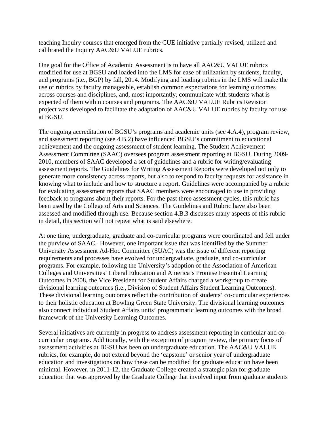teaching Inquiry courses that emerged from the CUE initiative partially revised, utilized and calibrated the Inquiry AAC&U VALUE rubrics.

One goal for the Office of Academic Assessment is to have all AAC&U VALUE rubrics modified for use at BGSU and loaded into the LMS for ease of utilization by students, faculty, and programs (i.e., BGP) by fall, 2014. Modifying and loading rubrics in the LMS will make the use of rubrics by faculty manageable, establish common expectations for learning outcomes across courses and disciplines, and, most importantly, communicate with students what is expected of them within courses and programs. The AAC&U VALUE Rubrics Revision project was developed to facilitate the adaptation of AAC&U VALUE rubrics by faculty for use at BGSU.

The ongoing accreditation of BGSU's programs and academic units (see 4.A.4), program review, and assessment reporting (see 4.B.2) have influenced BGSU's commitment to educational achievement and the ongoing assessment of student learning. The Student Achievement Assessment Committee (SAAC) oversees program assessment reporting at BGSU. During 2009- 2010, members of SAAC developed a set of guidelines and a rubric for writing/evaluating assessment reports. The Guidelines for Writing Assessment Reports were developed not only to generate more consistency across reports, but also to respond to faculty requests for assistance in knowing what to include and how to structure a report. Guidelines were accompanied by a rubric for evaluating assessment reports that SAAC members were encouraged to use in providing feedback to programs about their reports. For the past three assessment cycles, this rubric has been used by the College of Arts and Sciences. The Guidelines and Rubric have also been assessed and modified through use. Because section 4.B.3 discusses many aspects of this rubric in detail, this section will not repeat what is said elsewhere.

At one time, undergraduate, graduate and co-curricular programs were coordinated and fell under the purview of SAAC. However, one important issue that was identified by the Summer University Assessment Ad-Hoc Committee (SUAC) was the issue of different reporting requirements and processes have evolved for undergraduate, graduate, and co-curricular programs. For example, following the University's adoption of the Association of American Colleges and Universities' Liberal Education and America's Promise Essential Learning Outcomes in 2008, the Vice President for Student Affairs charged a workgroup to create divisional learning outcomes (i.e., Division of Student Affairs Student Learning Outcomes). These divisional learning outcomes reflect the contribution of students' co-curricular experiences to their holistic education at Bowling Green State University. The divisional learning outcomes also connect individual Student Affairs units' programmatic learning outcomes with the broad framework of the University Learning Outcomes.

Several initiatives are currently in progress to address assessment reporting in curricular and cocurricular programs. Additionally, with the exception of program review, the primary focus of assessment activities at BGSU has been on undergraduate education. The AAC&U VALUE rubrics, for example, do not extend beyond the 'capstone' or senior year of undergraduate education and investigations on how these can be modified for graduate education have been minimal. However, in 2011-12, the Graduate College created a strategic plan for graduate education that was approved by the Graduate College that involved input from graduate students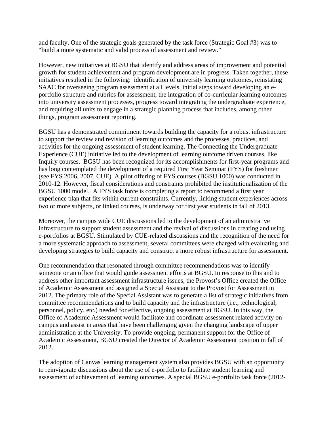and faculty. One of the strategic goals generated by the task force (Strategic Goal #3) was to "build a more systematic and valid process of assessment and review."

However, new initiatives at BGSU that identify and address areas of improvement and potential growth for student achievement and program development are in progress. Taken together, these initiatives resulted in the following: identification of university learning outcomes, reinstating SAAC for overseeing program assessment at all levels, initial steps toward developing an eportfolio structure and rubrics for assessment, the integration of co-curricular learning outcomes into university assessment processes, progress toward integrating the undergraduate experience, and requiring all units to engage in a strategic planning process that includes, among other things, program assessment reporting.

BGSU has a demonstrated commitment towards building the capacity for a robust infrastructure to support the review and revision of learning outcomes and the processes, practices, and activities for the ongoing assessment of student learning. The Connecting the Undergraduate Experience (CUE) initiative led to the development of learning outcome driven courses, like Inquiry courses. BGSU has been recognized for its accomplishments for first-year programs and has long contemplated the development of a required First Year Seminar (FYS) for freshmen (see FYS 2006, 2007, CUE). A pilot offering of FYS courses (BGSU 1000) was conducted in 2010-12. However, fiscal considerations and constraints prohibited the institutionalization of the BGSU 1000 model. A FYS task force is completing a report to recommend a first year experience plan that fits within current constraints. Currently, linking student experiences across two or more subjects, or linked courses, is underway for first year students in fall of 2013.

Moreover, the campus wide CUE discussions led to the development of an administrative infrastructure to support student assessment and the revival of discussions in creating and using e-portfolios at BGSU. Stimulated by CUE-related discussions and the recognition of the need for a more systematic approach to assessment, several committees were charged with evaluating and developing strategies to build capacity and construct a more robust infrastructure for assessment.

One recommendation that resonated through committee recommendations was to identify someone or an office that would guide assessment efforts at BGSU. In response to this and to address other important assessment infrastructure issues, the Provost's Office created the Office of Academic Assessment and assigned a Special Assistant to the Provost for Assessment in 2012. The primary role of the Special Assistant was to generate a list of strategic initiatives from committee recommendations and to build capacity and the infrastructure (i.e., technological, personnel, policy, etc.) needed for effective, ongoing assessment at BGSU. In this way, the Office of Academic Assessment would facilitate and coordinate assessment related activity on campus and assist in areas that have been challenging given the changing landscape of upper administration at the University. To provide ongoing, permanent support for the Office of Academic Assessment, BGSU created the Director of Academic Assessment position in fall of 2012.

The adoption of Canvas learning management system also provides BGSU with an opportunity to reinvigorate discussions about the use of e-portfolio to facilitate student learning and assessment of achievement of learning outcomes. A special BGSU e-portfolio task force (2012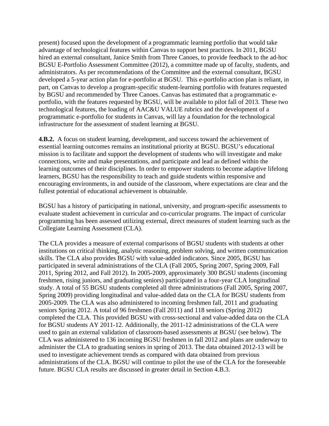present) focused upon the development of a programmatic learning portfolio that would take advantage of technological features within Canvas to support best practices. In 2011, BGSU hired an external consultant, Janice Smith from Three Canoes, to provide feedback to the ad-hoc BGSU E-Portfolio Assessment Committee (2012), a committee made up of faculty, students, and administrators. As per recommendations of the Committee and the external consultant, BGSU developed a 5-year action plan for e-portfolio at BGSU. This e-portfolio action plan is reliant, in part, on Canvas to develop a program-specific student-learning portfolio with features requested by BGSU and recommended by Three Canoes. Canvas has estimated that a programmatic eportfolio, with the features requested by BGSU, will be available to pilot fall of 2013. These two technological features, the loading of AAC&U VALUE rubrics and the development of a programmatic e-portfolio for students in Canvas, will lay a foundation for the technological infrastructure for the assessment of student learning at BGSU.

**4.B.2.** A focus on student learning, development, and success toward the achievement of essential learning outcomes remains an institutional priority at BGSU. BGSU's educational mission is to facilitate and support the development of students who will investigate and make connections, write and make presentations, and participate and lead as defined within the learning outcomes of their disciplines. In order to empower students to become adaptive lifelong learners, BGSU has the responsibility to teach and guide students within responsive and encouraging environments, in and outside of the classroom, where expectations are clear and the fullest potential of educational achievement is obtainable.

BGSU has a history of participating in national, university, and program-specific assessments to evaluate student achievement in curricular and co-curricular programs. The impact of curricular programming has been assessed utilizing external, direct measures of student learning such as the Collegiate Learning Assessment (CLA).

The CLA provides a measure of external comparisons of BGSU students with students at other institutions on critical thinking, analytic reasoning, problem solving, and written communication skills. The CLA also provides BGSU with value-added indicators. Since 2005, BGSU has participated in several administrations of the CLA (Fall 2005, Spring 2007, Spring 2009, Fall 2011, Spring 2012, and Fall 2012). In 2005-2009, approximately 300 BGSU students (incoming freshmen, rising juniors, and graduating seniors) participated in a four-year CLA longitudinal study. A total of 55 BGSU students completed all three administrations (Fall 2005, Spring 2007, Spring 2009) providing longitudinal and value-added data on the CLA for BGSU students from 2005-2009. The CLA was also administered to incoming freshmen fall, 2011 and graduating seniors Spring 2012. A total of 96 freshmen (Fall 2011) and 118 seniors (Spring 2012) completed the CLA. This provided BGSU with cross-sectional and value-added data on the CLA for BGSU students AY 2011-12. Additionally, the 2011-12 administrations of the CLA were used to gain an external validation of classroom-based assessments at BGSU (see below). The CLA was administered to 136 incoming BGSU freshmen in fall 2012 and plans are underway to administer the CLA to graduating seniors in spring of 2013. The data obtained 2012-13 will be used to investigate achievement trends as compared with data obtained from previous administrations of the CLA. BGSU will continue to pilot the use of the CLA for the foreseeable future. BGSU CLA results are discussed in greater detail in Section 4.B.3.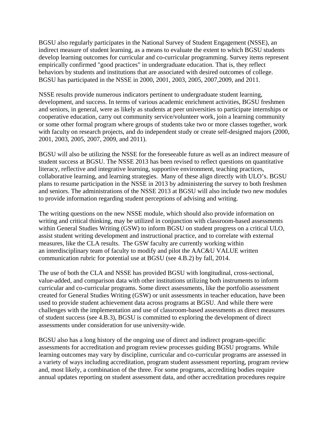BGSU also regularly participates in the National Survey of Student Engagement (NSSE), an indirect measure of student learning, as a means to evaluate the extent to which BGSU students develop learning outcomes for curricular and co-curricular programming. Survey items represent empirically confirmed "good practices" in undergraduate education. That is, they reflect behaviors by students and institutions that are associated with desired outcomes of college. BGSU has participated in the NSSE in 2000, 2001, 2003, 2005, 2007,2009, and 2011.

NSSE results provide numerous indicators pertinent to undergraduate student learning, development, and success. In terms of various academic enrichment activities, BGSU freshmen and seniors, in general, were as likely as students at peer universities to participate internships or cooperative education, carry out community service/volunteer work, join a learning community or some other formal program where groups of students take two or more classes together, work with faculty on research projects, and do independent study or create self-designed majors (2000, 2001, 2003, 2005, 2007, 2009, and 2011).

BGSU will also be utilizing the NSSE for the foreseeable future as well as an indirect measure of student success at BGSU. The NSSE 2013 has been revised to reflect questions on quantitative literacy, reflective and integrative learning, supportive environment, teaching practices, collaborative learning, and learning strategies. Many of these align directly with ULO's. BGSU plans to resume participation in the NSSE in 2013 by administering the survey to both freshmen and seniors. The administrations of the NSSE 2013 at BGSU will also include two new modules to provide information regarding student perceptions of advising and writing.

The writing questions on the new NSSE module, which should also provide information on writing and critical thinking, may be utilized in conjunction with classroom-based assessments within General Studies Writing (GSW) to inform BGSU on student progress on a critical ULO, assist student writing development and instructional practice, and to correlate with external measures, like the CLA results. The GSW faculty are currently working within an interdisciplinary team of faculty to modify and pilot the AAC&U VALUE written communication rubric for potential use at BGSU (see 4.B.2) by fall, 2014.

The use of both the CLA and NSSE has provided BGSU with longitudinal, cross-sectional, value-added, and comparison data with other institutions utilizing both instruments to inform curricular and co-curricular programs. Some direct assessments, like the portfolio assessment created for General Studies Writing (GSW) or unit assessments in teacher education, have been used to provide student achievement data across programs at BGSU. And while there were challenges with the implementation and use of classroom-based assessments as direct measures of student success (see 4.B.3), BGSU is committed to exploring the development of direct assessments under consideration for use university-wide.

BGSU also has a long history of the ongoing use of direct and indirect program-specific assessments for accreditation and program review processes guiding BGSU programs. While learning outcomes may vary by discipline, curricular and co-curricular programs are assessed in a variety of ways including accreditation, program student assessment reporting, program review and, most likely, a combination of the three. For some programs, accrediting bodies require annual updates reporting on student assessment data, and other accreditation procedures require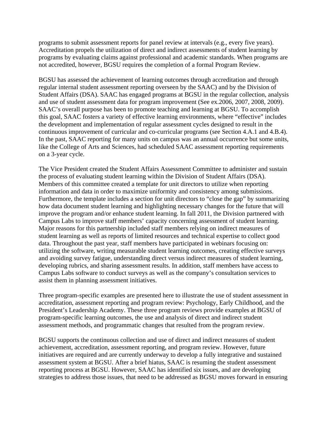programs to submit assessment reports for panel review at intervals (e.g., every five years). Accreditation propels the utilization of direct and indirect assessments of student learning by programs by evaluating claims against professional and academic standards. When programs are not accredited, however, BGSU requires the completion of a formal Program Review.

BGSU has assessed the achievement of learning outcomes through accreditation and through regular internal student assessment reporting overseen by the SAAC) and by the Division of Student Affairs (DSA). SAAC has engaged programs at BGSU in the regular collection, analysis and use of student assessment data for program improvement (See ex.2006, 2007, 2008, 2009). SAAC's overall purpose has been to promote teaching and learning at BGSU. To accomplish this goal, SAAC fosters a variety of effective learning environments, where "effective" includes the development and implementation of regular assessment cycles designed to result in the continuous improvement of curricular and co-curricular programs (see Section 4.A.1 and 4.B.4). In the past, SAAC reporting for many units on campus was an annual occurrence but some units, like the College of Arts and Sciences, had scheduled SAAC assessment reporting requirements on a 3-year cycle.

The Vice President created the Student Affairs Assessment Committee to administer and sustain the process of evaluating student learning within the Division of Student Affairs (DSA). Members of this committee created a template for unit directors to utilize when reporting information and data in order to maximize uniformity and consistency among submissions. Furthermore, the template includes a section for unit directors to "close the gap" by summarizing how data document student learning and highlighting necessary changes for the future that will improve the program and/or enhance student learning. In fall 2011, the Division partnered with Campus Labs to improve staff members' capacity concerning assessment of student learning. Major reasons for this partnership included staff members relying on indirect measures of student learning as well as reports of limited resources and technical expertise to collect good data. Throughout the past year, staff members have participated in webinars focusing on: utilizing the software, writing measurable student learning outcomes, creating effective surveys and avoiding survey fatigue, understanding direct versus indirect measures of student learning, developing rubrics, and sharing assessment results. In addition, staff members have access to Campus Labs software to conduct surveys as well as the company's consultation services to assist them in planning assessment initiatives.

Three program-specific examples are presented here to illustrate the use of student assessment in accreditation, assessment reporting and program review: Psychology, Early Childhood, and the President's Leadership Academy. These three program reviews provide examples at BGSU of program-specific learning outcomes, the use and analysis of direct and indirect student assessment methods, and programmatic changes that resulted from the program review.

BGSU supports the continuous collection and use of direct and indirect measures of student achievement, accreditation, assessment reporting, and program review. However, future initiatives are required and are currently underway to develop a fully integrative and sustained assessment system at BGSU. After a brief hiatus, SAAC is resuming the student assessment reporting process at BGSU. However, SAAC has identified six issues, and are developing strategies to address those issues, that need to be addressed as BGSU moves forward in ensuring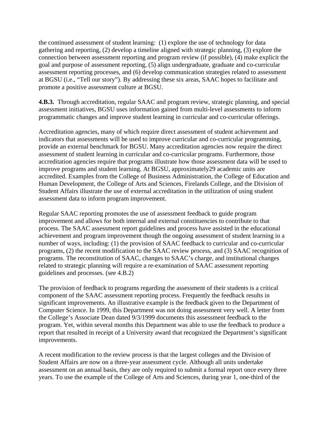the continued assessment of student learning: (1) explore the use of technology for data gathering and reporting, (2) develop a timeline aligned with strategic planning, (3) explore the connection between assessment reporting and program review (if possible), (4) make explicit the goal and purpose of assessment reporting, (5) align undergraduate, graduate and co-curricular assessment reporting processes, and (6) develop communication strategies related to assessment at BGSU (i.e., "Tell our story"). By addressing these six areas, SAAC hopes to facilitate and promote a positive assessment culture at BGSU.

**4.B.3.** Through accreditation, regular SAAC and program review, strategic planning, and special assessment initiatives, BGSU uses information gained from multi-level assessments to inform programmatic changes and improve student learning in curricular and co-curricular offerings.

Accreditation agencies, many of which require direct assessment of student achievement and indicators that assessments will be used to improve curricular and co-curricular programming, provide an external benchmark for BGSU. Many accreditation agencies now require the direct assessment of student learning in curricular and co-curricular programs. Furthermore, those accreditation agencies require that programs illustrate how those assessment data will be used to improve programs and student learning. At BGSU, approximately29 academic units are accredited. Examples from the College of Business Administration, the College of Education and Human Development, the College of Arts and Sciences, Firelands College, and the Division of Student Affairs illustrate the use of external accreditation in the utilization of using student assessment data to inform program improvement.

Regular SAAC reporting promotes the use of assessment feedback to guide program improvement and allows for both internal and external constituencies to contribute to that process. The SAAC assessment report guidelines and process have assisted in the educational achievement and program improvement though the ongoing assessment of student learning in a number of ways, including: (1) the provision of SAAC feedback to curricular and co-curricular programs, (2) the recent modification to the SAAC review process, and (3) SAAC recognition of programs. The reconstitution of SAAC, changes to SAAC's charge, and institutional changes related to strategic planning will require a re-examination of SAAC assessment reporting guidelines and processes. (see 4.B.2)

The provision of feedback to programs regarding the assessment of their students is a critical component of the SAAC assessment reporting process. Frequently the feedback results in significant improvements. An illustrative example is the feedback given to the Department of Computer Science. In 1999, this Department was not doing assessment very well. A letter from the College's Associate Dean dated 9/3/1999 documents this assessment feedback to the program. Yet, within several months this Department was able to use the feedback to produce a report that resulted in receipt of a University award that recognized the Department's significant improvements.

A recent modification to the review process is that the largest colleges and the Division of Student Affairs are now on a three-year assessment cycle. Although all units undertake assessment on an annual basis, they are only required to submit a formal report once every three years. To use the example of the College of Arts and Sciences, during year 1, one-third of the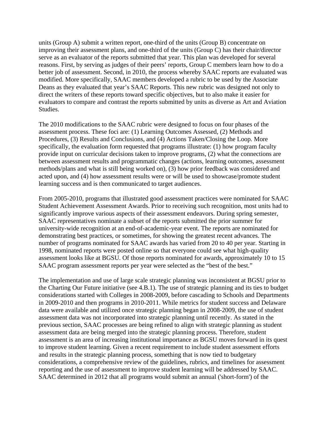units (Group A) submit a written report, one-third of the units (Group B) concentrate on improving their assessment plans, and one-third of the units (Group C) has their chair/director serve as an evaluator of the reports submitted that year. This plan was developed for several reasons. First, by serving as judges of their peers' reports, Group C members learn how to do a better job of assessment. Second, in 2010, the process whereby SAAC reports are evaluated was modified. More specifically, SAAC members developed a rubric to be used by the Associate Deans as they evaluated that year's SAAC Reports. This new rubric was designed not only to direct the writers of these reports toward specific objectives, but to also make it easier for evaluators to compare and contrast the reports submitted by units as diverse as Art and Aviation Studies.

The 2010 modifications to the SAAC rubric were designed to focus on four phases of the assessment process. These foci are: (1) Learning Outcomes Assessed, (2) Methods and Procedures, (3) Results and Conclusions, and (4) Actions Taken/Closing the Loop. More specifically, the evaluation form requested that programs illustrate: (1) how program faculty provide input on curricular decisions taken to improve programs, (2) what the connections are between assessment results and programmatic changes (actions, learning outcomes, assessment methods/plans and what is still being worked on), (3) how prior feedback was considered and acted upon, and (4) how assessment results were or will be used to showcase/promote student learning success and is then communicated to target audiences.

From 2005-2010, programs that illustrated good assessment practices were nominated for SAAC Student Achievement Assessment Awards. Prior to receiving such recognition, most units had to significantly improve various aspects of their assessment endeavors. During spring semester, SAAC representatives nominate a subset of the reports submitted the prior summer for university-wide recognition at an end-of-academic-year event. The reports are nominated for demonstrating best practices, or sometimes, for showing the greatest recent advances. The number of programs nominated for SAAC awards has varied from 20 to 40 per year. Starting in 1998, nominated reports were posted online so that everyone could see what high-quality assessment looks like at BGSU. Of those reports nominated for awards, approximately 10 to 15 SAAC program assessment reports per year were selected as the "best of the best."

The implementation and use of large scale strategic planning was inconsistent at BGSU prior to the Charting Our Future initiative (see 4.B.1). The use of strategic planning and its ties to budget considerations started with Colleges in 2008-2009, before cascading to Schools and Departments in 2009-2010 and then programs in 2010-2011. While metrics for student success and Delaware data were available and utilized once strategic planning began in 2008-2009, the use of student assessment data was not incorporated into strategic planning until recently. As stated in the previous section, SAAC processes are being refined to align with strategic planning as student assessment data are being merged into the strategic planning process. Therefore, student assessment is an area of increasing institutional importance as BGSU moves forward in its quest to improve student learning. Given a recent requirement to include student assessment efforts and results in the strategic planning process, something that is now tied to budgetary considerations, a comprehensive review of the guidelines, rubrics, and timelines for assessment reporting and the use of assessment to improve student learning will be addressed by SAAC. SAAC determined in 2012 that all programs would submit an annual ('short-form') of the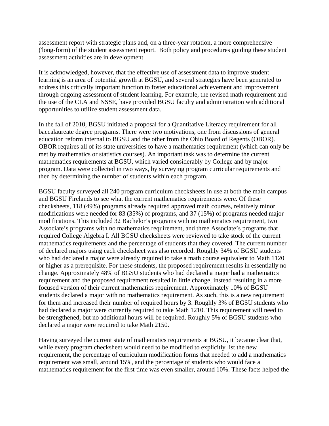assessment report with strategic plans and, on a three-year rotation, a more comprehensive ('long-form) of the student assessment report. Both policy and procedures guiding these student assessment activities are in development.

It is acknowledged, however, that the effective use of assessment data to improve student learning is an area of potential growth at BGSU, and several strategies have been generated to address this critically important function to foster educational achievement and improvement through ongoing assessment of student learning. For example, the revised math requirement and the use of the CLA and NSSE, have provided BGSU faculty and administration with additional opportunities to utilize student assessment data.

In the fall of 2010, BGSU initiated a proposal for a Quantitative Literacy requirement for all baccalaureate degree programs. There were two motivations, one from discussions of general education reform internal to BGSU and the other from the Ohio Board of Regents (OBOR). OBOR requires all of its state universities to have a mathematics requirement (which can only be met by mathematics or statistics courses). An important task was to determine the current mathematics requirements at BGSU, which varied considerably by College and by major program. Data were collected in two ways, by surveying program curricular requirements and then by determining the number of students within each program.

BGSU faculty surveyed all 240 program curriculum checksheets in use at both the main campus and BGSU Firelands to see what the current mathematics requirements were. Of these checksheets, 118 (49%) programs already required approved math courses, relatively minor modifications were needed for 83 (35%) of programs, and 37 (15%) of programs needed major modifications. This included 32 Bachelor's programs with no mathematics requirement, two Associate's programs with no mathematics requirement, and three Associate's programs that required College Algebra I. All BGSU checksheets were reviewed to take stock of the current mathematics requirements and the percentage of students that they covered. The current number of declared majors using each checksheet was also recorded. Roughly 34% of BGSU students who had declared a major were already required to take a math course equivalent to Math 1120 or higher as a prerequisite. For these students, the proposed requirement results in essentially no change. Approximately 48% of BGSU students who had declared a major had a mathematics requirement and the proposed requirement resulted in little change, instead resulting in a more focused version of their current mathematics requirement. Approximately 10% of BGSU students declared a major with no mathematics requirement. As such, this is a new requirement for them and increased their number of required hours by 3. Roughly 3% of BGSU students who had declared a major were currently required to take Math 1210. This requirement will need to be strengthened, but no additional hours will be required. Roughly 5% of BGSU students who declared a major were required to take Math 2150.

Having surveyed the current state of mathematics requirements at BGSU, it became clear that, while every program checksheet would need to be modified to explicitly list the new requirement, the percentage of curriculum modification forms that needed to add a mathematics requirement was small, around 15%, and the percentage of students who would face a mathematics requirement for the first time was even smaller, around 10%. These facts helped the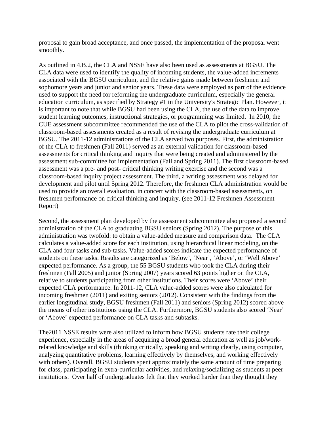proposal to gain broad acceptance, and once passed, the implementation of the proposal went smoothly.

As outlined in 4.B.2, the CLA and NSSE have also been used as assessments at BGSU. The CLA data were used to identify the quality of incoming students, the value-added increments associated with the BGSU curriculum, and the relative gains made between freshmen and sophomore years and junior and senior years. These data were employed as part of the evidence used to support the need for reforming the undergraduate curriculum, especially the general education curriculum, as specified by Strategy #1 in the University's Strategic Plan. However, it is important to note that while BGSU had been using the CLA, the use of the data to improve student learning outcomes, instructional strategies, or programming was limited. In 2010, the CUE assessment subcommittee recommended the use of the CLA to pilot the cross-validation of classroom-based assessments created as a result of revising the undergraduate curriculum at BGSU. The 2011-12 administrations of the CLA served two purposes. First, the administration of the CLA to freshmen (Fall 2011) served as an external validation for classroom-based assessments for critical thinking and inquiry that were being created and administered by the assessment sub-committee for implementation (Fall and Spring 2011). The first classroom-based assessment was a pre- and post- critical thinking writing exercise and the second was a classroom-based inquiry project assessment. The third, a writing assessment was delayed for development and pilot until Spring 2012. Therefore, the freshmen CLA administration would be used to provide an overall evaluation, in concert with the classroom-based assessments, on freshmen performance on critical thinking and inquiry. (see 2011-12 Freshmen Assessment Report)

Second, the assessment plan developed by the assessment subcommittee also proposed a second administration of the CLA to graduating BGSU seniors (Spring 2012). The purpose of this administration was twofold: to obtain a value-added measure and comparison data. The CLA calculates a value-added score for each institution, using hierarchical linear modeling, on the CLA and four tasks and sub-tasks. Value-added scores indicate the expected performance of students on these tasks. Results are categorized as 'Below', 'Near', 'Above', or 'Well Above' expected performance. As a group, the 55 BGSU students who took the CLA during their freshmen (Fall 2005) and junior (Spring 2007) years scored 63 points higher on the CLA, relative to students participating from other institutions. Their scores were 'Above' their expected CLA performance. In 2011-12, CLA value-added scores were also calculated for incoming freshmen (2011) and exiting seniors (2012). Consistent with the findings from the earlier longitudinal study, BGSU freshmen (Fall 2011) and seniors (Spring 2012) scored above the means of other institutions using the CLA. Furthermore, BGSU students also scored 'Near' or 'Above' expected performance on CLA tasks and subtasks.

The2011 NSSE results were also utilized to inform how BGSU students rate their college experience, especially in the areas of acquiring a broad general education as well as job/workrelated knowledge and skills (thinking critically, speaking and writing clearly, using computer, analyzing quantitative problems, learning effectively by themselves, and working effectively with others). Overall, BGSU students spent approximately the same amount of time preparing for class, participating in extra-curricular activities, and relaxing/socializing as students at peer institutions. Over half of undergraduates felt that they worked harder than they thought they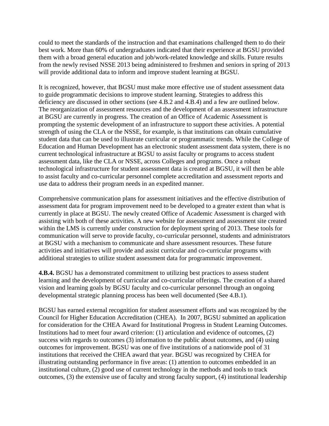could to meet the standards of the instruction and that examinations challenged them to do their best work. More than 60% of undergraduates indicated that their experience at BGSU provided them with a broad general education and job/work-related knowledge and skills. Future results from the newly revised NSSE 2013 being administered to freshmen and seniors in spring of 2013 will provide additional data to inform and improve student learning at BGSU.

It is recognized, however, that BGSU must make more effective use of student assessment data to guide programmatic decisions to improve student learning. Strategies to address this deficiency are discussed in other sections (see 4.B.2 and 4.B.4) and a few are outlined below. The reorganization of assessment resources and the development of an assessment infrastructure at BGSU are currently in progress. The creation of an Office of Academic Assessment is prompting the systemic development of an infrastructure to support these activities. A potential strength of using the CLA or the NSSE, for example, is that institutions can obtain cumulative student data that can be used to illustrate curricular or programmatic trends. While the College of Education and Human Development has an electronic student assessment data system, there is no current technological infrastructure at BGSU to assist faculty or programs to access student assessment data, like the CLA or NSSE, across Colleges and programs. Once a robust technological infrastructure for student assessment data is created at BGSU, it will then be able to assist faculty and co-curricular personnel complete accreditation and assessment reports and use data to address their program needs in an expedited manner.

Comprehensive communication plans for assessment initiatives and the effective distribution of assessment data for program improvement need to be developed to a greater extent than what is currently in place at BGSU. The newly created Office of Academic Assessment is charged with assisting with both of these activities. A new website for assessment and assessment site created within the LMS is currently under construction for deployment spring of 2013. These tools for communication will serve to provide faculty, co-curricular personnel, students and administrators at BGSU with a mechanism to communicate and share assessment resources. These future activities and initiatives will provide and assist curricular and co-curricular programs with additional strategies to utilize student assessment data for programmatic improvement.

**4.B.4.** BGSU has a demonstrated commitment to utilizing best practices to assess student learning and the development of curricular and co-curricular offerings. The creation of a shared vision and learning goals by BGSU faculty and co-curricular personnel through an ongoing developmental strategic planning process has been well documented (See 4.B.1).

BGSU has earned external recognition for student assessment efforts and was recognized by the Council for Higher Education Accreditation (CHEA). In 2007, BGSU submitted an application for consideration for the CHEA Award for Institutional Progress in Student Learning Outcomes. Institutions had to meet four award criterion: (1) articulation and evidence of outcomes, (2) success with regards to outcomes (3) information to the public about outcomes, and (4) using outcomes for improvement. BGSU was one of five institutions of a nationwide pool of 31 institutions that received the CHEA award that year. BGSU was recognized by CHEA for illustrating outstanding performance in five areas: (1) attention to outcomes embedded in an institutional culture, (2) good use of current technology in the methods and tools to track outcomes, (3) the extensive use of faculty and strong faculty support, (4) institutional leadership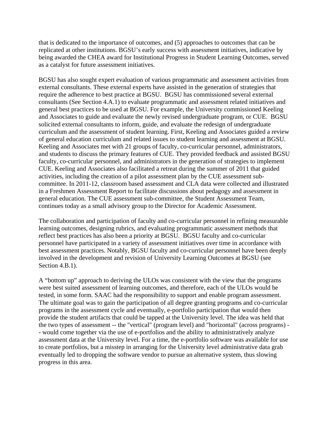that is dedicated to the importance of outcomes, and (5) approaches to outcomes that can be replicated at other institutions. BGSU's early success with assessment initiatives, indicative by being awarded the CHEA award for Institutional Progress in Student Learning Outcomes, served as a catalyst for future assessment initiatives.

BGSU has also sought expert evaluation of various programmatic and assessment activities from external consultants. These external experts have assisted in the generation of strategies that require the adherence to best practice at BGSU. BGSU has commissioned several external consultants (See Section 4.A.1) to evaluate programmatic and assessment related initiatives and general best practices to be used at BGSU. For example, the University commissioned Keeling and Associates to guide and evaluate the newly revised undergraduate program, or CUE. BGSU solicited external consultants to inform, guide, and evaluate the redesign of undergraduate curriculum and the assessment of student learning. First, Keeling and Associates guided a review of general education curriculum and related issues to student learning and assessment at BGSU. Keeling and Associates met with 21 groups of faculty, co-curricular personnel, administrators, and students to discuss the primary features of CUE. They provided feedback and assisted BGSU faculty, co-curricular personnel, and administrators in the generation of strategies to implement CUE. Keeling and Associates also facilitated a retreat during the summer of 2011 that guided activities, including the creation of a pilot assessment plan by the CUE assessment subcommittee. In 2011-12, classroom based assessment and CLA data were collected and illustrated in a Freshmen Assessment Report to facilitate discussions about pedagogy and assessment in general education. The CUE assessment sub-committee, the Student Assessment Team, continues today as a small advisory group to the Director for Academic Assessment.

The collaboration and participation of faculty and co-curricular personnel in refining measurable learning outcomes, designing rubrics, and evaluating programmatic assessment methods that reflect best practices has also been a priority at BGSU. BGSU faculty and co-curricular personnel have participated in a variety of assessment initiatives over time in accordance with best assessment practices. Notably, BGSU faculty and co-curricular personnel have been deeply involved in the development and revision of University Learning Outcomes at BGSU (see Section 4.B.1).

A "bottom up" approach to deriving the ULOs was consistent with the view that the programs were best suited assessment of learning outcomes, and therefore, each of the ULOs would be tested, in some form. SAAC had the responsibility to support and enable program assessment. The ultimate goal was to gain the participation of all degree granting programs and co-curricular programs in the assessment cycle and eventually, e-portfolio participation that would then provide the student artifacts that could be tapped at the University level. The idea was held that the two types of assessment -- the "vertical" (program level) and "horizontal" (across programs) - - would come together via the use of e-portfolios and the ability to administratively analyze assessment data at the University level. For a time, the e-portfolio software was available for use to create portfolios, but a misstep in arranging for the University level administrative data grab eventually led to dropping the software vendor to pursue an alternative system, thus slowing progress in this area.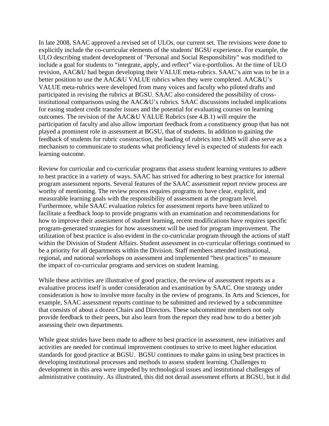In late 2008, SAAC approved a revised set of ULOs, our current set. The revisions were done to explicitly include the co-curricular elements of the students' BGSU experience. For example, the ULO describing student development of "Personal and Social Responsibility" was modified to include a goal for students to "integrate, apply, and reflect" via e-portfolios. At the time of ULO revision, AAC&U had begun developing their VALUE meta-rubrics. SAAC's aim was to be in a better position to use the AAC&U VALUE rubrics when they were completed. AAC&U's VALUE meta-rubrics were developed from many voices and faculty who piloted drafts and participated in revising the rubrics at BGSU. SAAC also considered the possibility of crossinstitutional comparisons using the AAC&U's rubrics. SAAC discussions included implications for easing student credit transfer issues and the potential for evaluating courses on learning outcomes. The revision of the AAC&U VALUE Rubrics (see 4.B.1) will require the participation of faculty and also allow important feedback from a constituency group that has not played a prominent role in assessment at BGSU, that of students. In addition to gaining the feedback of students for rubric construction, the loading of rubrics into LMS will also serve as a mechanism to communicate to students what proficiency level is expected of students for each learning outcome.

Review for curricular and co-curricular programs that assess student learning ventures to adhere to best practice in a variety of ways. SAAC has strived for adhering to best practice for internal program assessment reports. Several features of the SAAC assessment report review process are worthy of mentioning. The review process requires programs to have clear, explicit, and measurable learning goals with the responsibility of assessment at the program level. Furthermore, while SAAC evaluation rubrics for assessment reports have been utilized to facilitate a feedback loop to provide programs with an examination and recommendations for how to improve their assessment of student learning, recent modifications have requires specific program-generated strategies for how assessment will be used for program improvement. The utilization of best practice is also evident in the co-curricular program through the actions of staff within the Division of Student Affairs. Student assessment in co-curricular offerings continued to be a priority for all departments within the Division. Staff members attended institutional, regional, and national workshops on assessment and implemented "best practices" to measure the impact of co-curricular programs and services on student learning.

While these activities are illustrative of good practice, the review of assessment reports as a evaluative process itself is under consideration and examination by SAAC. One strategy under consideration is how to involve more faculty in the review of programs. In Arts and Sciences, for example, SAAC assessment reports continue to be submitted and reviewed by a subcommittee that consists of about a dozen Chairs and Directors. These subcommittee members not only provide feedback to their peers, but also learn from the report they read how to do a better job assessing their own departments.

While great strides have been made to adhere to best practice in assessment, new initiatives and activities are needed for continual improvement continues to strive to meet higher education standards for good practice at BGSU. BGSU continues to make gains in using best practices in developing institutional processes and methods to assess student learning. Challenges to development in this area were impeded by technological issues and institutional challenges of administrative continuity. As illustrated, this did not derail assessment efforts at BGSU, but it did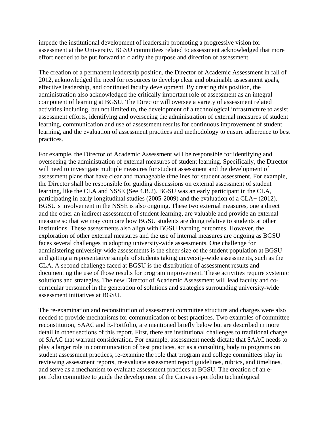impede the institutional development of leadership promoting a progressive vision for assessment at the University. BGSU committees related to assessment acknowledged that more effort needed to be put forward to clarify the purpose and direction of assessment.

The creation of a permanent leadership position, the Director of Academic Assessment in fall of 2012, acknowledged the need for resources to develop clear and obtainable assessment goals, effective leadership, and continued faculty development. By creating this position, the administration also acknowledged the critically important role of assessment as an integral component of learning at BGSU. The Director will oversee a variety of assessment related activities including, but not limited to, the development of a technological infrastructure to assist assessment efforts, identifying and overseeing the administration of external measures of student learning, communication and use of assessment results for continuous improvement of student learning, and the evaluation of assessment practices and methodology to ensure adherence to best practices.

For example, the Director of Academic Assessment will be responsible for identifying and overseeing the administration of external measures of student learning. Specifically, the Director will need to investigate multiple measures for student assessment and the development of assessment plans that have clear and manageable timelines for student assessment. For example, the Director shall be responsible for guiding discussions on external assessment of student learning, like the CLA and NSSE (See 4.B.2). BGSU was an early participant in the CLA, participating in early longitudinal studies (2005-2009) and the evaluation of a CLA+ (2012). BGSU's involvement in the NSSE is also ongoing. These two external measures, one a direct and the other an indirect assessment of student learning, are valuable and provide an external measure so that we may compare how BGSU students are doing relative to students at other institutions. These assessments also align with BGSU learning outcomes. However, the exploration of other external measures and the use of internal measures are ongoing as BGSU faces several challenges in adopting university-wide assessments. One challenge for administering university-wide assessments is the sheer size of the student population at BGSU and getting a representative sample of students taking university-wide assessments, such as the CLA. A second challenge faced at BGSU is the distribution of assessment results and documenting the use of those results for program improvement. These activities require systemic solutions and strategies. The new Director of Academic Assessment will lead faculty and cocurricular personnel in the generation of solutions and strategies surrounding university-wide assessment initiatives at BGSU.

The re-examination and reconstitution of assessment committee structure and charges were also needed to provide mechanisms for communication of best practices. Two examples of committee reconstitution, SAAC and E-Portfolio, are mentioned briefly below but are described in more detail in other sections of this report. First, there are institutional challenges to traditional charge of SAAC that warrant consideration. For example, assessment needs dictate that SAAC needs to play a larger role in communication of best practices, act as a consulting body to programs on student assessment practices, re-examine the role that program and college committees play in reviewing assessment reports, re-evaluate assessment report guidelines, rubrics, and timelines, and serve as a mechanism to evaluate assessment practices at BGSU. The creation of an eportfolio committee to guide the development of the Canvas e-portfolio technological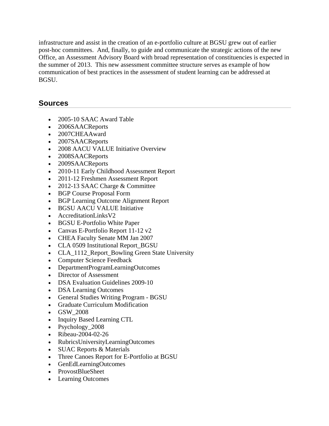infrastructure and assist in the creation of an e-portfolio culture at BGSU grew out of earlier post-hoc committees. And, finally, to guide and communicate the strategic actions of the new Office, an Assessment Advisory Board with broad representation of constituencies is expected in the summer of 2013. This new assessment committee structure serves as example of how communication of best practices in the assessment of student learning can be addressed at BGSU.

#### **Sources**

- 2005-10 SAAC Award Table
- 2006SAACReports
- 2007CHEAAward
- 2007SAACReports
- 2008 AACU VALUE Initiative Overview
- 2008SAACReports
- 2009SAACReports
- 2010-11 Early Childhood Assessment Report
- 2011-12 Freshmen Assessment Report
- 2012-13 SAAC Charge & Committee
- BGP Course Proposal Form
- BGP Learning Outcome Alignment Report
- BGSU AACU VALUE Initiative
- AccreditationLinksV2
- BGSU E-Portfolio White Paper
- Canvas E-Portfolio Report 11-12 v2
- CHEA Faculty Senate MM Jan 2007
- CLA 0509 Institutional Report\_BGSU
- CLA 1112 Report Bowling Green State University
- Computer Science Feedback
- DepartmentProgramLearningOutcomes
- Director of Assessment
- DSA Evaluation Guidelines 2009-10
- DSA Learning Outcomes
- General Studies Writing Program BGSU
- Graduate Curriculum Modification
- GSW\_2008
- Inquiry Based Learning CTL
- Psychology 2008
- Ribeau-2004-02-26
- RubricsUniversityLearningOutcomes
- SUAC Reports & Materials
- Three Canoes Report for E-Portfolio at BGSU
- GenEdLearningOutcomes
- ProvostBlueSheet
- Learning Outcomes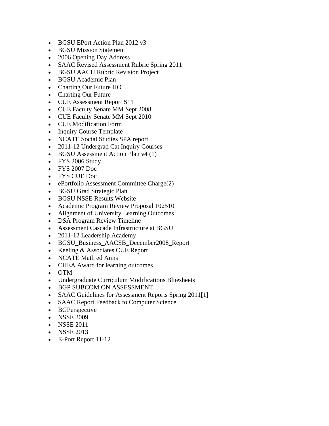- BGSU EPort Action Plan 2012 v3
- BGSU Mission Statement
- 2006 Opening Day Address
- SAAC Revised Assessment Rubric Spring 2011
- BGSU AACU Rubric Revision Project
- BGSU Academic Plan
- Charting Our Future HO
- Charting Our Future
- CUE Assessment Report S11
- CUE Faculty Senate MM Sept 2008
- CUE Faculty Senate MM Sept 2010
- CUE Modification Form
- Inquiry Course Template
- NCATE Social Studies SPA report
- 2011-12 Undergrad Cat Inquiry Courses
- BGSU Assessment Action Plan v4 (1)
- FYS 2006 Study
- FYS 2007 Doc
- FYS CUE Doc
- ePortfolio Assessment Committee Charge(2)
- BGSU Grad Strategic Plan
- BGSU NSSE Results Website
- Academic Program Review Proposal 102510
- Alignment of University Learning Outcomes
- DSA Program Review Timeline
- Assessment Cascade Infrastructure at BGSU
- 2011-12 Leadership Academy
- BGSU\_Business\_AACSB\_December2008\_Report
- Keeling & Associates CUE Report
- NCATE Math ed Aims
- CHEA Award for learning outcomes
- OTM
- Undergraduate Curriculum Modifications Bluesheets
- BGP SUBCOM ON ASSESSMENT
- SAAC Guidelines for Assessment Reports Spring 2011[1]
- SAAC Report Feedback to Computer Science
- BGPerspective
- NSSE 2009
- NSSE 2011
- NSSE 2013
- E-Port Report 11-12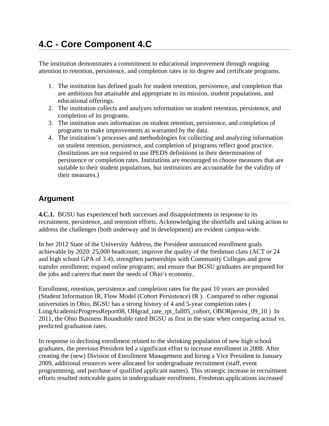# **4.C - Core Component 4.C**

The institution demonstrates a commitment to educational improvement through ongoing attention to retention, persistence, and completion rates in its degree and certificate programs.

- 1. The institution has defined goals for student retention, persistence, and completion that are ambitious but attainable and appropriate to its mission, student populations, and educational offerings.
- 2. The institution collects and analyzes information on student retention, persistence, and completion of its programs.
- 3. The institution uses information on student retention, persistence, and completion of programs to make improvements as warranted by the data.
- 4. The institution's processes and methodologies for collecting and analyzing information on student retention, persistence, and completion of programs reflect good practice. (Institutions are not required to use IPEDS definitions in their determination of persistence or completion rates. Institutions are encouraged to choose measures that are suitable to their student populations, but institutions are accountable for the validity of their measures.)

## **Argument**

**4.C.1.** BGSU has experienced both successes and disappointments in response to its recruitment, persistence, and retention efforts. Acknowledging the shortfalls and taking action to address the challenges (both underway and in development) are evident campus-wide.

In her 2012 State of the University Address, the President announced enrollment goals achievable by 2020: 25,000 headcount; improve the quality of the freshman class (ACT or 24 and high school GPA of 3.4); strengthen partnerships with Community Colleges and grow transfer enrollment; expand online programs; and ensure that BGSU graduates are prepared for the jobs and careers that meet the needs of Ohio's economy.

Enrollment, retention, persistence and completion rates for the past 10 years are provided (Student Information IR, Flow Model (Cohort Persistence) IR ). Compared to other regional universities in Ohio, BGSU has a strong history of 4 and 5-year completion rates ( LongAcademicProgressReport08, OHgrad\_rate\_rpt\_fall05\_cohort, OBORpersist\_09\_10 ) In 2011, the Ohio Business Roundtable rated BGSU as first in the state when comparing actual vs. predicted graduation rates.

In response to declining enrollment related to the shrinking population of new high school graduates, the previous President led a significant effort to increase enrollment in 2008. After creating the (new) Division of Enrollment Management and hiring a Vice President in January 2009, additional resources were allocated for undergraduate recruitment (staff, event programming, and purchase of qualified applicant names). This strategic increase in recruitment efforts resulted noticeable gains in undergraduate enrollment. Freshman applications increased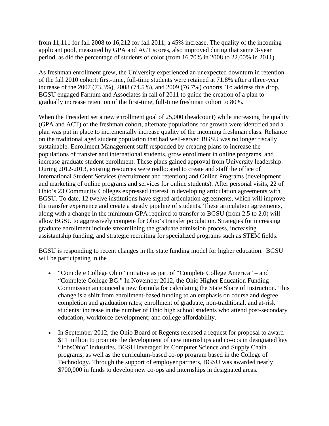from 11,111 for fall 2008 to 16,212 for fall 2011, a 45% increase. The quality of the incoming applicant pool, measured by GPA and ACT scores, also improved during that same 3-year period, as did the percentage of students of color (from 16.70% in 2008 to 22.00% in 2011).

As freshman enrollment grew, the University experienced an unexpected downturn in retention of the fall 2010 cohort; first-time, full-time students were retained at 71.8% after a three-year increase of the 2007 (73.3%), 2008 (74.5%), and 2009 (76.7%) cohorts. To address this drop, BGSU engaged Farnum and Associates in fall of 2011 to guide the creation of a plan to gradually increase retention of the first-time, full-time freshman cohort to 80%.

When the President set a new enrollment goal of 25,000 (headcount) while increasing the quality (GPA and ACT) of the freshman cohort, alternate populations for growth were identified and a plan was put in place to incrementally increase quality of the incoming freshman class. Reliance on the traditional aged student population that had well-served BGSU was no longer fiscally sustainable. Enrollment Management staff responded by creating plans to increase the populations of transfer and international students, grow enrollment in online programs, and increase graduate student enrollment. These plans gained approval from University leadership. During 2012-2013, existing resources were reallocated to create and staff the office of International Student Services (recruitment and retention) and Online Programs (development and marketing of online programs and services for online students). After personal visits, 22 of Ohio's 23 Community Colleges expressed interest in developing articulation agreements with BGSU. To date, 12 twelve institutions have signed articulation agreements, which will improve the transfer experience and create a steady pipeline of students. These articulation agreements, along with a change in the minimum GPA required to transfer to BGSU (from 2.5 to 2.0) will allow BGSU to aggressively compete for Ohio's transfer population. Strategies for increasing graduate enrollment include streamlining the graduate admission process, increasing assistantship funding, and strategic recruiting for specialized programs such as STEM fields.

BGSU is responding to recent changes in the state funding model for higher education. BGSU will be participating in the

- "Complete College Ohio" initiative as part of "Complete College America" and "Complete College BG." In November 2012, the Ohio Higher Education Funding Commission announced a new formula for calculating the State Share of Instruction. This change is a shift from enrollment-based funding to an emphasis on course and degree completion and graduation rates; enrollment of graduate, non-traditional, and at-risk students; increase in the number of Ohio high school students who attend post-secondary education; workforce development; and college affordability.
- In September 2012, the Ohio Board of Regents released a request for proposal to award \$11 million to promote the development of new internships and co-ops in designated key "JobsOhio" industries. BGSU leveraged its Computer Science and Supply Chain programs, as well as the curriculum-based co-op program based in the College of Technology. Through the support of employer partners, BGSU was awarded nearly \$700,000 in funds to develop new co-ops and internships in designated areas.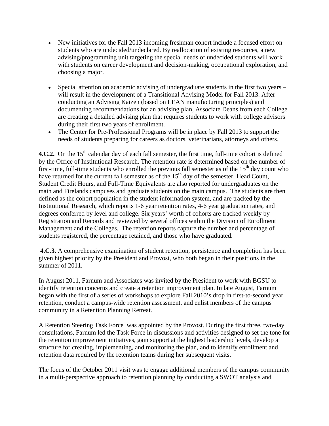- New initiatives for the Fall 2013 incoming freshman cohort include a focused effort on students who are undecided/undeclared. By reallocation of existing resources, a new advising/programming unit targeting the special needs of undecided students will work with students on career development and decision-making, occupational exploration, and choosing a major.
- Special attention on academic advising of undergraduate students in the first two years will result in the development of a Transitional Advising Model for Fall 2013. After conducting an Advising Kaizen (based on LEAN manufacturing principles) and documenting recommendations for an advising plan, Associate Deans from each College are creating a detailed advising plan that requires students to work with college advisors during their first two years of enrollment.
- The Center for Pre-Professional Programs will be in place by Fall 2013 to support the needs of students preparing for careers as doctors, veterinarians, attorneys and others.

**4.C.2.** On the 15<sup>th</sup> calendar day of each fall semester, the first time, full-time cohort is defined by the Office of Institutional Research. The retention rate is determined based on the number of first-time, full-time students who enrolled the previous fall semester as of the  $15<sup>th</sup>$  day count who have returned for the current fall semester as of the  $15<sup>th</sup>$  day of the semester. Head Count, Student Credit Hours, and Full-Time Equivalents are also reported for undergraduates on the main and Firelands campuses and graduate students on the main campus. The students are then defined as the cohort population in the student information system, and are tracked by the Institutional Research, which reports 1-6 year retention rates, 4-6 year graduation rates, and degrees conferred by level and college. Six years' worth of cohorts are tracked weekly by Registration and Records and reviewed by several offices within the Division of Enrollment Management and the Colleges. The retention reports capture the number and percentage of students registered, the percentage retained, and those who have graduated.

**4.C.3.** A comprehensive examination of student retention, persistence and completion has been given highest priority by the President and Provost, who both began in their positions in the summer of 2011.

In August 2011, Farnum and Associates was invited by the President to work with BGSU to identify retention concerns and create a retention improvement plan. In late August, Farnum began with the first of a series of workshops to explore Fall 2010's drop in first-to-second year retention, conduct a campus-wide retention assessment, and enlist members of the campus community in a Retention Planning Retreat.

A Retention Steering Task Force was appointed by the Provost. During the first three, two-day consultations, Farnum led the Task Force in discussions and activities designed to set the tone for the retention improvement initiatives, gain support at the highest leadership levels, develop a structure for creating, implementing, and monitoring the plan, and to identify enrollment and retention data required by the retention teams during her subsequent visits.

The focus of the October 2011 visit was to engage additional members of the campus community in a multi-perspective approach to retention planning by conducting a SWOT analysis and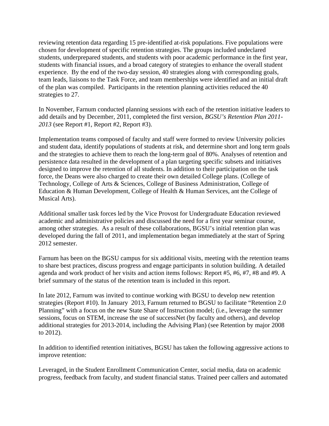reviewing retention data regarding 15 pre-identified at-risk populations. Five populations were chosen for development of specific retention strategies. The groups included undeclared students, underprepared students, and students with poor academic performance in the first year, students with financial issues, and a broad category of strategies to enhance the overall student experience. By the end of the two-day session, 40 strategies along with corresponding goals, team leads, liaisons to the Task Force, and team memberships were identified and an initial draft of the plan was compiled. Participants in the retention planning activities reduced the 40 strategies to 27.

In November, Farnum conducted planning sessions with each of the retention initiative leaders to add details and by December, 2011, completed the first version, *BGSU's Retention Plan 2011- 2013* (see Report #1, Report #2, Report #3).

Implementation teams composed of faculty and staff were formed to review University policies and student data, identify populations of students at risk, and determine short and long term goals and the strategies to achieve them to reach the long-term goal of 80%. Analyses of retention and persistence data resulted in the development of a plan targeting specific subsets and initiatives designed to improve the retention of all students. In addition to their participation on the task force, the Deans were also charged to create their own detailed College plans. (College of Technology, College of Arts & Sciences, College of Business Administration, College of Education & Human Development, College of Health & Human Services, ant the College of Musical Arts).

Additional smaller task forces led by the Vice Provost for Undergraduate Education reviewed academic and administrative policies and discussed the need for a first year seminar course, among other strategies. As a result of these collaborations, BGSU's initial retention plan was developed during the fall of 2011, and implementation began immediately at the start of Spring 2012 semester.

Farnum has been on the BGSU campus for six additional visits, meeting with the retention teams to share best practices, discuss progress and engage participants in solution building. A detailed agenda and work product of her visits and action items follows: Report #5, #6, #7, #8 and #9. A brief summary of the status of the retention team is included in this report.

In late 2012, Farnum was invited to continue working with BGSU to develop new retention strategies (Report #10). In January 2013, Farnum returned to BGSU to facilitate "Retention 2.0 Planning" with a focus on the new State Share of Instruction model; (i.e., leverage the summer sessions, focus on STEM, increase the use of successNet (by faculty and others), and develop additional strategies for 2013-2014, including the Advising Plan) (see Retention by major 2008 to 2012).

In addition to identified retention initiatives, BGSU has taken the following aggressive actions to improve retention:

Leveraged, in the Student Enrollment Communication Center, social media, data on academic progress, feedback from faculty, and student financial status. Trained peer callers and automated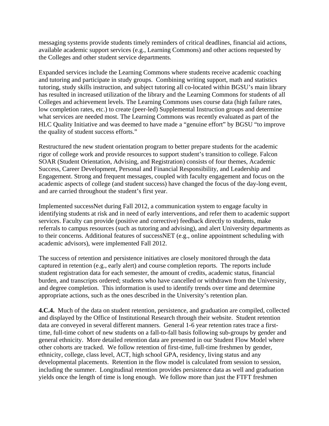messaging systems provide students timely reminders of critical deadlines, financial aid actions, available academic support services (e.g., Learning Commons) and other actions requested by the Colleges and other student service departments.

Expanded services include the Learning Commons where students receive academic coaching and tutoring and participate in study groups. Combining writing support, math and statistics tutoring, study skills instruction, and subject tutoring all co-located within BGSU's main library has resulted in increased utilization of the library and the Learning Commons for students of all Colleges and achievement levels. The Learning Commons uses course data (high failure rates, low completion rates, etc.) to create (peer-led) Supplemental Instruction groups and determine what services are needed most. The Learning Commons was recently evaluated as part of the HLC Quality Initiative and was deemed to have made a "genuine effort" by BGSU "to improve the quality of student success efforts."

Restructured the new student orientation program to better prepare students for the academic rigor of college work and provide resources to support student's transition to college. Falcon SOAR (Student Orientation, Advising, and Registration) consists of four themes, Academic Success, Career Development, Personal and Financial Responsibility, and Leadership and Engagement. Strong and frequent messages, coupled with faculty engagement and focus on the academic aspects of college (and student success) have changed the focus of the day-long event, and are carried throughout the student's first year.

Implemented successNet during Fall 2012, a communication system to engage faculty in identifying students at risk and in need of early interventions, and refer them to academic support services. Faculty can provide (positive and corrective) feedback directly to students, make referrals to campus resources (such as tutoring and advising), and alert University departments as to their concerns. Additional features of successNET (e.g., online appointment scheduling with academic advisors), were implemented Fall 2012.

The success of retention and persistence initiatives are closely monitored through the data captured in retention (e.g., early alert) and course completion reports. The reports include student registration data for each semester, the amount of credits, academic status, financial burden, and transcripts ordered; students who have cancelled or withdrawn from the University, and degree completion. This information is used to identify trends over time and determine appropriate actions, such as the ones described in the University's retention plan.

**4.C.4.** Much of the data on student retention, persistence, and graduation are compiled, collected and displayed by the Office of Institutional Research through their website. Student retention data are conveyed in several different manners. General 1-6 year retention rates trace a firsttime, full-time cohort of new students on a fall-to-fall basis following sub-groups by gender and general ethnicity. More detailed retention data are presented in our Student Flow Model where other cohorts are tracked. We follow retention of first-time, full-time freshmen by gender, ethnicity, college, class level, ACT, high school GPA, residency, living status and any developmental placements. Retention in the flow model is calculated from session to session, including the summer. Longitudinal retention provides persistence data as well and graduation yields once the length of time is long enough. We follow more than just the FTFT freshmen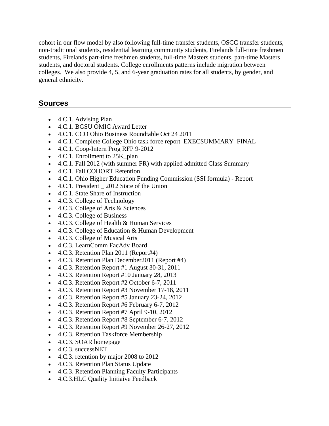cohort in our flow model by also following full-time transfer students, OSCC transfer students, non-traditional students, residential learning community students, Firelands full-time freshmen students, Firelands part-time freshmen students, full-time Masters students, part-time Masters students, and doctoral students. College enrollments patterns include migration between colleges. We also provide 4, 5, and 6-year graduation rates for all students, by gender, and general ethnicity.

#### **Sources**

- 4.C.1. Advising Plan
- 4.C.1. BGSU OMIC Award Letter
- 4.C.1. CCO Ohio Business Roundtable Oct 24 2011
- 4.C.1. Complete College Ohio task force report EXECSUMMARY FINAL
- 4.C.1. Coop-Intern Prog RFP 9-2012
- 4.C.1. Enrollment to 25K\_plan
- 4.C.1. Fall 2012 (with summer FR) with applied admitted Class Summary
- 4.C.1. Fall COHORT Retention
- 4.C.1. Ohio Higher Education Funding Commission (SSI formula) Report
- 4.C.1. President 2012 State of the Union
- 4.C.1. State Share of Instruction
- 4.C.3. College of Technology
- 4.C.3. College of Arts & Sciences
- 4.C.3. College of Business
- 4.C.3. College of Health & Human Services
- 4.C.3. College of Education & Human Development
- 4.C.3. College of Musical Arts
- 4.C.3. LearnComm FacAdv Board
- 4.C.3. Retention Plan 2011 (Report#4)
- 4.C.3. Retention Plan December2011 (Report #4)
- $\bullet$  4.C.3. Retention Report #1 August 30-31, 2011
- 4.C.3. Retention Report #10 January 28, 2013
- 4.C.3. Retention Report #2 October 6-7, 2011
- 4.C.3. Retention Report #3 November 17-18, 2011
- 4.C.3. Retention Report #5 January 23-24, 2012
- 4.C.3. Retention Report #6 February 6-7, 2012
- $\bullet$  4.C.3. Retention Report #7 April 9-10, 2012
- 4.C.3. Retention Report #8 September 6-7, 2012
- 4.C.3. Retention Report #9 November 26-27, 2012
- 4.C.3. Retention Taskforce Membership
- 4.C.3. SOAR homepage
- 4.C.3. successNET
- 4.C.3. retention by major 2008 to 2012
- 4.C.3. Retention Plan Status Update
- 4.C.3. Retention Planning Faculty Participants
- 4.C.3.HLC Quality Initiaive Feedback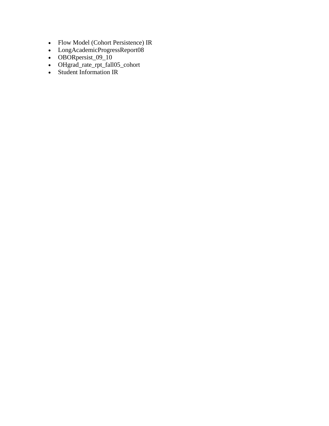- Flow Model (Cohort Persistence) IR
- LongAcademicProgressReport08
- OBORpersist\_09\_10
- OHgrad\_rate\_rpt\_fall05\_cohort
- Student Information IR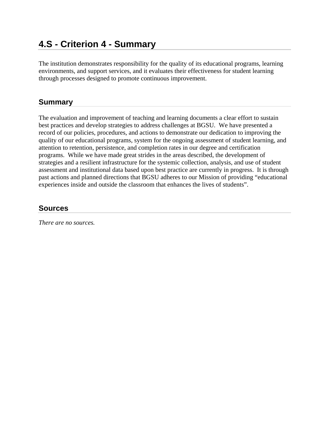## **4.S - Criterion 4 - Summary**

The institution demonstrates responsibility for the quality of its educational programs, learning environments, and support services, and it evaluates their effectiveness for student learning through processes designed to promote continuous improvement.

### **Summary**

The evaluation and improvement of teaching and learning documents a clear effort to sustain best practices and develop strategies to address challenges at BGSU. We have presented a record of our policies, procedures, and actions to demonstrate our dedication to improving the quality of our educational programs, system for the ongoing assessment of student learning, and attention to retention, persistence, and completion rates in our degree and certification programs. While we have made great strides in the areas described, the development of strategies and a resilient infrastructure for the systemic collection, analysis, and use of student assessment and institutional data based upon best practice are currently in progress. It is through past actions and planned directions that BGSU adheres to our Mission of providing "educational experiences inside and outside the classroom that enhances the lives of students".

#### **Sources**

*There are no sources.*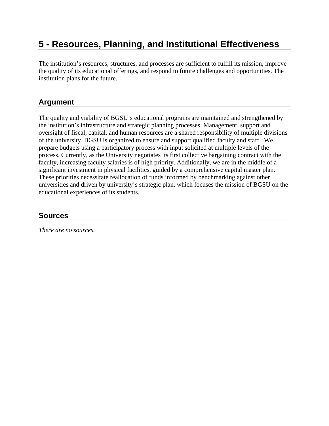## **5 - Resources, Planning, and Institutional Effectiveness**

The institution's resources, structures, and processes are sufficient to fulfill its mission, improve the quality of its educational offerings, and respond to future challenges and opportunities. The institution plans for the future.

### **Argument**

The quality and viability of BGSU's educational programs are maintained and strengthened by the institution's infrastructure and strategic planning processes. Management, support and oversight of fiscal, capital, and human resources are a shared responsibility of multiple divisions of the university. BGSU is organized to ensure and support qualified faculty and staff. We prepare budgets using a participatory process with input solicited at multiple levels of the process. Currently, as the University negotiates its first collective bargaining contract with the faculty, increasing faculty salaries is of high priority. Additionally, we are in the middle of a significant investment in physical facilities, guided by a comprehensive capital master plan. These priorities necessitate reallocation of funds informed by benchmarking against other universities and driven by university's strategic plan, which focuses the mission of BGSU on the educational experiences of its students.

#### **Sources**

*There are no sources.*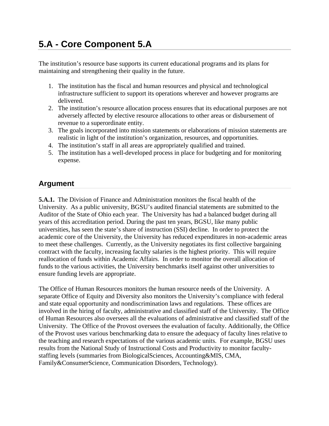The institution's resource base supports its current educational programs and its plans for maintaining and strengthening their quality in the future.

- 1. The institution has the fiscal and human resources and physical and technological infrastructure sufficient to support its operations wherever and however programs are delivered.
- 2. The institution's resource allocation process ensures that its educational purposes are not adversely affected by elective resource allocations to other areas or disbursement of revenue to a superordinate entity.
- 3. The goals incorporated into mission statements or elaborations of mission statements are realistic in light of the institution's organization, resources, and opportunities.
- 4. The institution's staff in all areas are appropriately qualified and trained.
- 5. The institution has a well-developed process in place for budgeting and for monitoring expense.

## **Argument**

**5.A.1.** The Division of Finance and Administration monitors the fiscal health of the University. As a public university, BGSU's audited financial statements are submitted to the Auditor of the State of Ohio each year. The University has had a balanced budget during all years of this accreditation period. During the past ten years, BGSU, like many public universities, has seen the state's share of instruction (SSI) decline. In order to protect the academic core of the University, the University has reduced expenditures in non-academic areas to meet these challenges. Currently, as the University negotiates its first collective bargaining contract with the faculty, increasing faculty salaries is the highest priority. This will require reallocation of funds within Academic Affairs. In order to monitor the overall allocation of funds to the various activities, the University benchmarks itself against other universities to ensure funding levels are appropriate.

The Office of Human Resources monitors the human resource needs of the University. A separate Office of Equity and Diversity also monitors the University's compliance with federal and state equal opportunity and nondiscrimination laws and regulations. These offices are involved in the hiring of faculty, administrative and classified staff of the University. The Office of Human Resources also oversees all the evaluations of administrative and classified staff of the University. The Office of the Provost oversees the evaluation of faculty. Additionally, the Office of the Provost uses various benchmarking data to ensure the adequacy of faculty lines relative to the teaching and research expectations of the various academic units. For example, BGSU uses results from the National Study of Instructional Costs and Productivity to monitor facultystaffing levels (summaries from BiologicalSciences, Accounting&MIS, CMA, Family&ConsumerScience, Communication Disorders, Technology).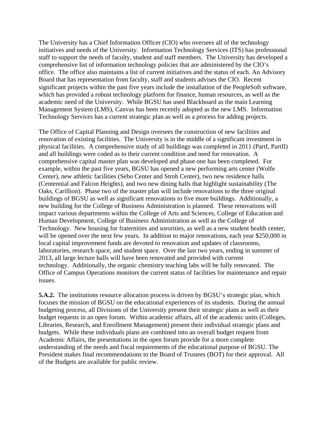The University has a Chief Information Officer (CIO) who oversees all of the technology initiatives and needs of the University. Information Technology Services (ITS) has professional staff to support the needs of faculty, student and staff members. The University has developed a comprehensive list of information technology policies that are administered by the CIO's office. The office also maintains a list of current initiatives and the status of each. An Advisory Board that has representation from faculty, staff and students advises the CIO. Recent significant projects within the past five years include the installation of the PeopleSoft software, which has provided a robust technology platform for finance, human resources, as well as the academic need of the University. While BGSU has used Blackboard as the main Learning Management System (LMS), Canvas has been recently adopted as the new LMS. Information Technology Services has a current strategic plan as well as a process for adding projects.

The Office of Capital Planning and Design oversees the construction of new facilities and renovation of existing facilities. The University is in the middle of a significant investment in physical facilities. A comprehensive study of all buildings was completed in 2011 (PartI, PartII) and all buildings were coded as to their current condition and need for renovation. A comprehensive capital master plan was developed and phase one has been completed. For example, within the past five years, BGSU has opened a new performing arts center (Wolfe Center), new athletic facilities (Sebo Center and Stroh Center), two new residence halls (Centennial and Falcon Heights), and two new dining halls that highlight sustainability (The Oaks, Carillion). Phase two of the master plan will include renovations to the three original buildings of BGSU as well as significant renovations to five more buildings. Additionally, a new building for the College of Business Administration is planned. These renovations will impact various departments within the College of Arts and Sciences, College of Education and Human Development, College of Business Administration as well as the College of Technology. New housing for fraternities and sororities, as well as a new student health center, will be opened over the next few years. In addition to major renovations, each year \$250,000 in local capital improvement funds are devoted to renovation and updates of classrooms, laboratories, research space, and student space. Over the last two years, ending in summer of 2013, all large lecture halls will have been renovated and provided with current technology. Additionally, the organic chemistry teaching labs will be fully renovated. The Office of Campus Operations monitors the current status of facilities for maintenance and repair issues.

**5.A.2.** The institutions resource allocation process is driven by BGSU's strategic plan, which focuses the mission of BGSU on the educational experiences of its students. During the annual budgeting process, all Divisions of the University present their strategic plans as well as their budget requests in an open forum. Within academic affairs, all of the academic units (Colleges, Libraries, Research, and Enrollment Management) present their individual strategic plans and budgets. While these individuals plans are combined into an overall budget request from Academic Affairs, the presentations in the open forum provide for a more complete understanding of the needs and fiscal requirements of the educational purpose of BGSU. The President makes final recommendations to the Board of Trustees (BOT) for their approval. All of the Budgets are available for public review.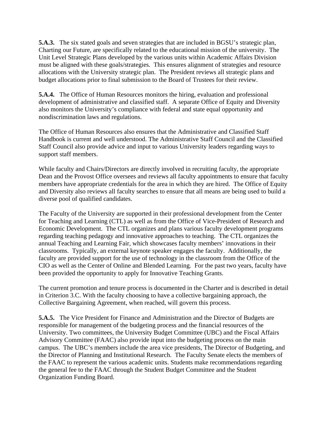**5.A.3.** The six stated goals and seven strategies that are included in BGSU's strategic plan, Charting our Future, are specifically related to the educational mission of the university. The Unit Level Strategic Plans developed by the various units within Academic Affairs Division must be aligned with these goals/strategies. This ensures alignment of strategies and resource allocations with the University strategic plan. The President reviews all strategic plans and budget allocations prior to final submission to the Board of Trustees for their review.

**5.A.4.** The Office of Human Resources monitors the hiring, evaluation and professional development of administrative and classified staff. A separate Office of Equity and Diversity also monitors the University's compliance with federal and state equal opportunity and nondiscrimination laws and regulations.

The Office of Human Resources also ensures that the Administrative and Classified Staff Handbook is current and well understood. The Administrative Staff Council and the Classified Staff Council also provide advice and input to various University leaders regarding ways to support staff members.

While faculty and Chairs/Directors are directly involved in recruiting faculty, the appropriate Dean and the Provost Office oversees and reviews all faculty appointments to ensure that faculty members have appropriate credentials for the area in which they are hired. The Office of Equity and Diversity also reviews all faculty searches to ensure that all means are being used to build a diverse pool of qualified candidates.

The Faculty of the University are supported in their professional development from the Center for Teaching and Learning (CTL) as well as from the Office of Vice-President of Research and Economic Development. The CTL organizes and plans various faculty development programs regarding teaching pedagogy and innovative approaches to teaching. The CTL organizes the annual Teaching and Learning Fair, which showcases faculty members' innovations in their classrooms. Typically, an external keynote speaker engages the faculty. Additionally, the faculty are provided support for the use of technology in the classroom from the Office of the CIO as well as the Center of Online and Blended Learning. For the past two years, faculty have been provided the opportunity to apply for Innovative Teaching Grants.

The current promotion and tenure process is documented in the Charter and is described in detail in Criterion 3.C. With the faculty choosing to have a collective bargaining approach, the Collective Bargaining Agreement, when reached, will govern this process.

**5.A.5.** The Vice President for Finance and Administration and the Director of Budgets are responsible for management of the budgeting process and the financial resources of the University. Two committees, the University Budget Committee (UBC) and the Fiscal Affairs Advisory Committee (FAAC) also provide input into the budgeting process on the main campus. The UBC's members include the area vice presidents, The Director of Budgeting, and the Director of Planning and Institutional Research. The Faculty Senate elects the members of the FAAC to represent the various academic units. Students make recommendations regarding the general fee to the FAAC through the Student Budget Committee and the Student Organization Funding Board.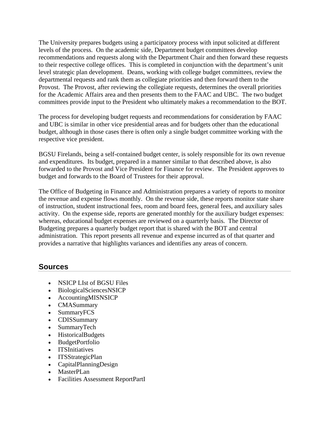The University prepares budgets using a participatory process with input solicited at different levels of the process. On the academic side, Department budget committees develop recommendations and requests along with the Department Chair and then forward these requests to their respective college offices. This is completed in conjunction with the department's unit level strategic plan development. Deans, working with college budget committees, review the departmental requests and rank them as collegiate priorities and then forward them to the Provost. The Provost, after reviewing the collegiate requests, determines the overall priorities for the Academic Affairs area and then presents them to the FAAC and UBC. The two budget committees provide input to the President who ultimately makes a recommendation to the BOT.

The process for developing budget requests and recommendations for consideration by FAAC and UBC is similar in other vice presidential areas and for budgets other than the educational budget, although in those cases there is often only a single budget committee working with the respective vice president.

BGSU Firelands, being a self-contained budget center, is solely responsible for its own revenue and expenditures. Its budget, prepared in a manner similar to that described above, is also forwarded to the Provost and Vice President for Finance for review. The President approves to budget and forwards to the Board of Trustees for their approval.

The Office of Budgeting in Finance and Administration prepares a variety of reports to monitor the revenue and expense flows monthly. On the revenue side, these reports monitor state share of instruction, student instructional fees, room and board fees, general fees, and auxiliary sales activity. On the expense side, reports are generated monthly for the auxiliary budget expenses: whereas, educational budget expenses are reviewed on a quarterly basis. The Director of Budgeting prepares a quarterly budget report that is shared with the BOT and central administration. This report presents all revenue and expense incurred as of that quarter and provides a narrative that highlights variances and identifies any areas of concern.

#### **Sources**

- NSICP LIst of BGSU Files
- BiologicalSciencesNSICP
- AccountingMISNSICP
- CMASummary
- SummaryFCS
- CDISSummary
- SummaryTech
- HistoricalBudgets
- BudgetPortfolio
- ITSInitiatives
- ITSStrategicPlan
- CapitalPlanningDesign
- MasterPLan
- Facilities Assessment ReportPartI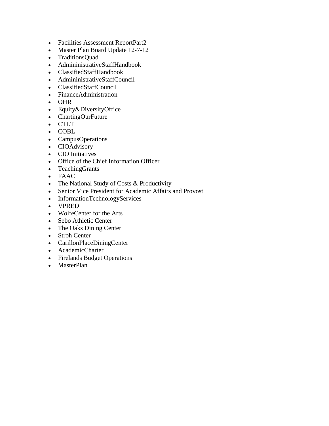- Facilities Assessment ReportPart2
- Master Plan Board Update 12-7-12
- TraditionsQuad
- AdmininistrativeStaffHandbook
- ClassifiedStaffHandbook
- AdmininistrativeStaffCouncil
- ClassifiedStaffCouncil
- FinanceAdministration
- OHR
- Equity & Diversity Office
- ChartingOurFuture
- CTLT
- COBL
- CampusOperations
- CIOAdvisory
- CIO Initiatives
- Office of the Chief Information Officer
- TeachingGrants
- FAAC
- The National Study of Costs & Productivity
- Senior Vice President for Academic Affairs and Provost
- InformationTechnologyServices
- VPRED
- WolfeCenter for the Arts
- Sebo Athletic Center
- The Oaks Dining Center
- Stroh Center
- CarillonPlaceDiningCenter
- AcademicCharter
- Firelands Budget Operations
- MasterPlan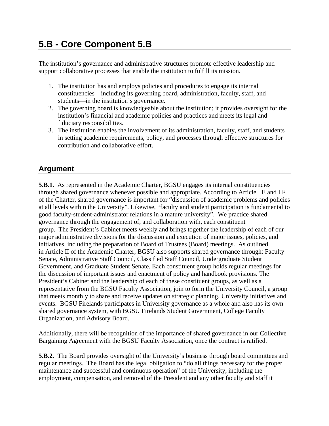# **5.B - Core Component 5.B**

The institution's governance and administrative structures promote effective leadership and support collaborative processes that enable the institution to fulfill its mission.

- 1. The institution has and employs policies and procedures to engage its internal constituencies—including its governing board, administration, faculty, staff, and students—in the institution's governance.
- 2. The governing board is knowledgeable about the institution; it provides oversight for the institution's financial and academic policies and practices and meets its legal and fiduciary responsibilities.
- 3. The institution enables the involvement of its administration, faculty, staff, and students in setting academic requirements, policy, and processes through effective structures for contribution and collaborative effort.

## **Argument**

**5.B.1.** As represented in the Academic Charter, BGSU engages its internal constituencies through shared governance whenever possible and appropriate. According to Article I.E and I.F of the Charter, shared governance is important for "discussion of academic problems and policies at all levels within the University". Likewise, "faculty and student participation is fundamental to good faculty-student-administrator relations in a mature university". We practice shared governance through the engagement of, and collaboration with, each constituent group. The President's Cabinet meets weekly and brings together the leadership of each of our major administrative divisions for the discussion and execution of major issues, policies, and initiatives, including the preparation of Board of Trustees (Board) meetings. As outlined in Article II of the Academic Charter, BGSU also supports shared governance through: Faculty Senate, Administrative Staff Council, Classified Staff Council, Undergraduate Student Government, and Graduate Student Senate. Each constituent group holds regular meetings for the discussion of important issues and enactment of policy and handbook provisions. The President's Cabinet and the leadership of each of these constituent groups, as well as a representative from the BGSU Faculty Association, join to form the University Council, a group that meets monthly to share and receive updates on strategic planning, University initiatives and events. BGSU Firelands participates in University governance as a whole and also has its own shared governance system, with BGSU Firelands Student Government, College Faculty Organization, and Advisory Board.

Additionally, there will be recognition of the importance of shared governance in our Collective Bargaining Agreement with the BGSU Faculty Association, once the contract is ratified.

**5.B.2.** The Board provides oversight of the University's business through board committees and regular meetings. The Board has the legal obligation to "do all things necessary for the proper maintenance and successful and continuous operation" of the University, including the employment, compensation, and removal of the President and any other faculty and staff it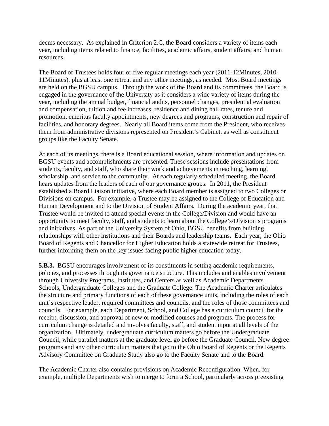deems necessary. As explained in Criterion 2.C, the Board considers a variety of items each year, including items related to finance, facilities, academic affairs, student affairs, and human resources.

The Board of Trustees holds four or five regular meetings each year (2011-12Minutes, 2010- 11Minutes), plus at least one retreat and any other meetings, as needed. Most Board meetings are held on the BGSU campus. Through the work of the Board and its committees, the Board is engaged in the governance of the University as it considers a wide variety of items during the year, including the annual budget, financial audits, personnel changes, presidential evaluation and compensation, tuition and fee increases, residence and dining hall rates, tenure and promotion, emeritus faculty appointments, new degrees and programs, construction and repair of facilities, and honorary degrees. Nearly all Board items come from the President, who receives them from administrative divisions represented on President's Cabinet, as well as constituent groups like the Faculty Senate.

At each of its meetings, there is a Board educational session, where information and updates on BGSU events and accomplishments are presented. These sessions include presentations from students, faculty, and staff, who share their work and achievements in teaching, learning, scholarship, and service to the community. At each regularly scheduled meeting, the Board hears updates from the leaders of each of our governance groups. In 2011, the President established a Board Liaison initiative, where each Board member is assigned to two Colleges or Divisions on campus. For example, a Trustee may be assigned to the College of Education and Human Development and to the Division of Student Affairs. During the academic year, that Trustee would be invited to attend special events in the College/Division and would have an opportunity to meet faculty, staff, and students to learn about the College's/Division's programs and initiatives. As part of the University System of Ohio, BGSU benefits from building relationships with other institutions and their Boards and leadership teams. Each year, the Ohio Board of Regents and Chancellor for Higher Education holds a statewide retreat for Trustees, further informing them on the key issues facing public higher education today.

**5.B.3.** BGSU encourages involvement of its constituents in setting academic requirements, policies, and processes through its governance structure. This includes and enables involvement through University Programs, Institutes, and Centers as well as Academic Departments , Schools, Undergraduate Colleges and the Graduate College. The Academic Charter articulates the structure and primary functions of each of these governance units, including the roles of each unit's respective leader, required committees and councils, and the roles of those committees and councils. For example, each Department, School, and College has a curriculum council for the receipt, discussion, and approval of new or modified courses and programs. The process for curriculum change is detailed and involves faculty, staff, and student input at all levels of the organization. Ultimately, undergraduate curriculum matters go before the Undergraduate Council, while parallel matters at the graduate level go before the Graduate Council. New degree programs and any other curriculum matters that go to the Ohio Board of Regents or the Regents Advisory Committee on Graduate Study also go to the Faculty Senate and to the Board.

The Academic Charter also contains provisions on Academic Reconfiguration. When, for example, multiple Departments wish to merge to form a School, particularly across preexisting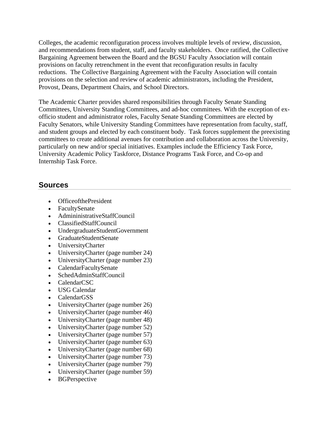Colleges, the academic reconfiguration process involves multiple levels of review, discussion, and recommendations from student, staff, and faculty stakeholders. Once ratified, the Collective Bargaining Agreement between the Board and the BGSU Faculty Association will contain provisions on faculty retrenchment in the event that reconfiguration results in faculty reductions. The Collective Bargaining Agreement with the Faculty Association will contain provisions on the selection and review of academic administrators, including the President, Provost, Deans, Department Chairs, and School Directors.

The Academic Charter provides shared responsibilities through Faculty Senate Standing Committees, University Standing Committees, and ad-hoc committees. With the exception of exofficio student and administrator roles, Faculty Senate Standing Committees are elected by Faculty Senators, while University Standing Committees have representation from faculty, staff, and student groups and elected by each constituent body. Task forces supplement the preexisting committees to create additional avenues for contribution and collaboration across the University, particularly on new and/or special initiatives. Examples include the Efficiency Task Force, University Academic Policy Taskforce, Distance Programs Task Force, and Co-op and Internship Task Force.

#### **Sources**

- OfficeofthePresident
- FacultySenate
- AdmininistrativeStaffCouncil
- ClassifiedStaffCouncil
- UndergraduateStudentGovernment
- GraduateStudentSenate
- UniversityCharter
- UniversityCharter (page number 24)
- UniversityCharter (page number 23)
- CalendarFacultySenate
- SchedAdminStaffCouncil
- CalendarCSC
- USG Calendar
- CalendarGSS
- UniversityCharter (page number 26)
- UniversityCharter (page number 46)
- UniversityCharter (page number 48)
- UniversityCharter (page number 52)
- UniversityCharter (page number 57)
- UniversityCharter (page number 63)
- UniversityCharter (page number 68)
- UniversityCharter (page number 73)
- UniversityCharter (page number 79)
- UniversityCharter (page number 59)
- BGPerspective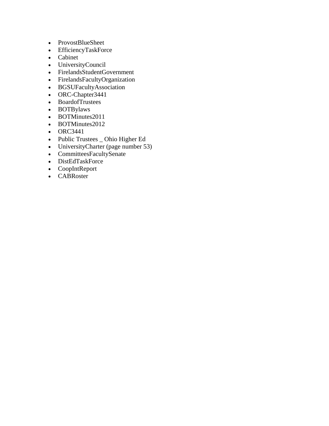- ProvostBlueSheet
- EfficiencyTaskForce
- Cabinet
- UniversityCouncil
- FirelandsStudentGovernment
- FirelandsFacultyOrganization
- BGSUFacultyAssociation
- ORC-Chapter3441
- BoardofTrustees
- BOTBylaws
- BOTMinutes2011
- BOTMinutes2012
- ORC3441
- Public Trustees \_ Ohio Higher Ed
- UniversityCharter (page number 53)
- CommitteesFacultySenate
- DistEdTaskForce
- CoopIntReport
- CABRoster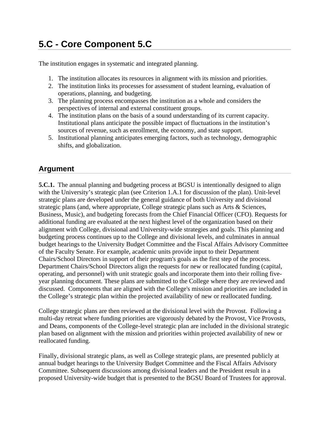# **5.C - Core Component 5.C**

The institution engages in systematic and integrated planning.

- 1. The institution allocates its resources in alignment with its mission and priorities.
- 2. The institution links its processes for assessment of student learning, evaluation of operations, planning, and budgeting.
- 3. The planning process encompasses the institution as a whole and considers the perspectives of internal and external constituent groups.
- 4. The institution plans on the basis of a sound understanding of its current capacity. Institutional plans anticipate the possible impact of fluctuations in the institution's sources of revenue, such as enrollment, the economy, and state support.
- 5. Institutional planning anticipates emerging factors, such as technology, demographic shifts, and globalization.

### **Argument**

**5.C.1.** The annual planning and budgeting process at BGSU is intentionally designed to align with the University's strategic plan (see Criterion 1.A.1 for discussion of the plan). Unit-level strategic plans are developed under the general guidance of both University and divisional strategic plans (and, where appropriate, College strategic plans such as Arts & Sciences, Business, Music), and budgeting forecasts from the Chief Financial Officer (CFO). Requests for additional funding are evaluated at the next highest level of the organization based on their alignment with College, divisional and University-wide strategies and goals. This planning and budgeting process continues up to the College and divisional levels, and culminates in annual budget hearings to the University Budget Committee and the Fiscal Affairs Advisory Committee of the Faculty Senate. For example, academic units provide input to their Department Chairs/School Directors in support of their program's goals as the first step of the process. Department Chairs/School Directors align the requests for new or reallocated funding (capital, operating, and personnel) with unit strategic goals and incorporate them into their rolling fiveyear planning document. These plans are submitted to the College where they are reviewed and discussed. Components that are aligned with the College's mission and priorities are included in the College's strategic plan within the projected availability of new or reallocated funding.

College strategic plans are then reviewed at the divisional level with the Provost. Following a multi-day retreat where funding priorities are vigorously debated by the Provost, Vice Provosts, and Deans, components of the College-level strategic plan are included in the divisional strategic plan based on alignment with the mission and priorities within projected availability of new or reallocated funding.

Finally, divisional strategic plans, as well as College strategic plans, are presented publicly at annual budget hearings to the University Budget Committee and the Fiscal Affairs Advisory Committee. Subsequent discussions among divisional leaders and the President result in a proposed University-wide budget that is presented to the BGSU Board of Trustees for approval.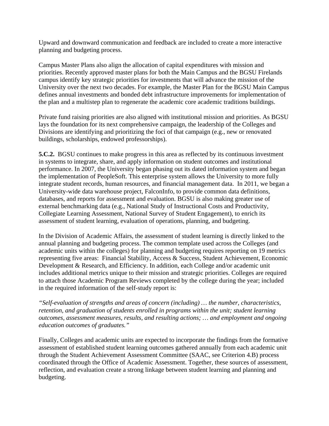Upward and downward communication and feedback are included to create a more interactive planning and budgeting process.

Campus Master Plans also align the allocation of capital expenditures with mission and priorities. Recently approved master plans for both the Main Campus and the BGSU Firelands campus identify key strategic priorities for investments that will advance the mission of the University over the next two decades. For example, the Master Plan for the BGSU Main Campus defines annual investments and bonded debt infrastructure improvements for implementation of the plan and a multistep plan to regenerate the academic core academic traditions buildings.

Private fund raising priorities are also aligned with institutional mission and priorities. As BGSU lays the foundation for its next comprehensive campaign, the leadership of the Colleges and Divisions are identifying and prioritizing the foci of that campaign (e.g., new or renovated buildings, scholarships, endowed professorships).

**5.C.2.** BGSU continues to make progress in this area as reflected by its continuous investment in systems to integrate, share, and apply information on student outcomes and institutional performance. In 2007, the University began phasing out its dated information system and began the implementation of PeopleSoft. This enterprise system allows the University to more fully integrate student records, human resources, and financial management data. In 2011, we began a University-wide data warehouse project, FalconInfo, to provide common data definitions, databases, and reports for assessment and evaluation. BGSU is also making greater use of external benchmarking data (e.g., National Study of Instructional Costs and Productivity, Collegiate Learning Assessment, National Survey of Student Engagement), to enrich its assessment of student learning, evaluation of operations, planning, and budgeting.

In the Division of Academic Affairs, the assessment of student learning is directly linked to the annual planning and budgeting process. The common template used across the Colleges (and academic units within the colleges) for planning and budgeting requires reporting on 19 metrics representing five areas: Financial Stability, Access & Success, Student Achievement, Economic Development & Research, and Efficiency. In addition, each College and/or academic unit includes additional metrics unique to their mission and strategic priorities. Colleges are required to attach those Academic Program Reviews completed by the college during the year; included in the required information of the self-study report is:

*"Self-evaluation of strengths and areas of concern (including) … the number, characteristics, retention, and graduation of students enrolled in programs within the unit; student learning outcomes, assessment measures, results, and resulting actions; … and employment and ongoing education outcomes of graduates."*

Finally, Colleges and academic units are expected to incorporate the findings from the formative assessment of established student learning outcomes gathered annually from each academic unit through the Student Achievement Assessment Committee (SAAC, see Criterion 4.B) process coordinated through the Office of Academic Assessment. Together, these sources of assessment, reflection, and evaluation create a strong linkage between student learning and planning and budgeting.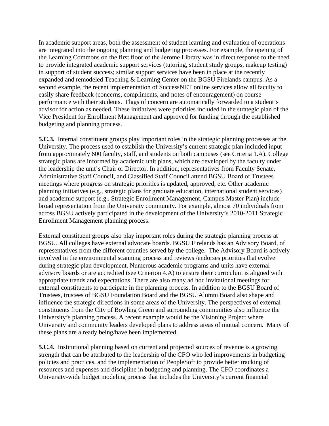In academic support areas, both the assessment of student learning and evaluation of operations are integrated into the ongoing planning and budgeting processes. For example, the opening of the Learning Commons on the first floor of the Jerome Library was in direct response to the need to provide integrated academic support services (tutoring, student study groups, makeup testing) in support of student success; similar support services have been in place at the recently expanded and remodeled Teaching & Learning Center on the BGSU Firelands campus. As a second example, the recent implementation of SuccessNET online services allow all faculty to easily share feedback (concerns, compliments, and notes of encouragement) on course performance with their students. Flags of concern are automatically forwarded to a student's advisor for action as needed. These initiatives were priorities included in the strategic plan of the Vice President for Enrollment Management and approved for funding through the established budgeting and planning process.

**5.C.3.** Internal constituent groups play important roles in the strategic planning processes at the University. The process used to establish the University's current strategic plan included input from approximately 600 faculty, staff, and students on both campuses (see Criteria 1.A). College strategic plans are informed by academic unit plans, which are developed by the faculty under the leadership the unit's Chair or Director. In addition, representatives from Faculty Senate, Administrative Staff Council, and Classified Staff Council attend BGSU Board of Trustees meetings where progress on strategic priorities is updated, approved, etc. Other academic planning initiatives (e.g., strategic plans for graduate education, international student services) and academic support (e.g., Strategic Enrollment Management, Campus Master Plan) include broad representation from the University community. For example, almost 70 individuals from across BGSU actively participated in the development of the University's 2010-2011 Strategic Enrollment Management planning process.

External constituent groups also play important roles during the strategic planning process at BGSU. All colleges have external advocate boards. BGSU Firelands has an Advisory Board, of representatives from the different counties served by the college. The Advisory Board is actively involved in the environmental scanning process and reviews /endorses priorities that evolve during strategic plan development. Numerous academic programs and units have external advisory boards or are accredited (see Criterion 4.A) to ensure their curriculum is aligned with appropriate trends and expectations. There are also many ad hoc invitational meetings for external constituents to participate in the planning process. In addition to the BGSU Board of Trustees, trustees of BGSU Foundation Board and the BGSU Alumni Board also shape and influence the strategic directions in some areas of the University. The perspectives of external constituents from the City of Bowling Green and surrounding communities also influence the University's planning process. A recent example would be the Visioning Project where University and community leaders developed plans to address areas of mutual concern. Many of these plans are already being/have been implemented.

**5.C.4.** Institutional planning based on current and projected sources of revenue is a growing strength that can be attributed to the leadership of the CFO who led improvements in budgeting policies and practices, and the implementation of PeopleSoft to provide better tracking of resources and expenses and discipline in budgeting and planning. The CFO coordinates a University-wide budget modeling process that includes the University's current financial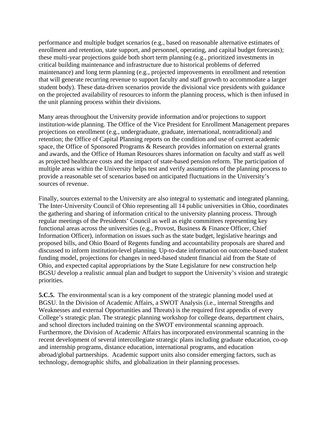performance and multiple budget scenarios (e.g., based on reasonable alternative estimates of enrollment and retention, state support, and personnel, operating, and capital budget forecasts); these multi-year projections guide both short term planning (e.g., prioritized investments in critical building maintenance and infrastructure due to historical problems of deferred maintenance) and long term planning (e.g., projected improvements in enrollment and retention that will generate recurring revenue to support faculty and staff growth to accommodate a larger student body). These data-driven scenarios provide the divisional vice presidents with guidance on the projected availability of resources to inform the planning process, which is then infused in the unit planning process within their divisions.

Many areas throughout the University provide information and/or projections to support institution-wide planning. The Office of the Vice President for Enrollment Management prepares projections on enrollment (e.g., undergraduate, graduate, international, nontraditional) and retention; the Office of Capital Planning reports on the condition and use of current academic space, the Office of Sponsored Programs & Research provides information on external grants and awards, and the Office of Human Resources shares information on faculty and staff as well as projected healthcare costs and the impact of state-based pension reform. The participation of multiple areas within the University helps test and verify assumptions of the planning process to provide a reasonable set of scenarios based on anticipated fluctuations in the University's sources of revenue.

Finally, sources external to the University are also integral to systematic and integrated planning. The Inter-University Council of Ohio representing all 14 public universities in Ohio, coordinates the gathering and sharing of information critical to the university planning process. Through regular meetings of the Presidents' Council as well as eight committees representing key functional areas across the universities (e.g., Provost, Business & Finance Officer, Chief Information Officer), information on issues such as the state budget, legislative hearings and proposed bills, and Ohio Board of Regents funding and accountability proposals are shared and discussed to inform institution-level planning. Up-to-date information on outcome-based student funding model, projections for changes in need-based student financial aid from the State of Ohio, and expected capital appropriations by the State Legislature for new construction help BGSU develop a realistic annual plan and budget to support the University's vision and strategic priorities.

**5.C.5.** The environmental scan is a key component of the strategic planning model used at BGSU. In the Division of Academic Affairs, a SWOT Analysis (i.e., internal Strengths and Weaknesses and external Opportunities and Threats) is the required first appendix of every College's strategic plan. The strategic planning workshop for college deans, department chairs, and school directors included training on the SWOT environmental scanning approach. Furthermore, the Division of Academic Affairs has incorporated environmental scanning in the recent development of several intercollegiate strategic plans including graduate education, co-op and internship programs, distance education, international programs, and education abroad/global partnerships. Academic support units also consider emerging factors, such as technology, demographic shifts, and globalization in their planning processes.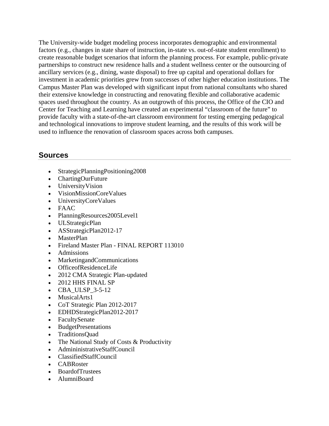The University-wide budget modeling process incorporates demographic and environmental factors (e.g., changes in state share of instruction, in-state vs. out-of-state student enrollment) to create reasonable budget scenarios that inform the planning process. For example, public-private partnerships to construct new residence halls and a student wellness center or the outsourcing of ancillary services (e.g., dining, waste disposal) to free up capital and operational dollars for investment in academic priorities grew from successes of other higher education institutions. The Campus Master Plan was developed with significant input from national consultants who shared their extensive knowledge in constructing and renovating flexible and collaborative academic spaces used throughout the country. As an outgrowth of this process, the Office of the CIO and Center for Teaching and Learning have created an experimental "classroom of the future" to provide faculty with a state-of-the-art classroom environment for testing emerging pedagogical and technological innovations to improve student learning, and the results of this work will be used to influence the renovation of classroom spaces across both campuses.

#### **Sources**

- StrategicPlanningPositioning2008
- ChartingOurFuture
- UniversityVision
- VisionMissionCoreValues
- UniversityCoreValues
- FAAC
- PlanningResources2005Level1
- ULStrategicPlan
- ASStrategicPlan2012-17
- MasterPlan
- Fireland Master Plan FINAL REPORT 113010
- Admissions
- MarketingandCommunications
- OfficeofResidenceLife
- 2012 CMA Strategic Plan-updated
- 2012 HHS FINAL SP
- CBA ULSP 3-5-12
- MusicalArts1
- CoT Strategic Plan 2012-2017
- EDHDStrategicPlan2012-2017
- FacultySenate
- BudgetPresentations
- TraditionsQuad
- The National Study of Costs & Productivity
- AdmininistrativeStaffCouncil
- ClassifiedStaffCouncil
- CABRoster
- BoardofTrustees
- AlumniBoard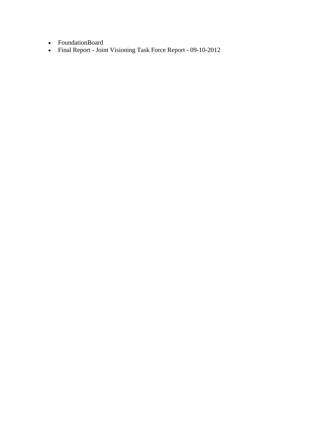- FoundationBoard
- Final Report Joint Visioning Task Force Report 09-10-2012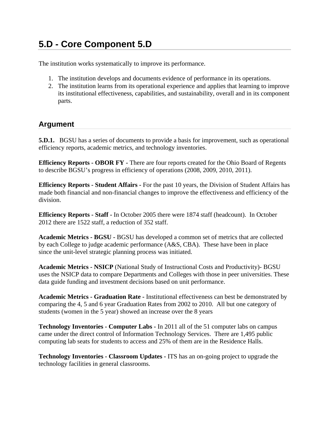# **5.D - Core Component 5.D**

The institution works systematically to improve its performance.

- 1. The institution develops and documents evidence of performance in its operations.
- 2. The institution learns from its operational experience and applies that learning to improve its institutional effectiveness, capabilities, and sustainability, overall and in its component parts.

#### **Argument**

**5.D.1.** BGSU has a series of documents to provide a basis for improvement, such as operational efficiency reports, academic metrics, and technology inventories.

**Efficiency Reports - OBOR FY** - There are four reports created for the Ohio Board of Regents to describe BGSU's progress in efficiency of operations (2008, 2009, 2010, 2011).

**Efficiency Reports - Student Affairs -** For the past 10 years, the Division of Student Affairs has made both financial and non-financial changes to improve the effectiveness and efficiency of the division.

**Efficiency Reports - Staff -** In October 2005 there were 1874 staff (headcount). In October 2012 there are 1522 staff, a reduction of 352 staff.

**Academic Metrics - BGSU -** BGSU has developed a common set of metrics that are collected by each College to judge academic performance (A&S, CBA). These have been in place since the unit-level strategic planning process was initiated.

**Academic Metrics - NSICP** (National Study of Instructional Costs and Productivity)- BGSU uses the NSICP data to compare Departments and Colleges with those in peer universities. These data guide funding and investment decisions based on unit performance.

**Academic Metrics - Graduation Rate -** Institutional effectiveness can best be demonstrated by comparing the 4, 5 and 6 year Graduation Rates from 2002 to 2010. All but one category of students (women in the 5 year) showed an increase over the 8 years

**Technology Inventories - Computer Labs -** In 2011 all of the 51 computer labs on campus came under the direct control of Information Technology Services. There are 1,495 public computing lab seats for students to access and 25% of them are in the Residence Halls.

**Technology Inventories - Classroom Updates -** ITS has an on-going project to upgrade the technology facilities in general classrooms.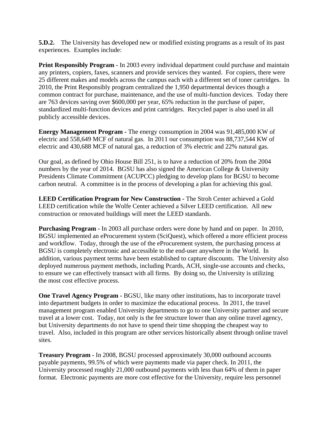**5.D.2.** The University has developed new or modified existing programs as a result of its past experiences. Examples include:

**Print Responsibly Program - In 2003 every individual department could purchase and maintain** any printers, copiers, faxes, scanners and provide services they wanted. For copiers, there were 25 different makes and models across the campus each with a different set of toner cartridges. In 2010, the Print Responsibly program centralized the 1,950 departmental devices though a common contract for purchase, maintenance, and the use of multi-function devices. Today there are 763 devices saving over \$600,000 per year, 65% reduction in the purchase of paper, standardized multi-function devices and print cartridges. Recycled paper is also used in all publicly accessible devices.

**Energy Management Program -** The energy consumption in 2004 was 91,485,000 KW of electric and 558,649 MCF of natural gas. In 2011 our consumption was 88,737,544 KW of electric and 430,688 MCF of natural gas, a reduction of 3% electric and 22% natural gas.

Our goal, as defined by Ohio House Bill 251, is to have a reduction of 20% from the 2004 numbers by the year of 2014. BGSU has also signed the American College & University Presidents Climate Commitment (ACUPCC) pledging to develop plans for BGSU to become carbon neutral. A committee is in the process of developing a plan for achieving this goal.

**LEED Certification Program for New Construction -** The Stroh Center achieved a Gold LEED certification while the Wolfe Center achieved a Silver LEED certification. All new construction or renovated buildings will meet the LEED standards.

**Purchasing Program -** In 2003 all purchase orders were done by hand and on paper. In 2010, BGSU implemented an eProcurement system (SciQuest), which offered a more efficient process and workflow. Today, through the use of the eProcurement system, the purchasing process at BGSU is completely electronic and accessible to the end-user anywhere in the World. In addition, various payment terms have been established to capture discounts. The University also deployed numerous payment methods, including Pcards, ACH, single-use accounts and checks, to ensure we can effectively transact with all firms. By doing so, the University is utilizing the most cost effective process.

**One Travel Agency Program -** BGSU, like many other institutions, has to incorporate travel into department budgets in order to maximize the educational process. In 2011, the travel management program enabled University departments to go to one University partner and secure travel at a lower cost. Today, not only is the fee structure lower than any online travel agency, but University departments do not have to spend their time shopping the cheapest way to travel. Also, included in this program are other services historically absent through online travel sites.

**Treasury Program -** In 2008, BGSU processed approximately 30,000 outbound accounts payable payments, 99.5% of which were payments made via paper check. In 2011, the University processed roughly 21,000 outbound payments with less than 64% of them in paper format. Electronic payments are more cost effective for the University, require less personnel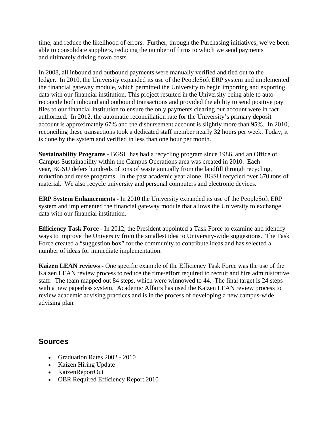time, and reduce the likelihood of errors. Further, through the Purchasing initiatives, we've been able to consolidate suppliers, reducing the number of firms to which we send payments and ultimately driving down costs.

In 2008, all inbound and outbound payments were manually verified and tied out to the ledger. In 2010, the University expanded its use of the PeopleSoft ERP system and implemented the financial gateway module, which permitted the University to begin importing and exporting data with our financial institution. This project resulted in the University being able to autoreconcile both inbound and outbound transactions and provided the ability to send positive pay files to our financial institution to ensure the only payments clearing our account were in fact authorized. In 2012, the automatic reconciliation rate for the University's primary deposit account is approximately 67% and the disbursement account is slightly more than 95%. In 2010, reconciling these transactions took a dedicated staff member nearly 32 hours per week. Today, it is done by the system and verified in less than one hour per month.

**Sustainability Programs -** BGSU has had a recycling program since 1986, and an Office of Campus Sustainability within the Campus Operations area was created in 2010. Each year, BGSU defers hundreds of tons of waste annually from the landfill through recycling, reduction and reuse programs. In the past academic year alone, BGSU recycled over 670 tons of material. We also recycle university and personal computers and electronic devices**.**

**ERP System Enhancements -** In 2010 the University expanded its use of the PeopleSoft ERP system and implemented the financial gateway module that allows the University to exchange data with our financial institution.

**Efficiency Task Force -** In 2012, the President appointed a Task Force to examine and identify ways to improve the University from the smallest idea to University-wide suggestions. The Task Force created a "suggestion box" for the community to contribute ideas and has selected a number of ideas for immediate implementation.

**Kaizen LEAN reviews -** One specific example of the Efficiency Task Force was the use of the Kaizen LEAN review process to reduce the time/effort required to recruit and hire administrative staff. The team mapped out 84 steps, which were winnowed to 44. The final target is 24 steps with a new paperless system. Academic Affairs has used the Kaizen LEAN review process to review academic advising practices and is in the process of developing a new campus-wide advising plan.

#### **Sources**

- Graduation Rates 2002 2010
- Kaizen Hiring Update
- KaizenReportOut
- OBR Required Efficiency Report 2010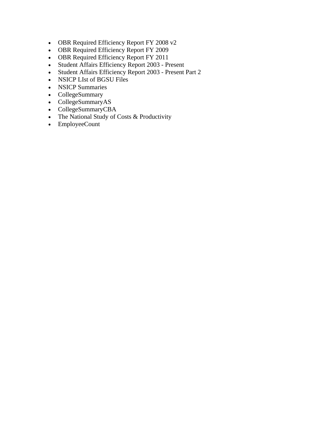- OBR Required Efficiency Report FY 2008 v2
- OBR Required Efficiency Report FY 2009
- OBR Required Efficiency Report FY 2011
- Student Affairs Efficiency Report 2003 Present
- Student Affairs Efficiency Report 2003 Present Part 2
- NSICP LIst of BGSU Files
- NSICP Summaries
- CollegeSummary
- CollegeSummaryAS
- CollegeSummaryCBA
- The National Study of Costs & Productivity
- EmployeeCount